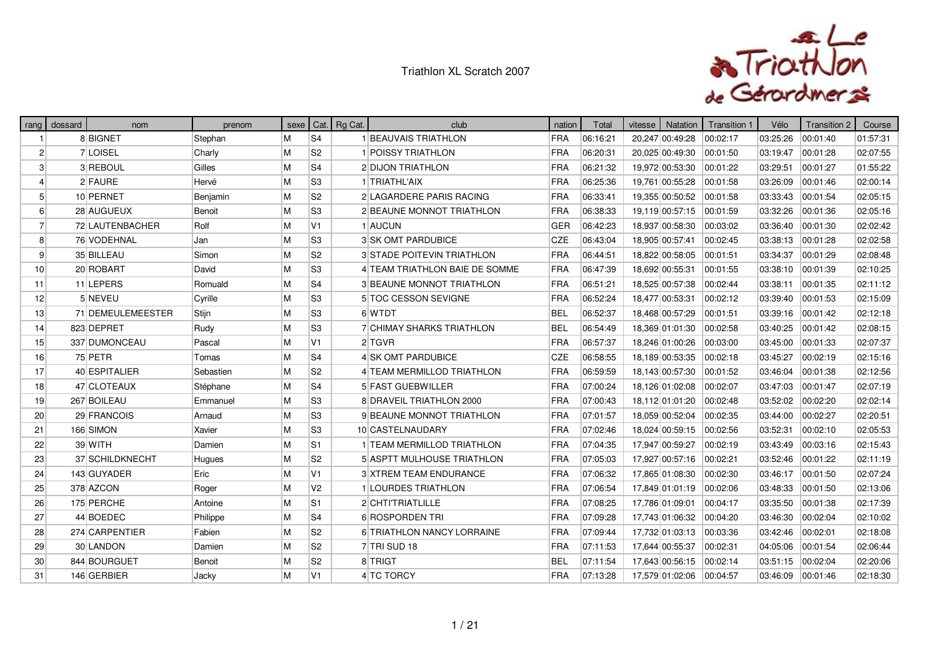

| rang            | dossard | nom               | prenom    |   |                | sexe   Cat.   Rg Cat. | club                              | nation     | Total    | vitesse | Natation        | Transition 1 | Vélo     | Transition 2 | Course   |
|-----------------|---------|-------------------|-----------|---|----------------|-----------------------|-----------------------------------|------------|----------|---------|-----------------|--------------|----------|--------------|----------|
|                 |         | 8 BIGNET          | Stephan   | M | S <sub>4</sub> |                       | 1 BEAUVAIS TRIATHLON              | FRA        | 06:16:21 |         | 20,247 00:49:28 | 00:02:17     | 03:25:26 | 00:01:40     | 01:57:31 |
| $\overline{2}$  |         | 7 LOISEL          | Charly    | M | S <sub>2</sub> |                       | 1 POISSY TRIATHLON                | <b>FRA</b> | 06:20:31 |         | 20,025 00:49:30 | 00:01:50     | 03:19:47 | 00:01:28     | 02:07:55 |
| 3               |         | 3 REBOUL          | Gilles    | M | S <sub>4</sub> |                       | 2 DIJON TRIATHLON                 | <b>FRA</b> | 06:21:32 |         | 19,972 00:53:30 | 00:01:22     | 03:29:51 | 00:01:27     | 01:55:22 |
|                 |         | 2 FAURE           | Hervé     | M | S <sub>3</sub> |                       | 1 TRIATHL'AIX                     | FRA        | 06:25:36 |         | 19,761 00:55:28 | 00:01:58     | 03:26:09 | 00:01:46     | 02:00:14 |
| 5               |         | 10 PERNET         | Benjamin  | M | S <sub>2</sub> |                       | 2 LAGARDERE PARIS RACING          | <b>FRA</b> | 06:33:41 |         | 19,355 00:50:52 | 00:01:58     | 03:33:43 | 00:01:54     | 02:05:15 |
| 6               |         | 28 AUGUEUX        | Benoit    | M | S <sub>3</sub> |                       | 2 BEAUNE MONNOT TRIATHLON         | <b>FRA</b> | 06:38:33 |         | 19,119 00:57:15 | 00:01:59     | 03:32:26 | 00:01:36     | 02:05:16 |
| -7              |         | 72 LAUTENBACHER   | Rolf      | M | V <sub>1</sub> |                       | 1 AUCUN                           | GER        | 06:42:23 |         | 18,937 00:58:30 | 00:03:02     | 03:36:40 | 00:01:30     | 02:02:42 |
| 8               |         | 76 VODEHNAL       | Jan       | M | S <sub>3</sub> |                       | 3 SK OMT PARDUBICE                | <b>CZE</b> | 06:43:04 |         | 18,905 00:57:41 | 00:02:45     | 03:38:13 | 00:01:28     | 02:02:58 |
| 9               |         | 35 BILLEAU        | Simon     | M | S <sub>2</sub> |                       | <b>3 STADE POITEVIN TRIATHLON</b> | <b>FRA</b> | 06:44:51 |         | 18,822 00:58:05 | 00:01:51     | 03:34:37 | 00:01:29     | 02:08:48 |
| 10 <sup>1</sup> |         | 20 ROBART         | David     | M | S <sub>3</sub> |                       | 4 TEAM TRIATHLON BAIE DE SOMME    | <b>FRA</b> | 06:47:39 |         | 18,692 00:55:31 | 00:01:55     | 03:38:10 | 00:01:39     | 02:10:25 |
| 11              |         | 11 LEPERS         | Romuald   | M | S <sub>4</sub> |                       | 3 BEAUNE MONNOT TRIATHLON         | <b>FRA</b> | 06:51:21 |         | 18,525 00:57:38 | 00:02:44     | 03:38:11 | 00:01:35     | 02:11:12 |
| 12              |         | 5 NEVEU           | Cyrille   | M | S <sub>3</sub> |                       | 5 TOC CESSON SEVIGNE              | <b>FRA</b> | 06:52:24 |         | 18,477 00:53:31 | 00:02:12     | 03:39:40 | 00:01:53     | 02:15:09 |
| 13              |         | 71 DEMEULEMEESTER | Stijn     | M | S <sub>3</sub> |                       | 6 WTDT                            | <b>BEL</b> | 06:52:37 |         | 18,468 00:57:29 | 00:01:51     | 03:39:16 | 00:01:42     | 02:12:18 |
| 14              |         | 823 DEPRET        | Rudy      | M | S <sub>3</sub> |                       | 7 CHIMAY SHARKS TRIATHLON         | <b>BEL</b> | 06:54:49 |         | 18,369 01:01:30 | 00:02:58     | 03:40:25 | 00:01:42     | 02:08:15 |
| 15              |         | 337 DUMONCEAU     | Pascal    | M | V <sub>1</sub> |                       | 2 TGVR                            | FRA        | 06:57:37 |         | 18,246 01:00:26 | 00:03:00     | 03:45:00 | 00:01:33     | 02:07:37 |
| 16              |         | 75 PETR           | Tomas     | M | S <sub>4</sub> |                       | 4 SK OMT PARDUBICE                | <b>CZE</b> | 06:58:55 |         | 18,189 00:53:35 | 00:02:18     | 03:45:27 | 00:02:19     | 02:15:16 |
| 17              |         | 40 ESPITALIER     | Sebastien | M | S <sub>2</sub> |                       | 4 TEAM MERMILLOD TRIATHLON        | <b>FRA</b> | 06:59:59 |         | 18,143 00:57:30 | 00:01:52     | 03:46:04 | 00:01:38     | 02:12:56 |
| 18              |         | 47 CLOTEAUX       | Stéphane  | M | S <sub>4</sub> |                       | 5 FAST GUEBWILLER                 | <b>FRA</b> | 07:00:24 |         | 18,126 01:02:08 | 00:02:07     | 03:47:03 | 00:01:47     | 02:07:19 |
| 19              |         | 267 BOILEAU       | Emmanuel  | M | S <sub>3</sub> |                       | 8 DRAVEIL TRIATHLON 2000          | <b>FRA</b> | 07:00:43 |         | 18,112 01:01:20 | 00:02:48     | 03:52:02 | 00:02:20     | 02:02:14 |
| 20              |         | 29 FRANCOIS       | Arnaud    | M | S <sub>3</sub> |                       | 9 BEAUNE MONNOT TRIATHLON         | <b>FRA</b> | 07:01:57 |         | 18,059 00:52:04 | 00:02:35     | 03:44:00 | 00:02:27     | 02:20:51 |
| 21              |         | 166 SIMON         | Xavier    | M | S <sub>3</sub> |                       | 10 CASTELNAUDARY                  | FRA        | 07:02:46 |         | 18,024 00:59:15 | 00:02:56     | 03:52:31 | 00:02:10     | 02:05:53 |
| 22              |         | 39 WITH           | Damien    | M | S <sub>1</sub> |                       | 1 TEAM MERMILLOD TRIATHLON        | <b>FRA</b> | 07:04:35 |         | 17,947 00:59:27 | 00:02:19     | 03:43:49 | 00:03:16     | 02:15:43 |
| 23              |         | 37 SCHILDKNECHT   | Hugues    | M | S <sub>2</sub> |                       | 5 ASPTT MULHOUSE TRIATHLON        | <b>FRA</b> | 07:05:03 |         | 17,927 00:57:16 | 00:02:21     | 03:52:46 | 00:01:22     | 02:11:19 |
| 24              |         | 143 GUYADER       | Eric      | M | V <sub>1</sub> |                       | 3 XTREM TEAM ENDURANCE            | <b>FRA</b> | 07:06:32 |         | 17,865 01:08:30 | 00:02:30     | 03:46:17 | 00:01:50     | 02:07:24 |
| 25              |         | 378 AZCON         | Roger     | M | V <sub>2</sub> |                       | 1 LOURDES TRIATHLON               | <b>FRA</b> | 07:06:54 |         | 17,849 01:01:19 | 00:02:06     | 03:48:33 | 00:01:50     | 02:13:06 |
| 26              |         | 175 PERCHE        | Antoine   | M | S <sub>1</sub> |                       | 2 CHTITRIATLILLE                  | <b>FRA</b> | 07:08:25 |         | 17,786 01:09:01 | 00:04:17     | 03:35:50 | 00:01:38     | 02:17:39 |
| 27              |         | 44 BOEDEC         | Philippe  | M | S <sub>4</sub> |                       | 6 ROSPORDEN TRI                   | <b>FRA</b> | 07:09:28 |         | 17,743 01:06:32 | 00:04:20     | 03:46:30 | 00:02:04     | 02:10:02 |
| 28              |         | 274 CARPENTIER    | Fabien    | M | S <sub>2</sub> |                       | 6 TRIATHLON NANCY LORRAINE        | FRA        | 07:09:44 |         | 17,732 01:03:13 | 00:03:36     | 03:42:46 | 00:02:01     | 02:18:08 |
| 29              |         | 30 LANDON         | Damien    | M | S <sub>2</sub> |                       | 7TRI SUD 18                       | FRA        | 07:11:53 |         | 17,644 00:55:37 | 00:02:31     | 04:05:06 | 00:01:54     | 02:06:44 |
| 30              |         | 844 BOURGUET      | Benoit    | M | S <sub>2</sub> |                       | 8 TRIGT                           | <b>BEL</b> | 07:11:54 |         | 17,643 00:56:15 | 00:02:14     | 03:51:15 | 00:02:04     | 02:20:06 |
| 31              |         | 146 GERBIER       | Jacky     | M | V <sub>1</sub> |                       | 4 TC TORCY                        | <b>FRA</b> | 07:13:28 |         | 17,579 01:02:06 | 00:04:57     | 03:46:09 | 00:01:46     | 02:18:30 |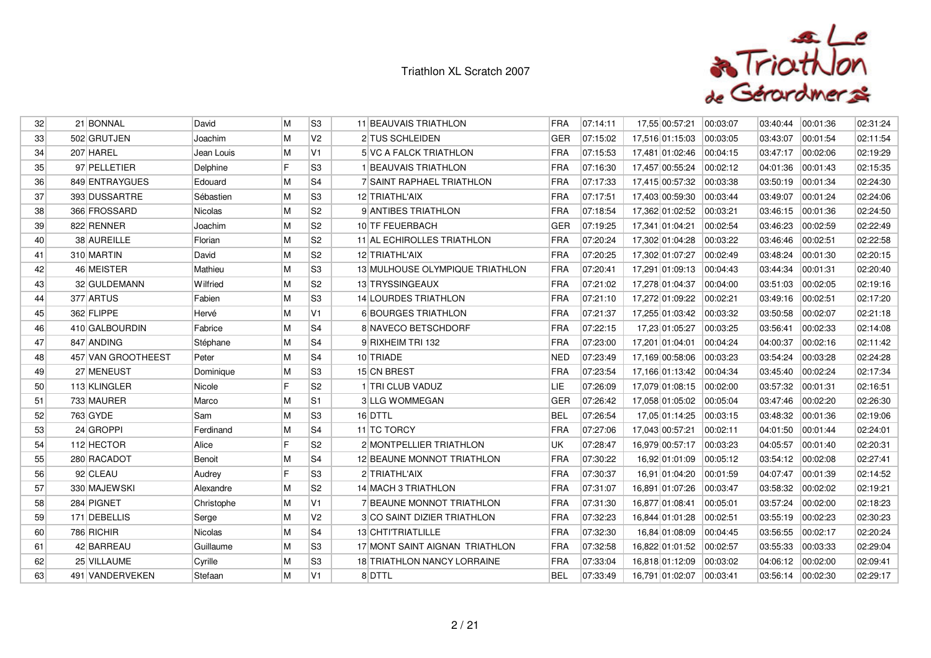

| 32              | 21 BONNAL          | David          | M  | S <sub>3</sub> | 11 BEAUVAIS TRIATHLON            | <b>FRA</b> | 07:14:11 | 17,55 00:57:21          | 00:03:07 | 03:40:44          | 00:01:36 | 02:31:24 |
|-----------------|--------------------|----------------|----|----------------|----------------------------------|------------|----------|-------------------------|----------|-------------------|----------|----------|
| 33 <sup>1</sup> | 502 GRUTJEN        | Joachim        | M  | V <sub>2</sub> | 2 TUS SCHLEIDEN                  | <b>GER</b> | 07:15:02 | 17,516 01:15:03         | 00:03:05 | 03:43:07          | 00:01:54 | 02:11:54 |
| 34              | 207 HAREL          | Jean Louis     | M  | V <sub>1</sub> | 5 VC A FALCK TRIATHLON           | <b>FRA</b> | 07:15:53 | 17,481 01:02:46         | 00:04:15 | 03:47:17          | 00:02:06 | 02:19:29 |
| 35 <sub>l</sub> | 97 PELLETIER       | Delphine       | IF | S <sub>3</sub> | 1 BEAUVAIS TRIATHLON             | FRA        | 07:16:30 | 17,457 00:55:24         | 00:02:12 | 04:01:36          | 00:01:43 | 02:15:35 |
| 36              | 849 ENTRAYGUES     | Edouard        | M  | S <sub>4</sub> | <b>7 SAINT RAPHAEL TRIATHLON</b> | FRA        | 07:17:33 | 17,415 00:57:32         | 00:03:38 | 03:50:19          | 00:01:34 | 02:24:30 |
| 37              | 393 DUSSARTRE      | Sébastien      | M  | S3             | 12 TRIATHL'AIX                   | FRA        | 07:17:51 | 17,403 00:59:30         | 00:03:44 | 03:49:07          | 00:01:24 | 02:24:06 |
| 38 <sup>°</sup> | 366 FROSSARD       | Nicolas        | M  | S <sub>2</sub> | 9 ANTIBES TRIATHLON              | <b>FRA</b> | 07:18:54 | 17,362 01:02:52         | 00:03:21 | 03:46:15          | 00:01:36 | 02:24:50 |
| 39              | 822 RENNER         | Joachim        | M  | S <sub>2</sub> | 10 TF FEUERBACH                  | <b>GER</b> | 07:19:25 | 17,341 01:04:21         | 00:02:54 | 03:46:23          | 00:02:59 | 02:22:49 |
| 40              | 38 AUREILLE        | Florian        | M  | S <sub>2</sub> | 11 AL ECHIROLLES TRIATHLON       | <b>FRA</b> | 07:20:24 | 17,302 01:04:28         | 00:03:22 | 03:46:46          | 00:02:51 | 02:22:58 |
| 41              | 310 MARTIN         | David          | M  | S <sub>2</sub> | 12 TRIATHL'AIX                   | <b>FRA</b> | 07:20:25 | 17,302 01:07:27         | 00:02:49 | 03:48:24          | 00:01:30 | 02:20:15 |
| 42              | 46 MEISTER         | Mathieu        | M  | S <sub>3</sub> | 13 MULHOUSE OLYMPIQUE TRIATHLON  | FRA        | 07:20:41 | 17,291 01:09:13         | 00:04:43 | 03:44:34          | 00:01:31 | 02:20:40 |
| 43              | 32 GULDEMANN       | Wilfried       | M  | S <sub>2</sub> | 13 TRYSSINGEAUX                  | <b>FRA</b> | 07:21:02 | 17,278 01:04:37         | 00:04:00 | 03:51:03          | 00:02:05 | 02:19:16 |
| 44              | 377 ARTUS          | Fabien         | M  | S <sub>3</sub> | 14 LOURDES TRIATHLON             | <b>FRA</b> | 07:21:10 | 17,272 01:09:22         | 00:02:21 | 03:49:16          | 00:02:51 | 02:17:20 |
| 45              | 362 FLIPPE         | Hervé          | M  | V <sub>1</sub> | 6 BOURGES TRIATHLON              | FRA        | 07:21:37 | 17,255 01:03:42         | 00:03:32 | 03:50:58          | 00:02:07 | 02:21:18 |
| 46              | 410 GALBOURDIN     | Fabrice        | M  | S4             | 8 NAVECO BETSCHDORF              | FRA        | 07:22:15 | 17,23 01:05:27          | 00:03:25 | 03:56:41          | 00:02:33 | 02:14:08 |
| 47              | 847 ANDING         | Stéphane       | M  | S <sub>4</sub> | 9 RIXHEIM TRI 132                | <b>FRA</b> | 07:23:00 | 17,201 01:04:01         | 00:04:24 | 04:00:37          | 00:02:16 | 02:11:42 |
| 48              | 457 VAN GROOTHEEST | Peter          | M  | S4             | 10 TRIADE                        | <b>NED</b> | 07:23:49 | 17,169 00:58:06         | 00:03:23 | 03:54:24          | 00:03:28 | 02:24:28 |
| 49              | 27 MENEUST         | Dominique      | M  | S <sub>3</sub> | 15 CN BREST                      | FRA        | 07:23:54 | 17,166 01:13:42         | 00:04:34 | 03:45:40          | 00:02:24 | 02:17:34 |
| 50              | 113 KLINGLER       | Nicole         | F  | S <sub>2</sub> | 1 TRI CLUB VADUZ                 | LIE        | 07:26:09 | 17,079 01:08:15         | 00:02:00 | 03:57:32          | 00:01:31 | 02:16:51 |
| 51              | 733 MAURER         | Marco          | M  | S1             | <b>3 LLG WOMMEGAN</b>            | <b>GER</b> | 07:26:42 | 17,058 01:05:02         | 00:05:04 | 03:47:46          | 00:02:20 | 02:26:30 |
| 52              | 763 GYDE           | Sam            | M  | S3             | 16 DTTL                          | <b>BEL</b> | 07:26:54 | 17,05 01:14:25          | 00:03:15 | 03:48:32          | 00:01:36 | 02:19:06 |
| 53              | 24 GROPPI          | Ferdinand      | M  | S <sub>4</sub> | 11 TC TORCY                      | <b>FRA</b> | 07:27:06 | 17,043 00:57:21         | 00:02:11 | 04:01:50          | 00:01:44 | 02:24:01 |
| 54              | 112 HECTOR         | Alice          | IF | S <sub>2</sub> | 2 MONTPELLIER TRIATHLON          | UK         | 07:28:47 | 16,979 00:57:17         | 00:03:23 | 04:05:57          | 00:01:40 | 02:20:31 |
| 55              | 280 RACADOT        | Benoit         | M  | S4             | 12 BEAUNE MONNOT TRIATHLON       | FRA        | 07:30:22 | 16,92 01:01:09 00:05:12 |          | 03:54:12          | 00:02:08 | 02:27:41 |
| 56              | 92 CLEAU           | Audrey         | IF | S <sub>3</sub> | 2 TRIATHL'AIX                    | <b>FRA</b> | 07:30:37 | 16,91 01:04:20          | 00:01:59 | 04:07:47          | 00:01:39 | 02:14:52 |
| 57              | 330 MAJEWSKI       | Alexandre      | M  | S <sub>2</sub> | 14 MACH 3 TRIATHLON              | FRA        | 07:31:07 | 16,891 01:07:26         | 00:03:47 | 03:58:32          | 00:02:02 | 02:19:21 |
| 58              | 284 PIGNET         | Christophe     | M  | V <sub>1</sub> | 7 BEAUNE MONNOT TRIATHLON        | FRA        | 07:31:30 | 16,877 01:08:41         | 00:05:01 | 03:57:24          | 00:02:00 | 02:18:23 |
| 59              | 171 DEBELLIS       | Serge          | M  | V <sub>2</sub> | 3 CO SAINT DIZIER TRIATHLON      | <b>FRA</b> | 07:32:23 | 16,844 01:01:28         | 00:02:51 | 03:55:19          | 00:02:23 | 02:30:23 |
| 60              | 786 RICHIR         | <b>Nicolas</b> | M  | S <sub>4</sub> | 13 CHTI'TRIATLILLE               | <b>FRA</b> | 07:32:30 | 16,84 01:08:09          | 00:04:45 | 03:56:55          | 00:02:17 | 02:20:24 |
| 61              | 42 BARREAU         | Guillaume      | M  | S3             | 17 MONT SAINT AIGNAN TRIATHLON   | FRA        | 07:32:58 | 16,822 01:01:52         | 00:02:57 | 03:55:33          | 00:03:33 | 02:29:04 |
| 62              | 25 VILLAUME        | Cyrille        | M  | S <sub>3</sub> | 18 TRIATHLON NANCY LORRAINE      | <b>FRA</b> | 07:33:04 | 16,818 01:12:09         | 00:03:02 | 04:06:12          | 00:02:00 | 02:09:41 |
| 63              | 491 VANDERVEKEN    | Stefaan        | M  | V1             | 8 DTTL                           | <b>BEL</b> | 07:33:49 | 16,791 01:02:07         | 00:03:41 | 03:56:14 00:02:30 |          | 02:29:17 |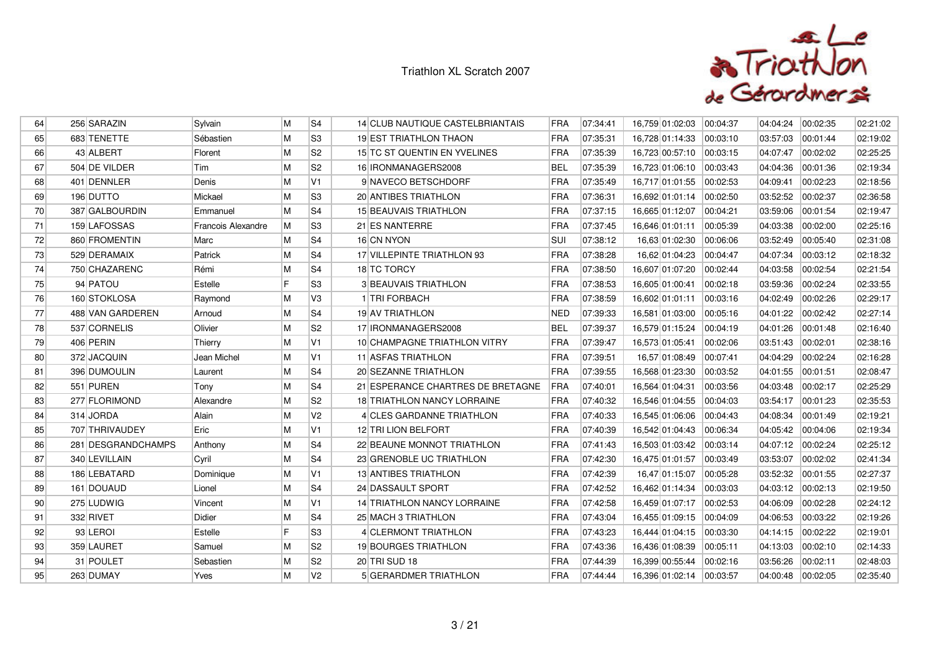

| 64              | 256 SARAZIN        | Sylvain            | M | S <sub>4</sub> | 14 CLUB NAUTIQUE CASTELBRIANTAIS  | <b>FRA</b> | 07:34:41 | 16,759 01:02:03           | 00:04:37 | 04:04:24 | 00:02:35 | 02:21:02 |
|-----------------|--------------------|--------------------|---|----------------|-----------------------------------|------------|----------|---------------------------|----------|----------|----------|----------|
| 65              | 683 TENETTE        | Sébastien          | M | S3             | <b>19 EST TRIATHLON THAON</b>     | <b>FRA</b> | 07:35:31 | 16,728 01:14:33 00:03:10  |          | 03:57:03 | 00:01:44 | 02:19:02 |
| 66              | 43 ALBERT          | Florent            | M | S <sub>2</sub> | 15 TC ST QUENTIN EN YVELINES      | <b>FRA</b> | 07:35:39 | 16,723 00:57:10  00:03:15 |          | 04:07:47 | 00:02:02 | 02:25:25 |
| 67              | 504 DE VILDER      | Tim                | M | S <sub>2</sub> | 16 IRONMANAGERS2008               | <b>BEL</b> | 07:35:39 | 16,723 01:06:10 00:03:43  |          | 04:04:36 | 00:01:36 | 02:19:34 |
| 68              | 401 DENNLER        | Denis              | M | V <sub>1</sub> | 9 NAVECO BETSCHDORF               | FRA        | 07:35:49 | 16,717 01:01:55  00:02:53 |          | 04:09:41 | 00:02:23 | 02:18:56 |
| 69              | 196 DUTTO          | Mickael            | M | S3             | 20 ANTIBES TRIATHLON              | FRA        | 07:36:31 | 16,692 01:01:14 00:02:50  |          | 03:52:52 | 00:02:37 | 02:36:58 |
| 70              | 387 GALBOURDIN     | Emmanuel           | M | S4             | 15 BEAUVAIS TRIATHLON             | <b>FRA</b> | 07:37:15 | 16,665 01:12:07  00:04:21 |          | 03:59:06 | 00:01:54 | 02:19:47 |
| 71              | 159 LAFOSSAS       | Francois Alexandre | M | S3             | 21 ES NANTERRE                    | FRA        | 07:37:45 | 16,646 01:01:11           | 00:05:39 | 04:03:38 | 00:02:00 | 02:25:16 |
| 72              | 860 FROMENTIN      | Marc               | M | S4             | 16 CN NYON                        | <b>SUI</b> | 07:38:12 | 16,63 01:02:30            | 00:06:06 | 03:52:49 | 00:05:40 | 02:31:08 |
| 73              | 529 DERAMAIX       | Patrick            | M | S4             | 17 VILLEPINTE TRIATHLON 93        | <b>FRA</b> | 07:38:28 | 16,62 01:04:23            | 00:04:47 | 04:07:34 | 00:03:12 | 02:18:32 |
| 74              | 750 CHAZARENC      | Rémi               | M | S4             | 18 TC TORCY                       | FRA        | 07:38:50 | 16,607 01:07:20 00:02:44  |          | 04:03:58 | 00:02:54 | 02:21:54 |
| 75              | 94 PATOU           | Estelle            | F | S3             | <b>3 BEAUVAIS TRIATHLON</b>       | FRA        | 07:38:53 | 16,605 01:00:41           | 00:02:18 | 03:59:36 | 00:02:24 | 02:33:55 |
| 76              | 160 STOKLOSA       | Raymond            | M | V <sub>3</sub> | 1 TRI FORBACH                     | <b>FRA</b> | 07:38:59 | 16,602 01:01:11           | 00:03:16 | 04:02:49 | 00:02:26 | 02:29:17 |
| 77              | 488 VAN GARDEREN   | Arnoud             | M | S4             | 19 AV TRIATHLON                   | <b>NED</b> | 07:39:33 | 16,581 01:03:00 00:05:16  |          | 04:01:22 | 00:02:42 | 02:27:14 |
| 78              | 537 CORNELIS       | Olivier            | M | S2             | 17 IRONMANAGERS2008               | BEL        | 07:39:37 | 16,579 01:15:24  00:04:19 |          | 04:01:26 | 00:01:48 | 02:16:40 |
| 79              | 406 PERIN          | Thierry            | M | V1             | 10 CHAMPAGNE TRIATHLON VITRY      | <b>FRA</b> | 07:39:47 | 16,573 01:05:41           | 00:02:06 | 03:51:43 | 00:02:01 | 02:38:16 |
| 80              | 372 JACQUIN        | Jean Michel        | M | V <sub>1</sub> | 11 ASFAS TRIATHLON                | FRA        | 07:39:51 | 16,57 01:08:49  00:07:41  |          | 04:04:29 | 00:02:24 | 02:16:28 |
| 81              | 396 DUMOULIN       | Laurent            | M | S4             | 20 SEZANNE TRIATHLON              | <b>FRA</b> | 07:39:55 | 16,568 01:23:30 00:03:52  |          | 04:01:55 | 00:01:51 | 02:08:47 |
| 82              | 551 PUREN          | Tony               | M | S4             | 21 ESPERANCE CHARTRES DE BRETAGNE | FRA        | 07:40:01 | 16,564 01:04:31           | 00:03:56 | 04:03:48 | 00:02:17 | 02:25:29 |
| 83              | 277 FLORIMOND      | Alexandre          | M | S <sub>2</sub> | 18 TRIATHLON NANCY LORRAINE       | <b>FRA</b> | 07:40:32 | 16,546 01:04:55 00:04:03  |          | 03:54:17 | 00:01:23 | 02:35:53 |
| 84              | 314 JORDA          | Alain              | M | V <sub>2</sub> | 4 CLES GARDANNE TRIATHLON         | FRA        | 07:40:33 | 16,545 01:06:06 00:04:43  |          | 04:08:34 | 00:01:49 | 02:19:21 |
| 85              | 707 THRIVAUDEY     | Eric               | M | V <sub>1</sub> | 12 TRI LION BELFORT               | <b>FRA</b> | 07:40:39 | 16,542 01:04:43 00:06:34  |          | 04:05:42 | 00:04:06 | 02:19:34 |
| 86              | 281 DESGRANDCHAMPS | Anthony            | M | S4             | 22 BEAUNE MONNOT TRIATHLON        | <b>FRA</b> | 07:41:43 | 16,503 01:03:42 00:03:14  |          | 04:07:12 | 00:02:24 | 02:25:12 |
| 87              | 340 LEVILLAIN      | Cyril              | M | S4             | 23 GRENOBLE UC TRIATHLON          | FRA        | 07:42:30 | 16,475 01:01:57 00:03:49  |          | 03:53:07 | 00:02:02 | 02:41:34 |
| 88              | 186 LEBATARD       | Dominique          | M | V1             | <b>13 ANTIBES TRIATHLON</b>       | <b>FRA</b> | 07:42:39 | 16,47 01:15:07  00:05:28  |          | 03:52:32 | 00:01:55 | 02:27:37 |
| 89              | 161 DOUAUD         | Lionel             | M | S4             | 24 DASSAULT SPORT                 | <b>FRA</b> | 07:42:52 | 16,462 01:14:34           | 00:03:03 | 04:03:12 | 00:02:13 | 02:19:50 |
| 90 <sub>0</sub> | 275 LUDWIG         | Vincent            | M | V1             | 14 TRIATHLON NANCY LORRAINE       | FRA        | 07:42:58 | 16,459 01:07:17 00:02:53  |          | 04:06:09 | 00:02:28 | 02:24:12 |
| 91              | 332 RIVET          | Didier             | M | S4             | 25 MACH 3 TRIATHLON               | <b>FRA</b> | 07:43:04 | 16,455 01:09:15 00:04:09  |          | 04:06:53 | 00:03:22 | 02:19:26 |
| 92              | 93 LEROI           | Estelle            | F | S <sub>3</sub> | 4 CLERMONT TRIATHLON              | <b>FRA</b> | 07:43:23 | 16,444 01:04:15 00:03:30  |          | 04:14:15 | 00:02:22 | 02:19:01 |
| 93              | 359 LAURET         | Samuel             | M | S2             | 19 BOURGES TRIATHLON              | FRA        | 07:43:36 | 16,436 01:08:39 00:05:11  |          | 04:13:03 | 00:02:10 | 02:14:33 |
| 94              | 31 POULET          | Sebastien          | M | S <sub>2</sub> | 20 TRI SUD 18                     | <b>FRA</b> | 07:44:39 | 16,399 00:55:44           | 00:02:16 | 03:56:26 | 00:02:11 | 02:48:03 |
| 95              | 263 DUMAY          | Yves               | M | V <sub>2</sub> | <b>5 GERARDMER TRIATHLON</b>      | <b>FRA</b> | 07:44:44 | 16,396 01:02:14 00:03:57  |          | 04:00:48 | 00:02:05 | 02:35:40 |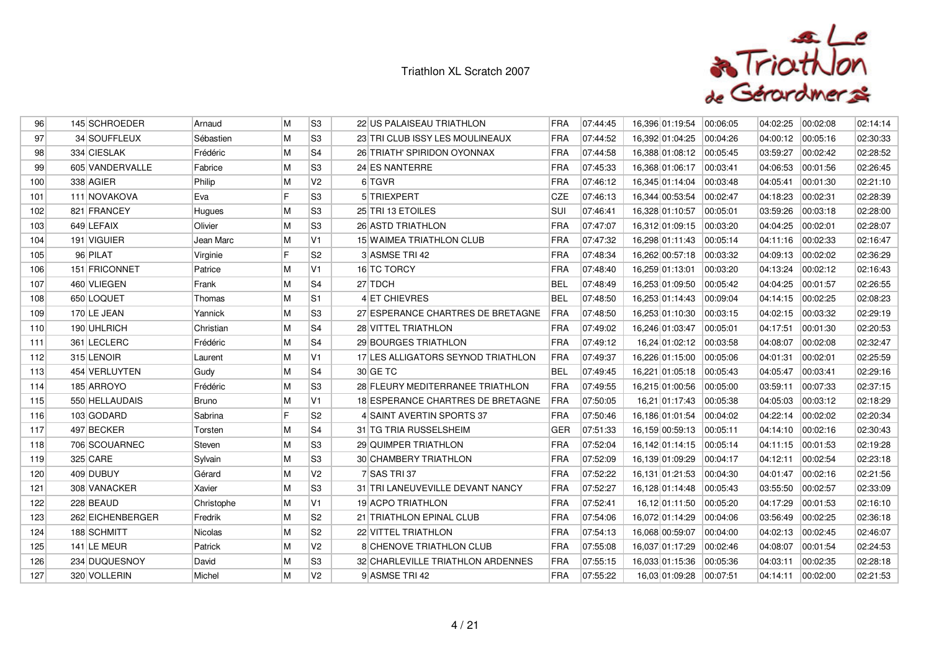

| 96  | 145 SCHROEDER    | Arnaud       | M | S <sub>3</sub> | 22 US PALAISEAU TRIATHLON          | <b>FRA</b> | 07:44:45 | 16,396 01:19:54 00:06:05  |          | 04:02:25 | 00:02:08 | 02:14:14 |
|-----|------------------|--------------|---|----------------|------------------------------------|------------|----------|---------------------------|----------|----------|----------|----------|
| 97  | 34 SOUFFLEUX     | Sébastien    | M | S3             | 23 TRI CLUB ISSY LES MOULINEAUX    | FRA        | 07:44:52 | 16,392 01:04:25 00:04:26  |          | 04:00:12 | 00:05:16 | 02:30:33 |
| 98  | 334 CIESLAK      | Frédéric     | M | S <sub>4</sub> | 26 TRIATH' SPIRIDON OYONNAX        | <b>FRA</b> | 07:44:58 | 16,388 01:08:12 00:05:45  |          | 03:59:27 | 00:02:42 | 02:28:52 |
| 99  | 605 VANDERVALLE  | Fabrice      | M | S <sub>3</sub> | 24 ES NANTERRE                     | <b>FRA</b> | 07:45:33 | 16,368 01:06:17  00:03:41 |          | 04:06:53 | 00:01:56 | 02:26:45 |
| 100 | 338 AGIER        | Philip       | M | V <sub>2</sub> | 6 TGVR                             | FRA        | 07:46:12 | 16,345 01:14:04 00:03:48  |          | 04:05:41 | 00:01:30 | 02:21:10 |
| 101 | 111 NOVAKOVA     | Eva          | F | S <sub>3</sub> | 5 TRIEXPERT                        | <b>CZE</b> | 07:46:13 | 16,344 00:53:54 00:02:47  |          | 04:18:23 | 00:02:31 | 02:28:39 |
| 102 | 821 FRANCEY      | Hugues       | M | S <sub>3</sub> | 25 TRI 13 ETOILES                  | SUI        | 07:46:41 | 16,328 01:10:57           | 00:05:01 | 03:59:26 | 00:03:18 | 02:28:00 |
| 103 | 649 LEFAIX       | Olivier      | M | S <sub>3</sub> | 26 ASTD TRIATHLON                  | FRA        | 07:47:07 | 16,312 01:09:15  00:03:20 |          | 04:04:25 | 00:02:01 | 02:28:07 |
| 104 | 191 VIGUIER      | Jean Marc    | M | V <sub>1</sub> | 15 WAIMEA TRIATHLON CLUB           | FRA        | 07:47:32 | 16,298 01:11:43  00:05:14 |          | 04:11:16 | 00:02:33 | 02:16:47 |
| 105 | 96 PILAT         | Virginie     | F | S <sub>2</sub> | 3 ASMSE TRI 42                     | <b>FRA</b> | 07:48:34 | 16,262 00:57:18 00:03:32  |          | 04:09:13 | 00:02:02 | 02:36:29 |
| 106 | 151 FRICONNET    | Patrice      | M | V1             | 16 TC TORCY                        | FRA        | 07:48:40 | 16,259 01:13:01           | 00:03:20 | 04:13:24 | 00:02:12 | 02:16:43 |
| 107 | 460 VLIEGEN      | Frank        | M | S <sub>4</sub> | 27 TDCH                            | <b>BEL</b> | 07:48:49 | 16,253 01:09:50  00:05:42 |          | 04:04:25 | 00:01:57 | 02:26:55 |
| 108 | 650 LOQUET       | Thomas       | M | S <sub>1</sub> | 4 ET CHIEVRES                      | <b>BEL</b> | 07:48:50 | 16,253 01:14:43  00:09:04 |          | 04:14:15 | 00:02:25 | 02:08:23 |
| 109 | 170 LE JEAN      | Yannick      | M | S <sub>3</sub> | 27 ESPERANCE CHARTRES DE BRETAGNE  | <b>FRA</b> | 07:48:50 | 16,253 01:10:30 00:03:15  |          | 04:02:15 | 00:03:32 | 02:29:19 |
| 110 | 190 UHLRICH      | Christian    | M | S <sub>4</sub> | <b>28 VITTEL TRIATHLON</b>         | FRA        | 07:49:02 | 16,246 01:03:47  00:05:01 |          | 04:17:51 | 00:01:30 | 02:20:53 |
| 111 | 361 LECLERC      | Frédéric     | M | S <sub>4</sub> | 29 BOURGES TRIATHLON               | <b>FRA</b> | 07:49:12 | 16,24 01:02:12 00:03:58   |          | 04:08:07 | 00:02:08 | 02:32:47 |
| 112 | 315 LENOIR       | Laurent      | M | V1             | 17 LES ALLIGATORS SEYNOD TRIATHLON | <b>FRA</b> | 07:49:37 | 16,226 01:15:00 00:05:06  |          | 04:01:31 | 00:02:01 | 02:25:59 |
| 113 | 454 VERLUYTEN    | Gudy         | M | S <sub>4</sub> | 30 GE TC                           | <b>BEL</b> | 07:49:45 | 16,221 01:05:18  00:05:43 |          | 04:05:47 | 00:03:41 | 02:29:16 |
| 114 | 185 ARROYO       | Frédéric     | M | S3             | 28 FLEURY MEDITERRANEE TRIATHLON   | FRA        | 07:49:55 | 16.215 01:00:56  00:05:00 |          | 03:59:11 | 00:07:33 | 02:37:15 |
| 115 | 550 HELLAUDAIS   | <b>Bruno</b> | M | V <sub>1</sub> | 18 ESPERANCE CHARTRES DE BRETAGNE  | FRA        | 07:50:05 | 16,21 01:17:43 00:05:38   |          | 04:05:03 | 00:03:12 | 02:18:29 |
| 116 | 103 GODARD       | Sabrina      | F | S <sub>2</sub> | 4 SAINT AVERTIN SPORTS 37          | FRA        | 07:50:46 | 16,186 01:01:54 00:04:02  |          | 04:22:14 | 00:02:02 | 02:20:34 |
| 117 | 497 BECKER       | Torsten      | M | S <sub>4</sub> | 31 TG TRIA RUSSELSHEIM             | <b>GER</b> | 07:51:33 | 16,159 00:59:13 00:05:11  |          | 04:14:10 | 00:02:16 | 02:30:43 |
| 118 | 706 SCOUARNEC    | Steven       | M | S <sub>3</sub> | 29 QUIMPER TRIATHLON               | FRA        | 07:52:04 | 16,142 01:14:15  00:05:14 |          | 04:11:15 | 00:01:53 | 02:19:28 |
| 119 | 325 CARE         | Sylvain      | M | S <sub>3</sub> | 30 CHAMBERY TRIATHLON              | FRA        | 07:52:09 | 16,139 01:09:29 00:04:17  |          | 04:12:11 | 00:02:54 | 02:23:18 |
| 120 | 409 DUBUY        | Gérard       | M | V <sub>2</sub> | 7 SAS TRI37                        | <b>FRA</b> | 07:52:22 | 16,131 01:21:53 00:04:30  |          | 04:01:47 | 00:02:16 | 02:21:56 |
| 121 | 308 VANACKER     | Xavier       | M | S <sub>3</sub> | 31 TRI LANEUVEVILLE DEVANT NANCY   | FRA        | 07:52:27 | 16,128 01:14:48 00:05:43  |          | 03:55:50 | 00:02:57 | 02:33:09 |
| 122 | 228 BEAUD        | Christophe   | M | V <sub>1</sub> | 19 ACPO TRIATHLON                  | FRA        | 07:52:41 | 16,12 01:11:50  00:05:20  |          | 04:17:29 | 00:01:53 | 02:16:10 |
| 123 | 262 EICHENBERGER | Fredrik      | M | S <sub>2</sub> | 21 TRIATHLON EPINAL CLUB           | FRA        | 07:54:06 | 16,072 01:14:29 00:04:06  |          | 03:56:49 | 00:02:25 | 02:36:18 |
| 124 | 188 SCHMITT      | Nicolas      | M | S <sub>2</sub> | 22 VITTEL TRIATHLON                | FRA        | 07:54:13 | 16,068 00:59:07 00:04:00  |          | 04:02:13 | 00:02:45 | 02:46:07 |
| 125 | 141 LE MEUR      | Patrick      | M | V <sub>2</sub> | <b>8 CHENOVE TRIATHLON CLUB</b>    | FRA        | 07:55:08 | 16,037 01:17:29  00:02:46 |          | 04:08:07 | 00:01:54 | 02:24:53 |
| 126 | 234 DUQUESNOY    | David        | M | S3             | 32 CHARLEVILLE TRIATHLON ARDENNES  | <b>FRA</b> | 07:55:15 | 16,033 01:15:36 00:05:36  |          | 04:03:11 | 00:02:35 | 02:28:18 |
| 127 | 320 VOLLERIN     | Michel       | M | V <sub>2</sub> | 9 ASMSE TRI 42                     | FRA        | 07:55:22 | 16,03 01:09:28 00:07:51   |          | 04:14:11 | 00:02:00 | 02:21:53 |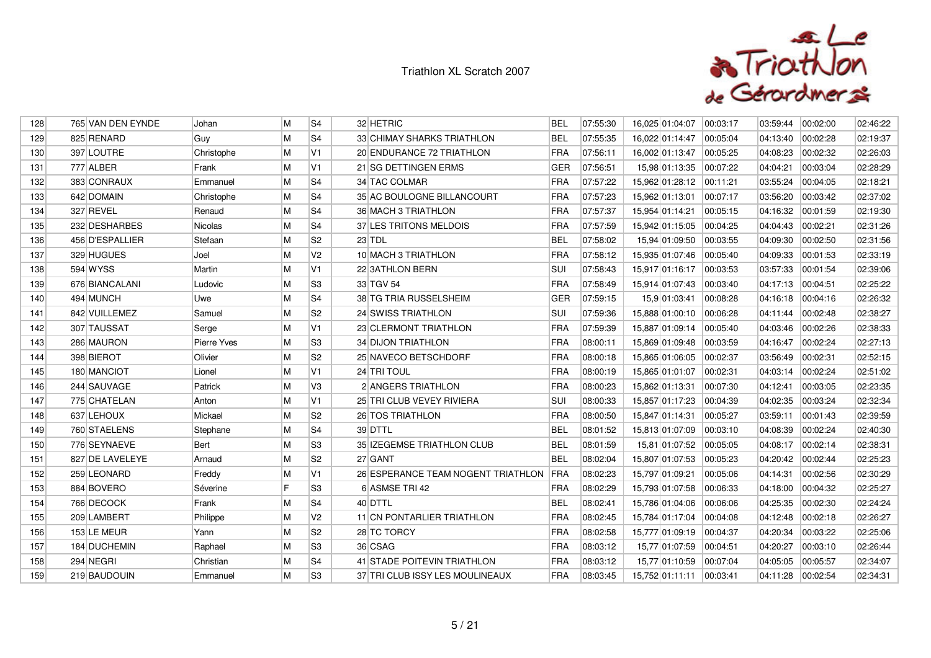

| 128 | 765 VAN DEN EYNDE | Johan       | М | S <sub>4</sub> | 32 HETRIC                              | <b>BEL</b> | 07:55:30 | 16,025 01:04:07          | 00:03:17 | 03:59:44 | 00:02:00 | 02:46:22 |
|-----|-------------------|-------------|---|----------------|----------------------------------------|------------|----------|--------------------------|----------|----------|----------|----------|
| 129 | 825 RENARD        | Guy         | M | S <sub>4</sub> | 33 CHIMAY SHARKS TRIATHLON             | <b>BEL</b> | 07:55:35 | 16.022 01:14:47          | 00:05:04 | 04:13:40 | 00:02:28 | 02:19:37 |
| 130 | 397 LOUTRE        | Christophe  | M | V1             | 20 ENDURANCE 72 TRIATHLON              | <b>FRA</b> | 07:56:11 | 16,002 01:13:47          | 00:05:25 | 04:08:23 | 00:02:32 | 02:26:03 |
| 131 | 777 ALBER         | Frank       | M | V <sub>1</sub> | 21 SG DETTINGEN ERMS                   | <b>GER</b> | 07:56:51 | 15,98 01:13:35           | 00:07:22 | 04:04:21 | 00:03:04 | 02:28:29 |
| 132 | 383 CONRAUX       | Emmanuel    | M | S <sub>4</sub> | 34 TAC COLMAR                          | FRA        | 07:57:22 | 15,962 01:28:12 00:11:21 |          | 03:55:24 | 00:04:05 | 02:18:21 |
| 133 | 642 DOMAIN        | Christophe  | M | S4             | 35 AC BOULOGNE BILLANCOURT             | FRA        | 07:57:23 | 15,962 01:13:01          | 00:07:17 | 03:56:20 | 00:03:42 | 02:37:02 |
| 134 | 327 REVEL         | Renaud      | M | S <sub>4</sub> | 36 MACH 3 TRIATHLON                    | FRA        | 07:57:37 | 15,954 01:14:21          | 00:05:15 | 04:16:32 | 00:01:59 | 02:19:30 |
| 135 | 232 DESHARBES     | Nicolas     | M | S <sub>4</sub> | 37 LES TRITONS MELDOIS                 | FRA        | 07:57:59 | 15,942 01:15:05          | 00:04:25 | 04:04:43 | 00:02:21 | 02:31:26 |
| 136 | 456 D'ESPALLIER   | Stefaan     | M | S <sub>2</sub> | 23 TDL                                 | <b>BEL</b> | 07:58:02 | 15,94 01:09:50           | 00:03:55 | 04:09:30 | 00:02:50 | 02:31:56 |
| 137 | 329 HUGUES        | Joel        | M | V <sub>2</sub> | 10 MACH 3 TRIATHLON                    | FRA        | 07:58:12 | 15,935 01:07:46          | 00:05:40 | 04:09:33 | 00:01:53 | 02:33:19 |
| 138 | 594 WYSS          | Martin      | M | V1             | 22 3ATHLON BERN                        | SUI        | 07:58:43 | 15,917 01:16:17          | 00:03:53 | 03:57:33 | 00:01:54 | 02:39:06 |
| 139 | 676 BIANCALANI    | Ludovic     | M | S3             | 33 TGV 54                              | FRA        | 07:58:49 | 15,914 01:07:43          | 00:03:40 | 04:17:13 | 00:04:51 | 02:25:22 |
| 140 | 494 MUNCH         | Uwe         | M | S <sub>4</sub> | 38 TG TRIA RUSSELSHEIM                 | <b>GER</b> | 07:59:15 | 15,9 01:03:41            | 00:08:28 | 04:16:18 | 00:04:16 | 02:26:32 |
| 141 | 842 VUILLEMEZ     | Samuel      | M | S <sub>2</sub> | 24 SWISS TRIATHLON                     | SUI        | 07:59:36 | 15,888 01:00:10          | 00:06:28 | 04:11:44 | 00:02:48 | 02:38:27 |
| 142 | 307 TAUSSAT       | Serge       | M | V <sub>1</sub> | 23 CLERMONT TRIATHLON                  | FRA        | 07:59:39 | 15,887 01:09:14          | 00:05:40 | 04:03:46 | 00:02:26 | 02:38:33 |
| 143 | 286 MAURON        | Pierre Yves | M | S <sub>3</sub> | 34 DIJON TRIATHLON                     | FRA        | 08:00:11 | 15,869 01:09:48          | 00:03:59 | 04:16:47 | 00:02:24 | 02:27:13 |
| 144 | 398 BIEROT        | Olivier     | M | S <sub>2</sub> | 25 NAVECO BETSCHDORF                   | FRA        | 08:00:18 | 15,865 01:06:05          | 00:02:37 | 03:56:49 | 00:02:31 | 02:52:15 |
| 145 | 180 MANCIOT       | Lionel      | M | V1             | 24 TRI TOUL                            | FRA        | 08:00:19 | 15,865 01:01:07          | 00:02:31 | 04:03:14 | 00:02:24 | 02:51:02 |
| 146 | 244 SAUVAGE       | Patrick     | M | V <sub>3</sub> | 2 ANGERS TRIATHLON                     | FRA        | 08:00:23 | 15,862 01:13:31          | 00:07:30 | 04:12:41 | 00:03:05 | 02:23:35 |
| 147 | 775 CHATELAN      | Anton       | M | V1             | 25 TRI CLUB VEVEY RIVIERA              | SUI        | 08:00:33 | 15,857 01:17:23          | 00:04:39 | 04:02:35 | 00:03:24 | 02:32:34 |
| 148 | 637 LEHOUX        | Mickael     | M | S <sub>2</sub> | 26 TOS TRIATHLON                       | FRA        | 08:00:50 | 15,847 01:14:31          | 00:05:27 | 03:59:11 | 00:01:43 | 02:39:59 |
| 149 | 760 STAELENS      | Stephane    | M | S4             | 39 DTTL                                | <b>BEL</b> | 08:01:52 | 15,813 01:07:09          | 00:03:10 | 04:08:39 | 00:02:24 | 02:40:30 |
| 150 | 776 SEYNAEVE      | <b>Bert</b> | M | S <sub>3</sub> | 35 IZEGEMSE TRIATHLON CLUB             | <b>BEL</b> | 08:01:59 | 15,81 01:07:52           | 00:05:05 | 04:08:17 | 00:02:14 | 02:38:31 |
| 151 | 827 DE LAVELEYE   | Arnaud      | M | S <sub>2</sub> | 27 GANT                                | <b>BEL</b> | 08:02:04 | 15,807 01:07:53          | 00:05:23 | 04:20:42 | 00:02:44 | 02:25:23 |
| 152 | 259 LEONARD       | Freddy      | M | V1             | 26 ESPERANCE TEAM NOGENT TRIATHLON FRA |            | 08:02:23 | 15,797 01:09:21          | 00:05:06 | 04:14:31 | 00:02:56 | 02:30:29 |
| 153 | 884 BOVERO        | Séverine    | F | S <sub>3</sub> | 6 ASMSE TRI 42                         | FRA        | 08:02:29 | 15,793 01:07:58          | 00:06:33 | 04:18:00 | 00:04:32 | 02:25:27 |
| 154 | 766 DECOCK        | Frank       | M | S <sub>4</sub> | 40 DTTL                                | <b>BEL</b> | 08:02:41 | 15,786 01:04:06          | 00.06.06 | 04:25:35 | 00:02:30 | 02:24:24 |
| 155 | 209 LAMBERT       | Philippe    | M | V <sub>2</sub> | 11 CN PONTARLIER TRIATHLON             | FRA        | 08:02:45 | 15,784 01:17:04          | 00:04:08 | 04:12:48 | 00:02:18 | 02:26:27 |
| 156 | 153 LE MEUR       | Yann        | M | S <sub>2</sub> | 28 TC TORCY                            | FRA        | 08:02:58 | 15,777 01:09:19          | 00:04:37 | 04:20:34 | 00:03:22 | 02:25:06 |
| 157 | 184 DUCHEMIN      | Raphael     | M | S <sub>3</sub> | 36 CSAG                                | FRA        | 08:03:12 | 15,77 01:07:59           | 00:04:51 | 04:20:27 | 00:03:10 | 02:26:44 |
| 158 | 294 NEGRI         | Christian   | M | S <sub>4</sub> | 41 STADE POITEVIN TRIATHLON            | <b>FRA</b> | 08:03:12 | 15,77 01:10:59           | 00:07:04 | 04:05:05 | 00:05:57 | 02:34:07 |
| 159 | 219 BAUDOUIN      | Emmanuel    | M | S <sub>3</sub> | 37 TRI CLUB ISSY LES MOULINEAUX        | <b>FRA</b> | 08:03:45 | 15,752 01:11:11 00:03:41 |          | 04:11:28 | 00:02:54 | 02:34:31 |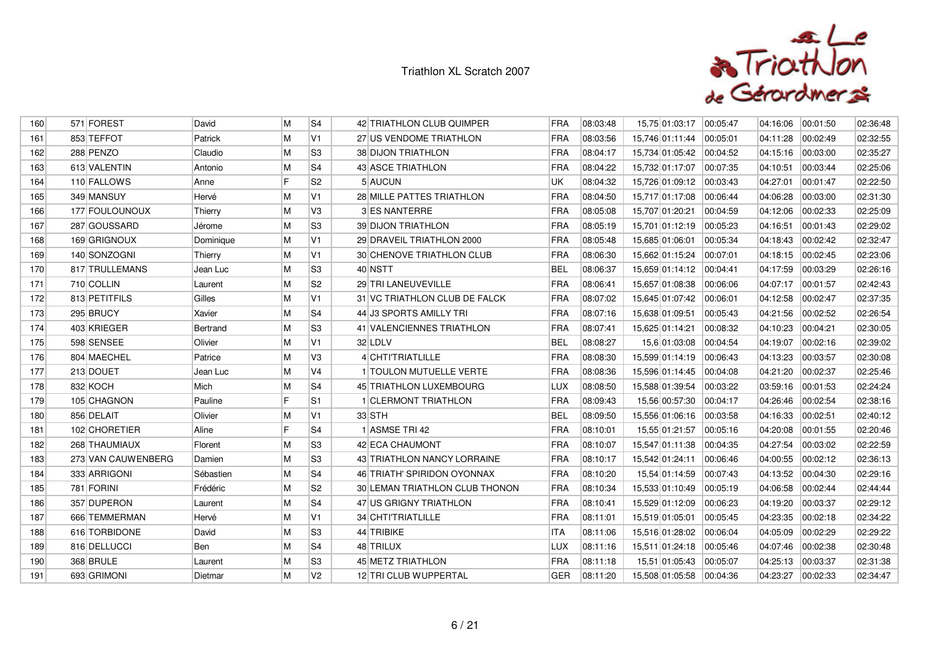

| 160 | 571 FOREST         | David     | M  | S <sub>4</sub> | 42 TRIATHLON CLUB QUIMPER        | <b>FRA</b> | 08:03:48 | 15,75 01:03:17            | 00:05:47 | 04:16:06 | 00:01:50 | 02:36:48 |
|-----|--------------------|-----------|----|----------------|----------------------------------|------------|----------|---------------------------|----------|----------|----------|----------|
| 161 | 853 TEFFOT         | Patrick   | M  | V1             | 27 US VENDOME TRIATHLON          | FRA        | 08:03:56 | 15,746 01:11:44           | 00:05:01 | 04:11:28 | 00:02:49 | 02:32:55 |
| 162 | 288 PENZO          | Claudio   | M  | lS3            | <b>38 DIJON TRIATHLON</b>        | <b>FRA</b> | 08:04:17 | 15,734 01:05:42  00:04:52 |          | 04:15:16 | 00:03:00 | 02:35:27 |
| 163 | 613 VALENTIN       | Antonio   | M  | S <sub>4</sub> | 43 ASCE TRIATHLON                | <b>FRA</b> | 08:04:22 | 15,732 01:17:07 00:07:35  |          | 04:10:51 | 00:03:44 | 02:25:06 |
| 164 | 110 FALLOWS        | Anne      | IF | S <sub>2</sub> | 5 AUCUN                          | UK         | 08:04:32 | 15,726 01:09:12           | 00:03:43 | 04:27:01 | 00:01:47 | 02:22:50 |
| 165 | 349 MANSUY         | Hervé     | M  | V <sub>1</sub> | 28 MILLE PATTES TRIATHLON        | FRA        | 08:04:50 | 15,717 01:17:08           | 00:06:44 | 04:06:28 | 00:03:00 | 02:31:30 |
| 166 | 177 FOULOUNOUX     | Thierry   | M  | V <sub>3</sub> | 3 ES NANTERRE                    | <b>FRA</b> | 08:05:08 | 15,707 01:20:21           | 00:04:59 | 04:12:06 | 00:02:33 | 02:25:09 |
| 167 | 287 GOUSSARD       | Jérome    | M  | S <sub>3</sub> | <b>39 DIJON TRIATHLON</b>        | FRA        | 08:05:19 | 15,701 01:12:19           | 00:05:23 | 04:16:51 | 00:01:43 | 02:29:02 |
| 168 | 169 GRIGNOUX       | Dominique | M  | V1             | 29 DRAVEIL TRIATHLON 2000        | FRA        | 08:05:48 | 15,685 01:06:01           | 00:05:34 | 04:18:43 | 00:02:42 | 02:32:47 |
| 169 | 140 SONZOGNI       | Thierry   | M  | V <sub>1</sub> | <b>30 CHENOVE TRIATHLON CLUB</b> | <b>FRA</b> | 08:06:30 | 15,662 01:15:24           | 00:07:01 | 04:18:15 | 00:02:45 | 02:23:06 |
| 170 | 817 TRULLEMANS     | Jean Luc  | M  | S3             | 40 NSTT                          | <b>BEL</b> | 08:06:37 | 15,659 01:14:12           | 00:04:41 | 04:17:59 | 00:03:29 | 02:26:16 |
| 171 | 710 COLLIN         | Laurent   | M  | S <sub>2</sub> | 29 TRI LANEUVEVILLE              | FRA        | 08:06:41 | 15,657 01:08:38           | 00:06:06 | 04:07:17 | 00:01:57 | 02:42:43 |
| 172 | 813 PETITFILS      | Gilles    | M  | V1             | 31 VC TRIATHLON CLUB DE FALCK    | <b>FRA</b> | 08:07:02 | 15,645 01:07:42           | 00:06:01 | 04:12:58 | 00:02:47 | 02:37:35 |
| 173 | 295 BRUCY          | Xavier    | M  | S <sub>4</sub> | 44 J3 SPORTS AMILLY TRI          | FRA        | 08:07:16 | 15,638 01:09:51           | 00:05:43 | 04:21:56 | 00:02:52 | 02:26:54 |
| 174 | 403 KRIEGER        | Bertrand  | M  | S3             | 41 VALENCIENNES TRIATHLON        | FRA        | 08:07:41 | 15,625 01:14:21           | 00:08:32 | 04:10:23 | 00:04:21 | 02:30:05 |
| 175 | 598 SENSEE         | Olivier   | M  | V <sub>1</sub> | 32 LDLV                          | <b>BEL</b> | 08:08:27 | 15,6 01:03:08             | 00:04:54 | 04:19:07 | 00:02:16 | 02:39:02 |
| 176 | 804 MAECHEL        | Patrice   | M  | VЗ             | 4 CHTITRIATLILLE                 | FRA        | 08:08:30 | 15,599 01:14:19           | 00:06:43 | 04:13:23 | 00:03:57 | 02:30:08 |
| 177 | 213 DOUET          | Jean Luc  | M  | V4             | 1 TOULON MUTUELLE VERTE          | FRA        | 08:08:36 | 15,596 01:14:45           | 00:04:08 | 04:21:20 | 00:02:37 | 02:25:46 |
| 178 | 832 KOCH           | Mich      | M  | S <sub>4</sub> | 45 TRIATHLON LUXEMBOURG          | <b>LUX</b> | 08:08:50 | 15,588 01:39:54           | 00:03:22 | 03:59:16 | 00:01:53 | 02:24:24 |
| 179 | 105 CHAGNON        | Pauline   | E  | S <sub>1</sub> | 1 CLERMONT TRIATHLON             | <b>FRA</b> | 08:09:43 | 15,56 00:57:30            | 00:04:17 | 04:26:46 | 00:02:54 | 02:38:16 |
| 180 | 856 DELAIT         | Olivier   | M  | V1             | $33$ STH                         | <b>BEL</b> | 08:09:50 | 15,556 01:06:16           | 00:03:58 | 04:16:33 | 00:02:51 | 02:40:12 |
| 181 | 102 CHORETIER      | Aline     | F  | S <sub>4</sub> | 1 ASMSE TRI 42                   | <b>FRA</b> | 08:10:01 | 15,55 01:21:57            | 00:05:16 | 04:20:08 | 00:01:55 | 02:20:46 |
| 182 | 268 THAUMIAUX      | Florent   | M  | S3             | 42 ECA CHAUMONT                  | FRA        | 08:10:07 | 15,547 01:11:38           | 00:04:35 | 04:27:54 | 00:03:02 | 02:22:59 |
| 183 | 273 VAN CAUWENBERG | Damien    | M  | S3             | 43 TRIATHLON NANCY LORRAINE      | FRA        | 08:10:17 | 15,542 01:24:11 00:06:46  |          | 04:00:55 | 00:02:12 | 02:36:13 |
| 184 | 333 ARRIGONI       | Sébastien | M  | S <sub>4</sub> | 46 TRIATH' SPIRIDON OYONNAX      | <b>FRA</b> | 08:10:20 | 15,54 01:14:59            | 00:07:43 | 04:13:52 | 00:04:30 | 02:29:16 |
| 185 | 781 FORINI         | Frédéric  | M  | S <sub>2</sub> | 30 LEMAN TRIATHLON CLUB THONON   | FRA        | 08:10:34 | 15,533 01:10:49           | 00:05:19 | 04:06:58 | 00:02:44 | 02:44:44 |
| 186 | 357 DUPERON        | Laurent   | M  | S4             | 47 US GRIGNY TRIATHLON           | FRA        | 08:10:41 | 15,529 01:12:09           | 00:06:23 | 04:19:20 | 00:03:37 | 02:29:12 |
| 187 | 666 TEMMERMAN      | Hervé     | M  | V1             | 34 CHTITRIATLILLE                | FRA        | 08:11:01 | 15,519 01:05:01           | 00:05:45 | 04:23:35 | 00:02:18 | 02:34:22 |
| 188 | 616 TORBIDONE      | David     | M  | S <sub>3</sub> | 44 TRIBIKE                       | <b>ITA</b> | 08:11:06 | 15,516 01:28:02           | 00:06:04 | 04:05:09 | 00:02:29 | 02:29:22 |
| 189 | 816 DELLUCCI       | Ben       | M  | S <sub>4</sub> | 48 TRILUX                        | LUX        | 08:11:16 | 15,511 01:24:18           | 00:05:46 | 04:07:46 | 00:02:38 | 02:30:48 |
| 190 | 368 BRULE          | Laurent   | M  | S <sub>3</sub> | 45 METZ TRIATHLON                | <b>FRA</b> | 08:11:18 | 15,51 01:05:43            | 00:05:07 | 04:25:13 | 00:03:37 | 02:31:38 |
| 191 | 693 GRIMONI        | Dietmar   | M  | V2             | 12 TRI CLUB WUPPERTAL            | <b>GER</b> | 08:11:20 | 15,508 01:05:58           | 00:04:36 | 04:23:27 | 00:02:33 | 02:34:47 |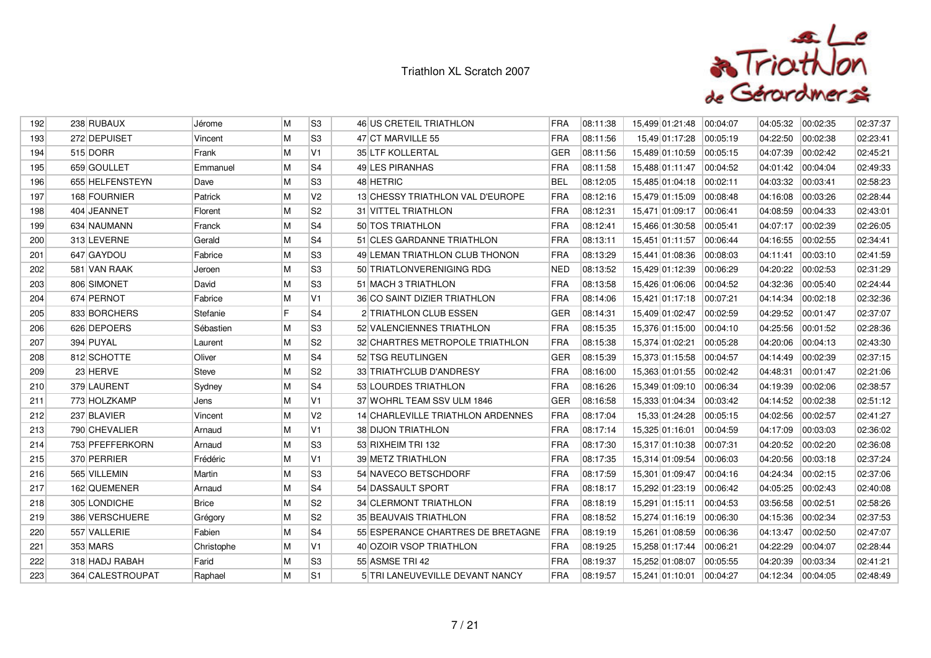

| 192 | 238 RUBAUX       | Jérome       | M  | S3             | 46 US CRETEIL TRIATHLON           | <b>FRA</b> | 08:11:38 | 15,499 01:21:48 | 00:04:07 | 04:05:32 | 00:02:35 | 02:37:37 |
|-----|------------------|--------------|----|----------------|-----------------------------------|------------|----------|-----------------|----------|----------|----------|----------|
| 193 | 272 DEPUISET     | Vincent      | M  | S <sub>3</sub> | 47 CT MARVILLE 55                 | FRA        | 08:11:56 | 15,49 01:17:28  | 00:05:19 | 04:22:50 | 00:02:38 | 02:23:41 |
| 194 | 515 DORR         | Frank        | M  | V <sub>1</sub> | 35 LTF KOLLERTAL                  | <b>GER</b> | 08:11:56 | 15,489 01:10:59 | 00:05:15 | 04:07:39 | 00:02:42 | 02:45:21 |
| 195 | 659 GOULLET      | Emmanuel     | M  | S <sub>4</sub> | 49 LES PIRANHAS                   | <b>FRA</b> | 08:11:58 | 15,488 01:11:47 | 00:04:52 | 04:01:42 | 00:04:04 | 02:49:33 |
| 196 | 655 HELFENSTEYN  | Dave         | M  | S <sub>3</sub> | 48 HETRIC                         | <b>BEL</b> | 08:12:05 | 15,485 01:04:18 | 00:02:11 | 04:03:32 | 00:03:41 | 02:58:23 |
| 197 | 168 FOURNIER     | Patrick      | M  | V <sub>2</sub> | 13 CHESSY TRIATHLON VAL D'EUROPE  | FRA        | 08:12:16 | 15,479 01:15:09 | 00:08:48 | 04:16:08 | 00:03:26 | 02:28:44 |
| 198 | 404 JEANNET      | Florent      | M  | S <sub>2</sub> | 31 VITTEL TRIATHLON               | <b>FRA</b> | 08:12:31 | 15,471 01:09:17 | 00:06:41 | 04:08:59 | 00:04:33 | 02:43:01 |
| 199 | 634 NAUMANN      | Franck       | M  | S <sub>4</sub> | 50 TOS TRIATHLON                  | FRA        | 08:12:41 | 15,466 01:30:58 | 00:05:41 | 04:07:17 | 00:02:39 | 02:26:05 |
| 200 | 313 LEVERNE      | Gerald       | M  | S <sub>4</sub> | 51 CLES GARDANNE TRIATHLON        | FRA        | 08:13:11 | 15,451 01:11:57 | 00:06:44 | 04:16:55 | 00:02:55 | 02:34:41 |
| 201 | 647 GAYDOU       | Fabrice      | M  | S <sub>3</sub> | 49 LEMAN TRIATHLON CLUB THONON    | <b>FRA</b> | 08:13:29 | 15,441 01:08:36 | 00:08:03 | 04:11:41 | 00:03:10 | 02:41:59 |
| 202 | 581 VAN RAAK     | Jeroen       | M  | S <sub>3</sub> | 50 TRIATLONVERENIGING RDG         | <b>NED</b> | 08:13:52 | 15,429 01:12:39 | 00:06:29 | 04:20:22 | 00:02:53 | 02:31:29 |
| 203 | 806 SIMONET      | David        | M  | S <sub>3</sub> | 51 MACH 3 TRIATHLON               | FRA        | 08:13:58 | 15,426 01:06:06 | 00:04:52 | 04:32:36 | 00:05:40 | 02:24:44 |
| 204 | 674 PERNOT       | Fabrice      | M  | V1             | 36 CO SAINT DIZIER TRIATHLON      | <b>FRA</b> | 08:14:06 | 15,421 01:17:18 | 00:07:21 | 04:14:34 | 00:02:18 | 02:32:36 |
| 205 | 833 BORCHERS     | Stefanie     | IF | S <sub>4</sub> | 2 TRIATHLON CLUB ESSEN            | <b>GER</b> | 08:14:31 | 15,409 01:02:47 | 00:02:59 | 04:29:52 | 00:01:47 | 02:37:07 |
| 206 | 626 DEPOERS      | Sébastien    | M  | S <sub>3</sub> | 52 VALENCIENNES TRIATHLON         | FRA        | 08:15:35 | 15,376 01:15:00 | 00:04:10 | 04:25:56 | 00:01:52 | 02:28:36 |
| 207 | 394 PUYAL        | Laurent      | M  | S2             | 32 CHARTRES METROPOLE TRIATHLON   | FRA        | 08:15:38 | 15,374 01:02:21 | 00:05:28 | 04:20:06 | 00:04:13 | 02:43:30 |
| 208 | 812 SCHOTTE      | Oliver       | M  | S <sub>4</sub> | 52 TSG REUTLINGEN                 | <b>GER</b> | 08:15:39 | 15.373 01:15:58 | 00:04:57 | 04:14:49 | 00:02:39 | 02:37:15 |
| 209 | 23 HERVE         | <b>Steve</b> | M  | S <sub>2</sub> | 33 TRIATH'CLUB D'ANDRESY          | FRA        | 08:16:00 | 15,363 01:01:55 | 00:02:42 | 04:48:31 | 00:01:47 | 02:21:06 |
| 210 | 379 LAURENT      | Sydney       | M  | S <sub>4</sub> | 53 LOURDES TRIATHLON              | <b>FRA</b> | 08:16:26 | 15,349 01:09:10 | 00:06:34 | 04:19:39 | 00:02:06 | 02:38:57 |
| 211 | 773 HOLZKAMP     | Jens         | M  | V1             | 37 WOHRL TEAM SSV ULM 1846        | <b>GER</b> | 08:16:58 | 15,333 01:04:34 | 00:03:42 | 04:14:52 | 00:02:38 | 02:51:12 |
| 212 | 237 BLAVIER      | Vincent      | M  | V <sub>2</sub> | 14 CHARLEVILLE TRIATHLON ARDENNES | FRA        | 08:17:04 | 15,33 01:24:28  | 00:05:15 | 04:02:56 | 00:02:57 | 02:41:27 |
| 213 | 790 CHEVALIER    | Arnaud       | M  | V <sub>1</sub> | 38 DIJON TRIATHLON                | <b>FRA</b> | 08:17:14 | 15,325 01:16:01 | 00:04:59 | 04:17:09 | 00:03:03 | 02:36:02 |
| 214 | 753 PFEFFERKORN  | Arnaud       | M  | S <sub>3</sub> | 53 RIXHEIM TRI 132                | <b>FRA</b> | 08:17:30 | 15,317 01:10:38 | 00:07:31 | 04:20:52 | 00:02:20 | 02:36:08 |
| 215 | 370 PERRIER      | Frédéric     | M  | V1             | 39 METZ TRIATHLON                 | FRA        | 08:17:35 | 15,314 01:09:54 | 00:06:03 | 04:20:56 | 00:03:18 | 02:37:24 |
| 216 | 565 VILLEMIN     | Martin       | M  | S <sub>3</sub> | 54 NAVECO BETSCHDORF              | <b>FRA</b> | 08:17:59 | 15,301 01:09:47 | 00:04:16 | 04:24:34 | 00:02:15 | 02:37:06 |
| 217 | 162 QUEMENER     | Arnaud       | M  | S <sub>4</sub> | 54 DASSAULT SPORT                 | FRA        | 08:18:17 | 15,292 01:23:19 | 00:06:42 | 04:05:25 | 00:02:43 | 02:40:08 |
| 218 | 305 LONDICHE     | <b>Brice</b> | M  | S <sub>2</sub> | 34 CLERMONT TRIATHLON             | FRA        | 08:18:19 | 15,291 01:15:11 | 00:04:53 | 03:56:58 | 00:02:51 | 02:58:26 |
| 219 | 386 VERSCHUERE   | Grégory      | M  | S <sub>2</sub> | 35 BEAUVAIS TRIATHLON             | FRA        | 08:18:52 | 15,274 01:16:19 | 00:06:30 | 04:15:36 | 00:02:34 | 02:37:53 |
| 220 | 557 VALLERIE     | Fabien       | M  | S <sub>4</sub> | 55 ESPERANCE CHARTRES DE BRETAGNE | FRA        | 08:19:19 | 15,261 01:08:59 | 00:06:36 | 04:13:47 | 00:02:50 | 02:47:07 |
| 221 | 353 MARS         | Christophe   | M  | V1             | 40 OZOIR VSOP TRIATHLON           | FRA        | 08:19:25 | 15,258 01:17:44 | 00:06:21 | 04:22:29 | 00:04:07 | 02:28:44 |
| 222 | 318 HADJ RABAH   | Farid        | M  | S <sub>3</sub> | 55 ASMSE TRI 42                   | <b>FRA</b> | 08:19:37 | 15,252 01:08:07 | 00:05:55 | 04:20:39 | 00:03:34 | 02:41:21 |
| 223 | 364 CALESTROUPAT | Raphael      | M  | S1             | 5 TRI LANEUVEVILLE DEVANT NANCY   | <b>FRA</b> | 08:19:57 | 15,241 01:10:01 | 00:04:27 | 04:12:34 | 00:04:05 | 02:48:49 |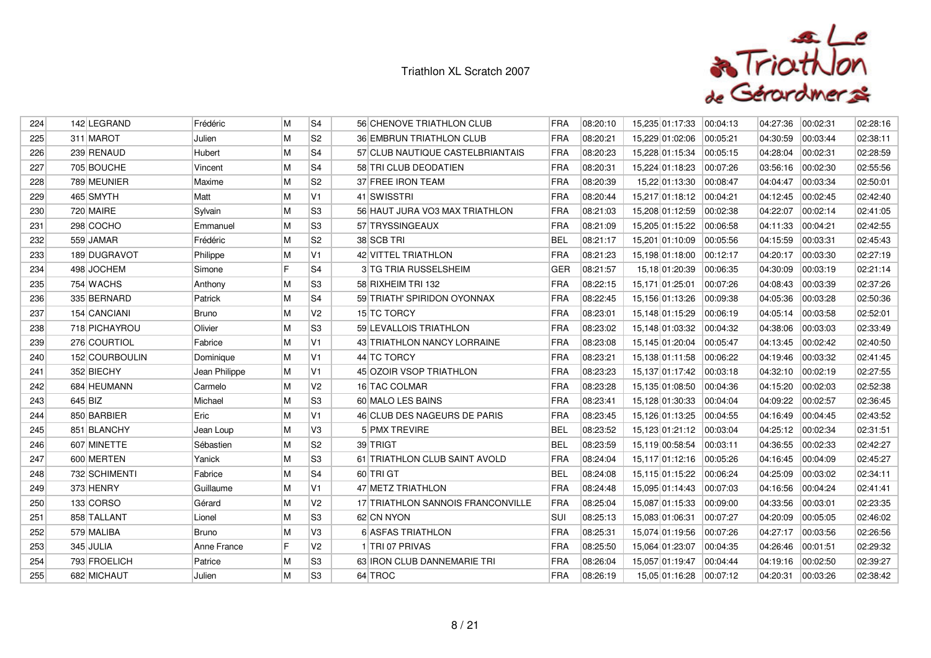

| M<br>S <sub>2</sub><br>FRA<br>225<br>311 MAROT<br><b>36 EMBRUN TRIATHLON CLUB</b><br>08:20:21<br>15,229 01:02:06<br>04:30:59<br>00:03:44<br>02:38:11<br>Julien<br>00:05:21<br>M<br>S4<br>239 RENAUD<br>Hubert<br>57 CLUB NAUTIQUE CASTELBRIANTAIS<br><b>FRA</b><br>08:20:23<br>15,228 01:15:34<br>00:05:15<br>04:28:04<br>00:02:31<br>02:28:59<br>226<br>M<br>S4<br>227<br>705 BOUCHE<br>58 TRI CLUB DEODATIEN<br><b>FRA</b><br>08:20:31<br>15,224 01:18:23<br>00:07:26<br>03:56:16<br>00:02:30<br>02:55:56<br>Vincent<br>M<br>S <sub>2</sub><br>FRA<br>789 MEUNIER<br>37 FREE IRON TEAM<br>08:20:39<br>04:04:47<br>228<br>Maxime<br>15.22 01:13:30<br>00:08:47<br>00:03:34<br>02:50:01<br>M<br>V <sub>1</sub><br>465 SMYTH<br>41 SWISSTRI<br>FRA<br>08:20:44<br>15,217 01:18:12 00:04:21<br>04:12:45<br>00:02:45<br>229<br>Matt<br>02:42:40<br>M<br>S <sub>3</sub><br>230<br>720 MAIRE<br>56 HAUT JURA VO3 MAX TRIATHLON<br><b>FRA</b><br>08:21:03<br>15,208 01:12:59<br>00:02:38<br>04:22:07<br>Sylvain<br>00:02:14<br>02:41:05<br>298 COCHO<br>M<br>S <sub>3</sub><br>FRA<br>57 TRYSSINGEAUX<br>08:21:09<br>15,205 01:15:22<br>00:06:58<br>04:11:33<br>00:04:21<br>02:42:55<br>231<br>Emmanuel<br>M<br>S <sub>2</sub><br><b>BEL</b><br>232<br>559 JAMAR<br>Frédéric<br>38 SCB TRI<br>08:21:17<br>15,201 01:10:09<br>00:05:56<br>04:15:59<br>00:03:31<br>02:45:43<br>M<br>V1<br><b>FRA</b><br>233<br>189 DUGRAVOT<br>Philippe<br>42 VITTEL TRIATHLON<br>08:21:23<br>15,198 01:18:00<br>00:12:17<br>04:20:17<br>00:03:30<br>02:27:19<br>F<br>S <sub>4</sub><br>GER<br>498 JOCHEM<br><b>3 TG TRIA RUSSELSHEIM</b><br>08:21:57<br>15,18 01:20:39<br>04:30:09<br>00:03:19<br>02:21:14<br>234<br>Simone<br>00:06:35<br>M<br>S3<br>FRA<br>754 WACHS<br>58 RIXHEIM TRI 132<br>08:22:15<br>00:07:26<br>04:08:43<br>00:03:39<br>02:37:26<br>235<br>Anthony<br>15,171 01:25:01<br>M<br>S <sub>4</sub><br><b>FRA</b><br>335 BERNARD<br>59 TRIATH' SPIRIDON OYONNAX<br>08:22:45<br>02:50:36<br>236<br>Patrick<br>15,156 01:13:26<br>00:09:38<br>04:05:36<br>00:03:28<br>M<br>154 CANCIANI<br>V <sub>2</sub><br>15 TC TORCY<br>FRA<br>08:23:01<br>04:05:14<br>02:52:01<br>237<br><b>Bruno</b><br>15,148 01:15:29<br>00:06:19<br>00:03:58<br>M<br>Olivier<br>S <sub>3</sub><br>59 LEVALLOIS TRIATHLON<br>FRA<br>08:23:02<br>02:33:49<br>238<br>718 PICHAYROU<br>15,148 01:03:32<br>00:04:32<br>04:38:06<br>00:03:03<br>M<br>V <sub>1</sub><br><b>FRA</b><br>239<br>276 COURTIOL<br>Fabrice<br>43 TRIATHLON NANCY LORRAINE<br>08:23:08<br>15,145 01:20:04<br>00:05:47<br>04:13:45<br>00:02:42<br>02:40:50<br>FRA<br>M<br>V1<br>44 TC TORCY<br>152 COURBOULIN<br>08:23:21<br>15,138 01:11:58<br>00:06:22<br>04:19:46<br>00:03:32<br>02:41:45<br>240<br>Dominique<br>352 BIECHY<br>M<br>V1<br><b>FRA</b><br>08:23:23<br>Jean Philippe<br>45 OZOIR VSOP TRIATHLON<br>15,137 01:17:42  00:03:18<br>04:32:10<br>00:02:19<br>02:27:55<br>241<br>684 HEUMANN<br>M<br>V <sub>2</sub><br><b>FRA</b><br>08:23:28<br>16 TAC COLMAR<br>15,135 01:08:50<br>00:04:36<br>04:15:20<br>00:02:03<br>02:52:38<br>242<br>Carmelo<br>645 BIZ<br>M<br>S <sub>3</sub><br>FRA<br>Michael<br>60 MALO LES BAINS<br>08:23:41<br>15,128 01:30:33<br> 00:04:04<br>04:09:22<br>00:02:57<br>02:36:45<br>243<br>M<br>850 BARBIER<br>Eric<br>V1<br>46 CLUB DES NAGEURS DE PARIS<br>FRA<br>08:23:45<br>15,126 01:13:25<br>00:04:55<br>04:16:49<br>00:04:45<br>02:43:52<br>244<br>M<br>V3<br>851 BLANCHY<br><b>BEL</b><br>08:23:52<br>00:03:04<br>04:25:12<br>00:02:34<br>02:31:51<br>245<br>Jean Loup<br>5 PMX TREVIRE<br>15,123 01:21:12<br>M<br>S <sub>2</sub><br><b>BEL</b><br>607 MINETTE<br>39 TRIGT<br>08:23:59<br>15,119 00:58:54<br>04:36:55<br>246<br>Sébastien<br> 00:03:11<br>00:02:33<br>02:42:27<br>M<br>lS3<br>600 MERTEN<br>61 TRIATHLON CLUB SAINT AVOLD<br>FRA<br>08:24:04<br>15,117 01:12:16<br>04:16:45<br>00:04:09<br>02:45:27<br>247<br>Yanick<br>00:05:26<br>M<br>S <sub>4</sub><br>732 SCHIMENTI<br>60 TRIGT<br><b>BEL</b><br>08:24:08<br>04:25:09<br>02:34:11<br>248<br>15,115 01:15:22<br>00:06:24<br>00:03:02<br>Fabrice<br>373 HENRY<br>M<br>V1<br>47 METZ TRIATHLON<br>FRA<br>Guillaume<br>08:24:48<br>15,095 01:14:43<br>00:07:03<br>04:16:56<br>00:04:24<br>02:41:41<br>249<br>M<br>V2<br>FRA<br>133 CORSO<br>Gérard<br>17 TRIATHLON SANNOIS FRANCONVILLE<br>08:25:04<br>15,087 01:15:33<br>00:09:00<br>04:33:56<br>02:23:35<br>250<br>00:03:01<br>M<br>S <sub>3</sub><br>08:25:13<br>251<br>858 TALLANT<br>62 CN NYON<br>SUI<br>15,083 01:06:31<br>00:07:27<br>04:20:09<br>00:05:05<br>Lionel<br>02:46:02<br>M<br>FRA<br>04:27:17<br>579 MALIBA<br><b>Bruno</b><br>VЗ<br>6 ASFAS TRIATHLON<br>08:25:31<br>15,074 01:19:56<br>02:26:56<br>252<br>00:07:26<br>00:03:56<br>IF<br>V2<br>FRA<br>345 JULIA<br>Anne France<br>1 TRI 07 PRIVAS<br>08:25:50<br>00:04:35<br>04:26:46<br>02:29:32<br>253<br>15,064 01:23:07<br>00:01:51<br>M<br>S <sub>3</sub><br><b>FRA</b><br>793 FROELICH<br>63 IRON CLUB DANNEMARIE TRI<br>08:26:04<br>02:39:27<br>254<br>Patrice<br>15,057 01:19:47<br>00:04:44<br>04:19:16<br>00:02:50<br>M<br>FRA<br>255<br>682 MICHAUT<br>S <sub>3</sub><br>64 TROC<br>08:26:19<br>15,05 01:16:28 00:07:12<br>04:20:31<br>Julien<br>00:03:26<br>02:38:42 | 224 | 142 LEGRAND | Frédéric | M | S <sub>4</sub> | 56 CHENOVE TRIATHLON CLUB | <b>FRA</b> | 08:20:10 | 15,235 01:17:33 | 00:04:13 | 04:27:36 | 00:02:31 | 02:28:16 |
|-------------------------------------------------------------------------------------------------------------------------------------------------------------------------------------------------------------------------------------------------------------------------------------------------------------------------------------------------------------------------------------------------------------------------------------------------------------------------------------------------------------------------------------------------------------------------------------------------------------------------------------------------------------------------------------------------------------------------------------------------------------------------------------------------------------------------------------------------------------------------------------------------------------------------------------------------------------------------------------------------------------------------------------------------------------------------------------------------------------------------------------------------------------------------------------------------------------------------------------------------------------------------------------------------------------------------------------------------------------------------------------------------------------------------------------------------------------------------------------------------------------------------------------------------------------------------------------------------------------------------------------------------------------------------------------------------------------------------------------------------------------------------------------------------------------------------------------------------------------------------------------------------------------------------------------------------------------------------------------------------------------------------------------------------------------------------------------------------------------------------------------------------------------------------------------------------------------------------------------------------------------------------------------------------------------------------------------------------------------------------------------------------------------------------------------------------------------------------------------------------------------------------------------------------------------------------------------------------------------------------------------------------------------------------------------------------------------------------------------------------------------------------------------------------------------------------------------------------------------------------------------------------------------------------------------------------------------------------------------------------------------------------------------------------------------------------------------------------------------------------------------------------------------------------------------------------------------------------------------------------------------------------------------------------------------------------------------------------------------------------------------------------------------------------------------------------------------------------------------------------------------------------------------------------------------------------------------------------------------------------------------------------------------------------------------------------------------------------------------------------------------------------------------------------------------------------------------------------------------------------------------------------------------------------------------------------------------------------------------------------------------------------------------------------------------------------------------------------------------------------------------------------------------------------------------------------------------------------------------------------------------------------------------------------------------------------------------------------------------------------------------------------------------------------------------------------------------------------------------------------------------------------------------------------------------------------------------------------------------------------------------------------------------------------------------------------------------------------------------------------------------------------------------------------------------------------------------------------------------------------------------------------------------------------------------------------------------------------------------------------------------------------------------------------------------------------------------------------------------------------------------------------------------------------------------------------------------------------------------------------------|-----|-------------|----------|---|----------------|---------------------------|------------|----------|-----------------|----------|----------|----------|----------|
|                                                                                                                                                                                                                                                                                                                                                                                                                                                                                                                                                                                                                                                                                                                                                                                                                                                                                                                                                                                                                                                                                                                                                                                                                                                                                                                                                                                                                                                                                                                                                                                                                                                                                                                                                                                                                                                                                                                                                                                                                                                                                                                                                                                                                                                                                                                                                                                                                                                                                                                                                                                                                                                                                                                                                                                                                                                                                                                                                                                                                                                                                                                                                                                                                                                                                                                                                                                                                                                                                                                                                                                                                                                                                                                                                                                                                                                                                                                                                                                                                                                                                                                                                                                                                                                                                                                                                                                                                                                                                                                                                                                                                                                                                                                                                                                                                                                                                                                                                                                                                                                                                                                                                                                                                                                       |     |             |          |   |                |                           |            |          |                 |          |          |          |          |
|                                                                                                                                                                                                                                                                                                                                                                                                                                                                                                                                                                                                                                                                                                                                                                                                                                                                                                                                                                                                                                                                                                                                                                                                                                                                                                                                                                                                                                                                                                                                                                                                                                                                                                                                                                                                                                                                                                                                                                                                                                                                                                                                                                                                                                                                                                                                                                                                                                                                                                                                                                                                                                                                                                                                                                                                                                                                                                                                                                                                                                                                                                                                                                                                                                                                                                                                                                                                                                                                                                                                                                                                                                                                                                                                                                                                                                                                                                                                                                                                                                                                                                                                                                                                                                                                                                                                                                                                                                                                                                                                                                                                                                                                                                                                                                                                                                                                                                                                                                                                                                                                                                                                                                                                                                                       |     |             |          |   |                |                           |            |          |                 |          |          |          |          |
|                                                                                                                                                                                                                                                                                                                                                                                                                                                                                                                                                                                                                                                                                                                                                                                                                                                                                                                                                                                                                                                                                                                                                                                                                                                                                                                                                                                                                                                                                                                                                                                                                                                                                                                                                                                                                                                                                                                                                                                                                                                                                                                                                                                                                                                                                                                                                                                                                                                                                                                                                                                                                                                                                                                                                                                                                                                                                                                                                                                                                                                                                                                                                                                                                                                                                                                                                                                                                                                                                                                                                                                                                                                                                                                                                                                                                                                                                                                                                                                                                                                                                                                                                                                                                                                                                                                                                                                                                                                                                                                                                                                                                                                                                                                                                                                                                                                                                                                                                                                                                                                                                                                                                                                                                                                       |     |             |          |   |                |                           |            |          |                 |          |          |          |          |
|                                                                                                                                                                                                                                                                                                                                                                                                                                                                                                                                                                                                                                                                                                                                                                                                                                                                                                                                                                                                                                                                                                                                                                                                                                                                                                                                                                                                                                                                                                                                                                                                                                                                                                                                                                                                                                                                                                                                                                                                                                                                                                                                                                                                                                                                                                                                                                                                                                                                                                                                                                                                                                                                                                                                                                                                                                                                                                                                                                                                                                                                                                                                                                                                                                                                                                                                                                                                                                                                                                                                                                                                                                                                                                                                                                                                                                                                                                                                                                                                                                                                                                                                                                                                                                                                                                                                                                                                                                                                                                                                                                                                                                                                                                                                                                                                                                                                                                                                                                                                                                                                                                                                                                                                                                                       |     |             |          |   |                |                           |            |          |                 |          |          |          |          |
|                                                                                                                                                                                                                                                                                                                                                                                                                                                                                                                                                                                                                                                                                                                                                                                                                                                                                                                                                                                                                                                                                                                                                                                                                                                                                                                                                                                                                                                                                                                                                                                                                                                                                                                                                                                                                                                                                                                                                                                                                                                                                                                                                                                                                                                                                                                                                                                                                                                                                                                                                                                                                                                                                                                                                                                                                                                                                                                                                                                                                                                                                                                                                                                                                                                                                                                                                                                                                                                                                                                                                                                                                                                                                                                                                                                                                                                                                                                                                                                                                                                                                                                                                                                                                                                                                                                                                                                                                                                                                                                                                                                                                                                                                                                                                                                                                                                                                                                                                                                                                                                                                                                                                                                                                                                       |     |             |          |   |                |                           |            |          |                 |          |          |          |          |
|                                                                                                                                                                                                                                                                                                                                                                                                                                                                                                                                                                                                                                                                                                                                                                                                                                                                                                                                                                                                                                                                                                                                                                                                                                                                                                                                                                                                                                                                                                                                                                                                                                                                                                                                                                                                                                                                                                                                                                                                                                                                                                                                                                                                                                                                                                                                                                                                                                                                                                                                                                                                                                                                                                                                                                                                                                                                                                                                                                                                                                                                                                                                                                                                                                                                                                                                                                                                                                                                                                                                                                                                                                                                                                                                                                                                                                                                                                                                                                                                                                                                                                                                                                                                                                                                                                                                                                                                                                                                                                                                                                                                                                                                                                                                                                                                                                                                                                                                                                                                                                                                                                                                                                                                                                                       |     |             |          |   |                |                           |            |          |                 |          |          |          |          |
|                                                                                                                                                                                                                                                                                                                                                                                                                                                                                                                                                                                                                                                                                                                                                                                                                                                                                                                                                                                                                                                                                                                                                                                                                                                                                                                                                                                                                                                                                                                                                                                                                                                                                                                                                                                                                                                                                                                                                                                                                                                                                                                                                                                                                                                                                                                                                                                                                                                                                                                                                                                                                                                                                                                                                                                                                                                                                                                                                                                                                                                                                                                                                                                                                                                                                                                                                                                                                                                                                                                                                                                                                                                                                                                                                                                                                                                                                                                                                                                                                                                                                                                                                                                                                                                                                                                                                                                                                                                                                                                                                                                                                                                                                                                                                                                                                                                                                                                                                                                                                                                                                                                                                                                                                                                       |     |             |          |   |                |                           |            |          |                 |          |          |          |          |
|                                                                                                                                                                                                                                                                                                                                                                                                                                                                                                                                                                                                                                                                                                                                                                                                                                                                                                                                                                                                                                                                                                                                                                                                                                                                                                                                                                                                                                                                                                                                                                                                                                                                                                                                                                                                                                                                                                                                                                                                                                                                                                                                                                                                                                                                                                                                                                                                                                                                                                                                                                                                                                                                                                                                                                                                                                                                                                                                                                                                                                                                                                                                                                                                                                                                                                                                                                                                                                                                                                                                                                                                                                                                                                                                                                                                                                                                                                                                                                                                                                                                                                                                                                                                                                                                                                                                                                                                                                                                                                                                                                                                                                                                                                                                                                                                                                                                                                                                                                                                                                                                                                                                                                                                                                                       |     |             |          |   |                |                           |            |          |                 |          |          |          |          |
|                                                                                                                                                                                                                                                                                                                                                                                                                                                                                                                                                                                                                                                                                                                                                                                                                                                                                                                                                                                                                                                                                                                                                                                                                                                                                                                                                                                                                                                                                                                                                                                                                                                                                                                                                                                                                                                                                                                                                                                                                                                                                                                                                                                                                                                                                                                                                                                                                                                                                                                                                                                                                                                                                                                                                                                                                                                                                                                                                                                                                                                                                                                                                                                                                                                                                                                                                                                                                                                                                                                                                                                                                                                                                                                                                                                                                                                                                                                                                                                                                                                                                                                                                                                                                                                                                                                                                                                                                                                                                                                                                                                                                                                                                                                                                                                                                                                                                                                                                                                                                                                                                                                                                                                                                                                       |     |             |          |   |                |                           |            |          |                 |          |          |          |          |
|                                                                                                                                                                                                                                                                                                                                                                                                                                                                                                                                                                                                                                                                                                                                                                                                                                                                                                                                                                                                                                                                                                                                                                                                                                                                                                                                                                                                                                                                                                                                                                                                                                                                                                                                                                                                                                                                                                                                                                                                                                                                                                                                                                                                                                                                                                                                                                                                                                                                                                                                                                                                                                                                                                                                                                                                                                                                                                                                                                                                                                                                                                                                                                                                                                                                                                                                                                                                                                                                                                                                                                                                                                                                                                                                                                                                                                                                                                                                                                                                                                                                                                                                                                                                                                                                                                                                                                                                                                                                                                                                                                                                                                                                                                                                                                                                                                                                                                                                                                                                                                                                                                                                                                                                                                                       |     |             |          |   |                |                           |            |          |                 |          |          |          |          |
|                                                                                                                                                                                                                                                                                                                                                                                                                                                                                                                                                                                                                                                                                                                                                                                                                                                                                                                                                                                                                                                                                                                                                                                                                                                                                                                                                                                                                                                                                                                                                                                                                                                                                                                                                                                                                                                                                                                                                                                                                                                                                                                                                                                                                                                                                                                                                                                                                                                                                                                                                                                                                                                                                                                                                                                                                                                                                                                                                                                                                                                                                                                                                                                                                                                                                                                                                                                                                                                                                                                                                                                                                                                                                                                                                                                                                                                                                                                                                                                                                                                                                                                                                                                                                                                                                                                                                                                                                                                                                                                                                                                                                                                                                                                                                                                                                                                                                                                                                                                                                                                                                                                                                                                                                                                       |     |             |          |   |                |                           |            |          |                 |          |          |          |          |
|                                                                                                                                                                                                                                                                                                                                                                                                                                                                                                                                                                                                                                                                                                                                                                                                                                                                                                                                                                                                                                                                                                                                                                                                                                                                                                                                                                                                                                                                                                                                                                                                                                                                                                                                                                                                                                                                                                                                                                                                                                                                                                                                                                                                                                                                                                                                                                                                                                                                                                                                                                                                                                                                                                                                                                                                                                                                                                                                                                                                                                                                                                                                                                                                                                                                                                                                                                                                                                                                                                                                                                                                                                                                                                                                                                                                                                                                                                                                                                                                                                                                                                                                                                                                                                                                                                                                                                                                                                                                                                                                                                                                                                                                                                                                                                                                                                                                                                                                                                                                                                                                                                                                                                                                                                                       |     |             |          |   |                |                           |            |          |                 |          |          |          |          |
|                                                                                                                                                                                                                                                                                                                                                                                                                                                                                                                                                                                                                                                                                                                                                                                                                                                                                                                                                                                                                                                                                                                                                                                                                                                                                                                                                                                                                                                                                                                                                                                                                                                                                                                                                                                                                                                                                                                                                                                                                                                                                                                                                                                                                                                                                                                                                                                                                                                                                                                                                                                                                                                                                                                                                                                                                                                                                                                                                                                                                                                                                                                                                                                                                                                                                                                                                                                                                                                                                                                                                                                                                                                                                                                                                                                                                                                                                                                                                                                                                                                                                                                                                                                                                                                                                                                                                                                                                                                                                                                                                                                                                                                                                                                                                                                                                                                                                                                                                                                                                                                                                                                                                                                                                                                       |     |             |          |   |                |                           |            |          |                 |          |          |          |          |
|                                                                                                                                                                                                                                                                                                                                                                                                                                                                                                                                                                                                                                                                                                                                                                                                                                                                                                                                                                                                                                                                                                                                                                                                                                                                                                                                                                                                                                                                                                                                                                                                                                                                                                                                                                                                                                                                                                                                                                                                                                                                                                                                                                                                                                                                                                                                                                                                                                                                                                                                                                                                                                                                                                                                                                                                                                                                                                                                                                                                                                                                                                                                                                                                                                                                                                                                                                                                                                                                                                                                                                                                                                                                                                                                                                                                                                                                                                                                                                                                                                                                                                                                                                                                                                                                                                                                                                                                                                                                                                                                                                                                                                                                                                                                                                                                                                                                                                                                                                                                                                                                                                                                                                                                                                                       |     |             |          |   |                |                           |            |          |                 |          |          |          |          |
|                                                                                                                                                                                                                                                                                                                                                                                                                                                                                                                                                                                                                                                                                                                                                                                                                                                                                                                                                                                                                                                                                                                                                                                                                                                                                                                                                                                                                                                                                                                                                                                                                                                                                                                                                                                                                                                                                                                                                                                                                                                                                                                                                                                                                                                                                                                                                                                                                                                                                                                                                                                                                                                                                                                                                                                                                                                                                                                                                                                                                                                                                                                                                                                                                                                                                                                                                                                                                                                                                                                                                                                                                                                                                                                                                                                                                                                                                                                                                                                                                                                                                                                                                                                                                                                                                                                                                                                                                                                                                                                                                                                                                                                                                                                                                                                                                                                                                                                                                                                                                                                                                                                                                                                                                                                       |     |             |          |   |                |                           |            |          |                 |          |          |          |          |
|                                                                                                                                                                                                                                                                                                                                                                                                                                                                                                                                                                                                                                                                                                                                                                                                                                                                                                                                                                                                                                                                                                                                                                                                                                                                                                                                                                                                                                                                                                                                                                                                                                                                                                                                                                                                                                                                                                                                                                                                                                                                                                                                                                                                                                                                                                                                                                                                                                                                                                                                                                                                                                                                                                                                                                                                                                                                                                                                                                                                                                                                                                                                                                                                                                                                                                                                                                                                                                                                                                                                                                                                                                                                                                                                                                                                                                                                                                                                                                                                                                                                                                                                                                                                                                                                                                                                                                                                                                                                                                                                                                                                                                                                                                                                                                                                                                                                                                                                                                                                                                                                                                                                                                                                                                                       |     |             |          |   |                |                           |            |          |                 |          |          |          |          |
|                                                                                                                                                                                                                                                                                                                                                                                                                                                                                                                                                                                                                                                                                                                                                                                                                                                                                                                                                                                                                                                                                                                                                                                                                                                                                                                                                                                                                                                                                                                                                                                                                                                                                                                                                                                                                                                                                                                                                                                                                                                                                                                                                                                                                                                                                                                                                                                                                                                                                                                                                                                                                                                                                                                                                                                                                                                                                                                                                                                                                                                                                                                                                                                                                                                                                                                                                                                                                                                                                                                                                                                                                                                                                                                                                                                                                                                                                                                                                                                                                                                                                                                                                                                                                                                                                                                                                                                                                                                                                                                                                                                                                                                                                                                                                                                                                                                                                                                                                                                                                                                                                                                                                                                                                                                       |     |             |          |   |                |                           |            |          |                 |          |          |          |          |
|                                                                                                                                                                                                                                                                                                                                                                                                                                                                                                                                                                                                                                                                                                                                                                                                                                                                                                                                                                                                                                                                                                                                                                                                                                                                                                                                                                                                                                                                                                                                                                                                                                                                                                                                                                                                                                                                                                                                                                                                                                                                                                                                                                                                                                                                                                                                                                                                                                                                                                                                                                                                                                                                                                                                                                                                                                                                                                                                                                                                                                                                                                                                                                                                                                                                                                                                                                                                                                                                                                                                                                                                                                                                                                                                                                                                                                                                                                                                                                                                                                                                                                                                                                                                                                                                                                                                                                                                                                                                                                                                                                                                                                                                                                                                                                                                                                                                                                                                                                                                                                                                                                                                                                                                                                                       |     |             |          |   |                |                           |            |          |                 |          |          |          |          |
|                                                                                                                                                                                                                                                                                                                                                                                                                                                                                                                                                                                                                                                                                                                                                                                                                                                                                                                                                                                                                                                                                                                                                                                                                                                                                                                                                                                                                                                                                                                                                                                                                                                                                                                                                                                                                                                                                                                                                                                                                                                                                                                                                                                                                                                                                                                                                                                                                                                                                                                                                                                                                                                                                                                                                                                                                                                                                                                                                                                                                                                                                                                                                                                                                                                                                                                                                                                                                                                                                                                                                                                                                                                                                                                                                                                                                                                                                                                                                                                                                                                                                                                                                                                                                                                                                                                                                                                                                                                                                                                                                                                                                                                                                                                                                                                                                                                                                                                                                                                                                                                                                                                                                                                                                                                       |     |             |          |   |                |                           |            |          |                 |          |          |          |          |
|                                                                                                                                                                                                                                                                                                                                                                                                                                                                                                                                                                                                                                                                                                                                                                                                                                                                                                                                                                                                                                                                                                                                                                                                                                                                                                                                                                                                                                                                                                                                                                                                                                                                                                                                                                                                                                                                                                                                                                                                                                                                                                                                                                                                                                                                                                                                                                                                                                                                                                                                                                                                                                                                                                                                                                                                                                                                                                                                                                                                                                                                                                                                                                                                                                                                                                                                                                                                                                                                                                                                                                                                                                                                                                                                                                                                                                                                                                                                                                                                                                                                                                                                                                                                                                                                                                                                                                                                                                                                                                                                                                                                                                                                                                                                                                                                                                                                                                                                                                                                                                                                                                                                                                                                                                                       |     |             |          |   |                |                           |            |          |                 |          |          |          |          |
|                                                                                                                                                                                                                                                                                                                                                                                                                                                                                                                                                                                                                                                                                                                                                                                                                                                                                                                                                                                                                                                                                                                                                                                                                                                                                                                                                                                                                                                                                                                                                                                                                                                                                                                                                                                                                                                                                                                                                                                                                                                                                                                                                                                                                                                                                                                                                                                                                                                                                                                                                                                                                                                                                                                                                                                                                                                                                                                                                                                                                                                                                                                                                                                                                                                                                                                                                                                                                                                                                                                                                                                                                                                                                                                                                                                                                                                                                                                                                                                                                                                                                                                                                                                                                                                                                                                                                                                                                                                                                                                                                                                                                                                                                                                                                                                                                                                                                                                                                                                                                                                                                                                                                                                                                                                       |     |             |          |   |                |                           |            |          |                 |          |          |          |          |
|                                                                                                                                                                                                                                                                                                                                                                                                                                                                                                                                                                                                                                                                                                                                                                                                                                                                                                                                                                                                                                                                                                                                                                                                                                                                                                                                                                                                                                                                                                                                                                                                                                                                                                                                                                                                                                                                                                                                                                                                                                                                                                                                                                                                                                                                                                                                                                                                                                                                                                                                                                                                                                                                                                                                                                                                                                                                                                                                                                                                                                                                                                                                                                                                                                                                                                                                                                                                                                                                                                                                                                                                                                                                                                                                                                                                                                                                                                                                                                                                                                                                                                                                                                                                                                                                                                                                                                                                                                                                                                                                                                                                                                                                                                                                                                                                                                                                                                                                                                                                                                                                                                                                                                                                                                                       |     |             |          |   |                |                           |            |          |                 |          |          |          |          |
|                                                                                                                                                                                                                                                                                                                                                                                                                                                                                                                                                                                                                                                                                                                                                                                                                                                                                                                                                                                                                                                                                                                                                                                                                                                                                                                                                                                                                                                                                                                                                                                                                                                                                                                                                                                                                                                                                                                                                                                                                                                                                                                                                                                                                                                                                                                                                                                                                                                                                                                                                                                                                                                                                                                                                                                                                                                                                                                                                                                                                                                                                                                                                                                                                                                                                                                                                                                                                                                                                                                                                                                                                                                                                                                                                                                                                                                                                                                                                                                                                                                                                                                                                                                                                                                                                                                                                                                                                                                                                                                                                                                                                                                                                                                                                                                                                                                                                                                                                                                                                                                                                                                                                                                                                                                       |     |             |          |   |                |                           |            |          |                 |          |          |          |          |
|                                                                                                                                                                                                                                                                                                                                                                                                                                                                                                                                                                                                                                                                                                                                                                                                                                                                                                                                                                                                                                                                                                                                                                                                                                                                                                                                                                                                                                                                                                                                                                                                                                                                                                                                                                                                                                                                                                                                                                                                                                                                                                                                                                                                                                                                                                                                                                                                                                                                                                                                                                                                                                                                                                                                                                                                                                                                                                                                                                                                                                                                                                                                                                                                                                                                                                                                                                                                                                                                                                                                                                                                                                                                                                                                                                                                                                                                                                                                                                                                                                                                                                                                                                                                                                                                                                                                                                                                                                                                                                                                                                                                                                                                                                                                                                                                                                                                                                                                                                                                                                                                                                                                                                                                                                                       |     |             |          |   |                |                           |            |          |                 |          |          |          |          |
|                                                                                                                                                                                                                                                                                                                                                                                                                                                                                                                                                                                                                                                                                                                                                                                                                                                                                                                                                                                                                                                                                                                                                                                                                                                                                                                                                                                                                                                                                                                                                                                                                                                                                                                                                                                                                                                                                                                                                                                                                                                                                                                                                                                                                                                                                                                                                                                                                                                                                                                                                                                                                                                                                                                                                                                                                                                                                                                                                                                                                                                                                                                                                                                                                                                                                                                                                                                                                                                                                                                                                                                                                                                                                                                                                                                                                                                                                                                                                                                                                                                                                                                                                                                                                                                                                                                                                                                                                                                                                                                                                                                                                                                                                                                                                                                                                                                                                                                                                                                                                                                                                                                                                                                                                                                       |     |             |          |   |                |                           |            |          |                 |          |          |          |          |
|                                                                                                                                                                                                                                                                                                                                                                                                                                                                                                                                                                                                                                                                                                                                                                                                                                                                                                                                                                                                                                                                                                                                                                                                                                                                                                                                                                                                                                                                                                                                                                                                                                                                                                                                                                                                                                                                                                                                                                                                                                                                                                                                                                                                                                                                                                                                                                                                                                                                                                                                                                                                                                                                                                                                                                                                                                                                                                                                                                                                                                                                                                                                                                                                                                                                                                                                                                                                                                                                                                                                                                                                                                                                                                                                                                                                                                                                                                                                                                                                                                                                                                                                                                                                                                                                                                                                                                                                                                                                                                                                                                                                                                                                                                                                                                                                                                                                                                                                                                                                                                                                                                                                                                                                                                                       |     |             |          |   |                |                           |            |          |                 |          |          |          |          |
|                                                                                                                                                                                                                                                                                                                                                                                                                                                                                                                                                                                                                                                                                                                                                                                                                                                                                                                                                                                                                                                                                                                                                                                                                                                                                                                                                                                                                                                                                                                                                                                                                                                                                                                                                                                                                                                                                                                                                                                                                                                                                                                                                                                                                                                                                                                                                                                                                                                                                                                                                                                                                                                                                                                                                                                                                                                                                                                                                                                                                                                                                                                                                                                                                                                                                                                                                                                                                                                                                                                                                                                                                                                                                                                                                                                                                                                                                                                                                                                                                                                                                                                                                                                                                                                                                                                                                                                                                                                                                                                                                                                                                                                                                                                                                                                                                                                                                                                                                                                                                                                                                                                                                                                                                                                       |     |             |          |   |                |                           |            |          |                 |          |          |          |          |
|                                                                                                                                                                                                                                                                                                                                                                                                                                                                                                                                                                                                                                                                                                                                                                                                                                                                                                                                                                                                                                                                                                                                                                                                                                                                                                                                                                                                                                                                                                                                                                                                                                                                                                                                                                                                                                                                                                                                                                                                                                                                                                                                                                                                                                                                                                                                                                                                                                                                                                                                                                                                                                                                                                                                                                                                                                                                                                                                                                                                                                                                                                                                                                                                                                                                                                                                                                                                                                                                                                                                                                                                                                                                                                                                                                                                                                                                                                                                                                                                                                                                                                                                                                                                                                                                                                                                                                                                                                                                                                                                                                                                                                                                                                                                                                                                                                                                                                                                                                                                                                                                                                                                                                                                                                                       |     |             |          |   |                |                           |            |          |                 |          |          |          |          |
|                                                                                                                                                                                                                                                                                                                                                                                                                                                                                                                                                                                                                                                                                                                                                                                                                                                                                                                                                                                                                                                                                                                                                                                                                                                                                                                                                                                                                                                                                                                                                                                                                                                                                                                                                                                                                                                                                                                                                                                                                                                                                                                                                                                                                                                                                                                                                                                                                                                                                                                                                                                                                                                                                                                                                                                                                                                                                                                                                                                                                                                                                                                                                                                                                                                                                                                                                                                                                                                                                                                                                                                                                                                                                                                                                                                                                                                                                                                                                                                                                                                                                                                                                                                                                                                                                                                                                                                                                                                                                                                                                                                                                                                                                                                                                                                                                                                                                                                                                                                                                                                                                                                                                                                                                                                       |     |             |          |   |                |                           |            |          |                 |          |          |          |          |
|                                                                                                                                                                                                                                                                                                                                                                                                                                                                                                                                                                                                                                                                                                                                                                                                                                                                                                                                                                                                                                                                                                                                                                                                                                                                                                                                                                                                                                                                                                                                                                                                                                                                                                                                                                                                                                                                                                                                                                                                                                                                                                                                                                                                                                                                                                                                                                                                                                                                                                                                                                                                                                                                                                                                                                                                                                                                                                                                                                                                                                                                                                                                                                                                                                                                                                                                                                                                                                                                                                                                                                                                                                                                                                                                                                                                                                                                                                                                                                                                                                                                                                                                                                                                                                                                                                                                                                                                                                                                                                                                                                                                                                                                                                                                                                                                                                                                                                                                                                                                                                                                                                                                                                                                                                                       |     |             |          |   |                |                           |            |          |                 |          |          |          |          |
|                                                                                                                                                                                                                                                                                                                                                                                                                                                                                                                                                                                                                                                                                                                                                                                                                                                                                                                                                                                                                                                                                                                                                                                                                                                                                                                                                                                                                                                                                                                                                                                                                                                                                                                                                                                                                                                                                                                                                                                                                                                                                                                                                                                                                                                                                                                                                                                                                                                                                                                                                                                                                                                                                                                                                                                                                                                                                                                                                                                                                                                                                                                                                                                                                                                                                                                                                                                                                                                                                                                                                                                                                                                                                                                                                                                                                                                                                                                                                                                                                                                                                                                                                                                                                                                                                                                                                                                                                                                                                                                                                                                                                                                                                                                                                                                                                                                                                                                                                                                                                                                                                                                                                                                                                                                       |     |             |          |   |                |                           |            |          |                 |          |          |          |          |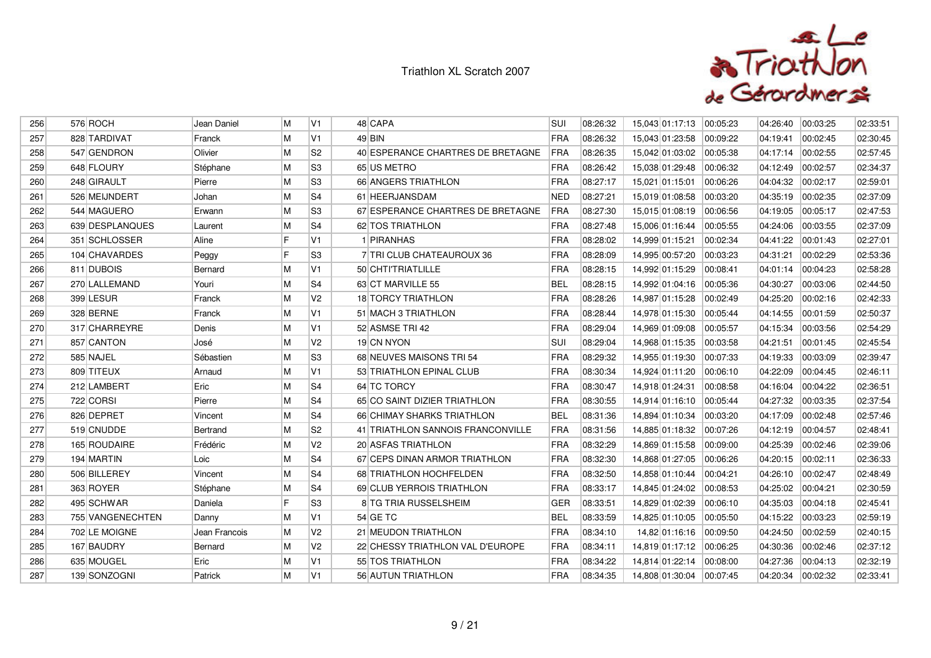

| 256 | 576 ROCH         | Jean Daniel   | M  | V <sub>1</sub> | 48 CAPA                           | <b>SUI</b> | 08:26:32 | 15,043 01:17:13 | 00:05:23 | 04:26:40 | 00:03:25 | 02:33:51 |
|-----|------------------|---------------|----|----------------|-----------------------------------|------------|----------|-----------------|----------|----------|----------|----------|
| 257 | 828 TARDIVAT     | Franck        | M  | V1             | $49$ BIN                          | <b>FRA</b> | 08:26:32 | 15,043 01:23:58 | 00:09:22 | 04:19:41 | 00:02:45 | 02:30:45 |
| 258 | 547 GENDRON      | Olivier       | M  | S <sub>2</sub> | 40 ESPERANCE CHARTRES DE BRETAGNE | FRA        | 08:26:35 | 15,042 01:03:02 | 00:05:38 | 04:17:14 | 00:02:55 | 02:57:45 |
| 259 | 648 FLOURY       | Stéphane      | M  | S3             | 65 US METRO                       | FRA        | 08:26:42 | 15,038 01:29:48 | 00:06:32 | 04:12:49 | 00:02:57 | 02:34:37 |
| 260 | 248 GIRAULT      | Pierre        | M  | S <sub>3</sub> | 66 ANGERS TRIATHLON               | FRA        | 08:27:17 | 15,021 01:15:01 | 00:06:26 | 04:04:32 | 00:02:17 | 02:59:01 |
| 261 | 526 MEIJNDERT    | Johan         | M  | S4             | 61 HEERJANSDAM                    | <b>NED</b> | 08:27:21 | 15,019 01:08:58 | 00:03:20 | 04:35:19 | 00:02:35 | 02:37:09 |
| 262 | 544 MAGUERO      | Erwann        | M  | S <sub>3</sub> | 67 ESPERANCE CHARTRES DE BRETAGNE | <b>FRA</b> | 08:27:30 | 15,015 01:08:19 | 00:06:56 | 04:19:05 | 00:05:17 | 02:47:53 |
| 263 | 639 DESPLANQUES  | Laurent       | M  | S4             | 62 TOS TRIATHLON                  | <b>FRA</b> | 08:27:48 | 15,006 01:16:44 | 00:05:55 | 04:24:06 | 00:03:55 | 02:37:09 |
| 264 | 351 SCHLOSSER    | Aline         | F  | V1             | 1 PIRANHAS                        | <b>FRA</b> | 08:28:02 | 14,999 01:15:21 | 00:02:34 | 04:41:22 | 00:01:43 | 02:27:01 |
| 265 | 104 CHAVARDES    | Peggy         | F  | S <sub>3</sub> | 7 TRI CLUB CHATEAUROUX 36         | <b>FRA</b> | 08:28:09 | 14,995 00:57:20 | 00:03:23 | 04:31:21 | 00:02:29 | 02:53:36 |
| 266 | 811 DUBOIS       | Bernard       | M  | V1             | 50 CHTI'TRIATLILLE                | FRA        | 08:28:15 | 14,992 01:15:29 | 00:08:41 | 04:01:14 | 00:04:23 | 02:58:28 |
| 267 | 270 LALLEMAND    | Youri         | M  | S4             | 63 CT MARVILLE 55                 | <b>BEL</b> | 08:28:15 | 14,992 01:04:16 | 00:05:36 | 04:30:27 | 00:03:06 | 02:44:50 |
| 268 | 399 LESUR        | Franck        | M  | V <sub>2</sub> | 18 TORCY TRIATHLON                | FRA        | 08:28:26 | 14,987 01:15:28 | 00:02:49 | 04:25:20 | 00:02:16 | 02:42:33 |
| 269 | 328 BERNE        | Franck        | M  | V1             | 51 MACH 3 TRIATHLON               | <b>FRA</b> | 08:28:44 | 14,978 01:15:30 | 00:05:44 | 04:14:55 | 00:01:59 | 02:50:37 |
| 270 | 317 CHARREYRE    | Denis         | M  | V1             | 52 ASMSE TRI 42                   | <b>FRA</b> | 08:29:04 | 14,969 01:09:08 | 00:05:57 | 04:15:34 | 00:03:56 | 02:54:29 |
| 271 | 857 CANTON       | José          | M  | V <sub>2</sub> | 19 CN NYON                        | SUI        | 08:29:04 | 14,968 01:15:35 | 00:03:58 | 04:21:51 | 00:01:45 | 02:45:54 |
| 272 | 585 NAJEL        | Sébastien     | ۱M | S3             | 68 NEUVES MAISONS TRI 54          | <b>FRA</b> | 08:29:32 | 14,955 01:19:30 | 00:07:33 | 04:19:33 | 00:03:09 | 02:39:47 |
| 273 | 809 TITEUX       | Arnaud        | M  | V <sub>1</sub> | 53 TRIATHLON EPINAL CLUB          | FRA        | 08:30:34 | 14,924 01:11:20 | 00:06:10 | 04:22:09 | 00:04:45 | 02:46:11 |
| 274 | 212 LAMBERT      | Eric          | M  | S4             | 64 TC TORCY                       | FRA        | 08:30:47 | 14,918 01:24:31 | 00:08:58 | 04:16:04 | 00:04:22 | 02:36:51 |
| 275 | 722 CORSI        | Pierre        | M  | S4             | 65 CO SAINT DIZIER TRIATHLON      | FRA        | 08:30:55 | 14,914 01:16:10 | 00:05:44 | 04:27:32 | 00:03:35 | 02:37:54 |
| 276 | 826 DEPRET       | Vincent       | M  | S4             | 66 CHIMAY SHARKS TRIATHLON        | <b>BEL</b> | 08:31:36 | 14,894 01:10:34 | 00:03:20 | 04:17:09 | 00:02:48 | 02:57:46 |
| 277 | 519 CNUDDE       | Bertrand      | M  | S <sub>2</sub> | 41 TRIATHLON SANNOIS FRANCONVILLE | <b>FRA</b> | 08:31:56 | 14,885 01:18:32 | 00:07:26 | 04:12:19 | 00:04:57 | 02:48:41 |
| 278 | 165 ROUDAIRE     | Frédéric      | M  | V <sub>2</sub> | 20 ASFAS TRIATHLON                | FRA        | 08:32:29 | 14,869 01:15:58 | 00:09:00 | 04:25:39 | 00:02:46 | 02:39:06 |
| 279 | 194 MARTIN       | Loic          | M  | S4             | 67 CEPS DINAN ARMOR TRIATHLON     | FRA        | 08:32:30 | 14,868 01:27:05 | 00:06:26 | 04:20:15 | 00:02:11 | 02:36:33 |
| 280 | 506 BILLEREY     | Vincent       | M  | S4             | 68 TRIATHLON HOCHFELDEN           | <b>FRA</b> | 08:32:50 | 14,858 01:10:44 | 00:04:21 | 04:26:10 | 00:02:47 | 02:48:49 |
| 281 | 363 ROYER        | Stéphane      | M  | S4             | 69 CLUB YERROIS TRIATHLON         | FRA        | 08:33:17 | 14,845 01:24:02 | 00:08:53 | 04:25:02 | 00:04:21 | 02:30:59 |
| 282 | 495 SCHWAR       | Daniela       | F  | S <sub>3</sub> | 8 TG TRIA RUSSELSHEIM             | <b>GER</b> | 08:33:51 | 14,829 01:02:39 | 00:06:10 | 04:35:03 | 00:04:18 | 02:45:41 |
| 283 | 755 VANGENECHTEN | Danny         | M  | V1             | 54 GE TC                          | <b>BEL</b> | 08:33:59 | 14,825 01:10:05 | 00:05:50 | 04:15:22 | 00:03:23 | 02:59:19 |
| 284 | 702 LE MOIGNE    | Jean Francois | M  | V <sub>2</sub> | 21 MEUDON TRIATHLON               | FRA        | 08:34:10 | 14,82 01:16:16  | 00:09:50 | 04:24:50 | 00:02:59 | 02:40:15 |
| 285 | 167 BAUDRY       | Bernard       | M  | V <sub>2</sub> | 22 CHESSY TRIATHLON VAL D'EUROPE  | FRA        | 08:34:11 | 14,819 01:17:12 | 00:06:25 | 04:30:36 | 00:02:46 | 02:37:12 |
| 286 | 635 MOUGEL       | Eric          | M  | V1             | 55 TOS TRIATHLON                  | <b>FRA</b> | 08:34:22 | 14,814 01:22:14 | 00:08:00 | 04:27:36 | 00:04:13 | 02:32:19 |
| 287 | 139 SONZOGNI     | Patrick       | M  | V1             | 56 AUTUN TRIATHLON                | <b>FRA</b> | 08:34:35 | 14,808 01:30:04 | 00:07:45 | 04:20:34 | 00:02:32 | 02:33:41 |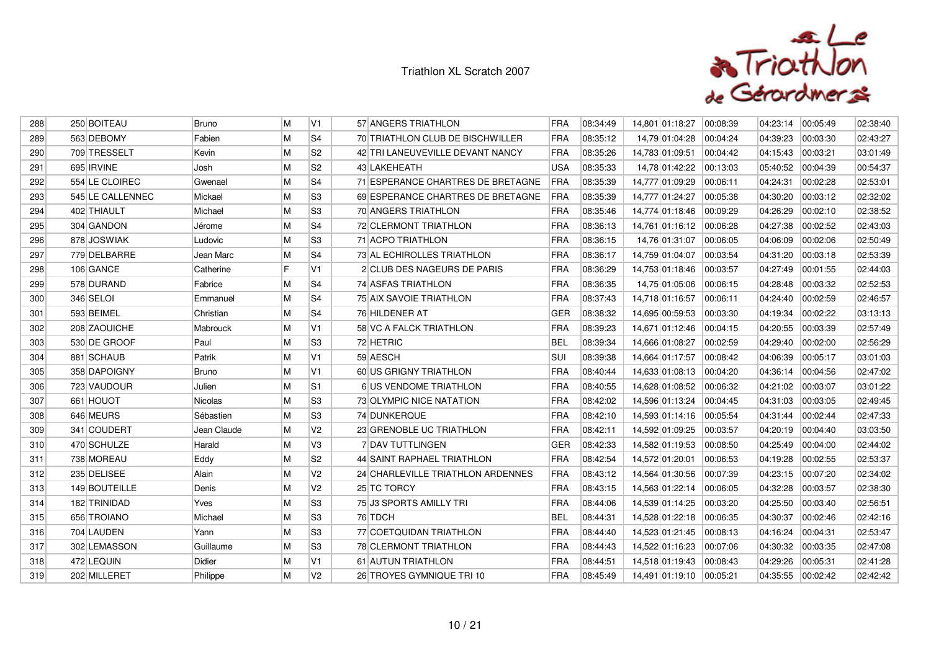

| 288 | 250 BOITEAU      | <b>Bruno</b>    | ۱M | V1             | 57 ANGERS TRIATHLON               | <b>FRA</b> | 08:34:49 | 14,801 01:18:27 | 00:08:39 | 04:23:14 | 00:05:49 | 02:38:40 |
|-----|------------------|-----------------|----|----------------|-----------------------------------|------------|----------|-----------------|----------|----------|----------|----------|
| 289 | 563 DEBOMY       | Fabien          | M  | S4             | 70 TRIATHLON CLUB DE BISCHWILLER  | FRA        | 08:35:12 | 14,79 01:04:28  | 00:04:24 | 04:39:23 | 00:03:30 | 02:43:27 |
| 290 | 709 TRESSELT     | Kevin           | M  | S <sub>2</sub> | 42 TRI LANEUVEVILLE DEVANT NANCY  | <b>FRA</b> | 08:35:26 | 14,783 01:09:51 | 00:04:42 | 04:15:43 | 00:03:21 | 03:01:49 |
| 291 | 695 IRVINE       | Josh            | M  | S <sub>2</sub> | 43 LAKEHEATH                      | <b>USA</b> | 08:35:33 | 14,78 01:42:22  | 00:13:03 | 05:40:52 | 00:04:39 | 00:54:37 |
| 292 | 554 LE CLOIREC   | Gwenael         | M  | S4             | 71 ESPERANCE CHARTRES DE BRETAGNE | <b>FRA</b> | 08:35:39 | 14,777 01:09:29 | 00:06:11 | 04:24:31 | 00:02:28 | 02:53:01 |
| 293 | 545 LE CALLENNEC | Mickael         | M  | S3             | 69 ESPERANCE CHARTRES DE BRETAGNE | <b>FRA</b> | 08:35:39 | 14,777 01:24:27 | 00:05:38 | 04:30:20 | 00:03:12 | 02:32:02 |
| 294 | 402 THIAULT      | Michael         | M  | S <sub>3</sub> | 70 ANGERS TRIATHLON               | <b>FRA</b> | 08:35:46 | 14,774 01:18:46 | 00:09:29 | 04:26:29 | 00:02:10 | 02:38:52 |
| 295 | 304 GANDON       | Jérome          | M  | S4             | 72 CLERMONT TRIATHLON             | FRA        | 08:36:13 | 14,761 01:16:12 | 00:06:28 | 04:27:38 | 00:02:52 | 02:43:03 |
| 296 | 878 JOSWIAK      | Ludovic         | M  | S3             | 71 ACPO TRIATHLON                 | <b>FRA</b> | 08:36:15 | 14,76 01:31:07  | 00:06:05 | 04:06:09 | 00:02:06 | 02:50:49 |
| 297 | 779 DELBARRE     | Jean Marc       | M  | S <sub>4</sub> | 73 AL ECHIROLLES TRIATHLON        | <b>FRA</b> | 08:36:17 | 14,759 01:04:07 | 00:03:54 | 04:31:20 | 00:03:18 | 02:53:39 |
| 298 | 106 GANCE        | Catherine       | F  | V <sub>1</sub> | 2 CLUB DES NAGEURS DE PARIS       | FRA        | 08:36:29 | 14,753 01:18:46 | 00:03:57 | 04:27:49 | 00:01:55 | 02:44:03 |
| 299 | 578 DURAND       | Fabrice         | M  | S4             | 74 ASFAS TRIATHLON                | FRA        | 08:36:35 | 14,75 01:05:06  | 00:06:15 | 04:28:48 | 00:03:32 | 02:52:53 |
| 300 | 346 SELOI        | Emmanuel        | M  | S4             | 75 AIX SAVOIE TRIATHLON           | FRA        | 08:37:43 | 14,718 01:16:57 | 00:06:11 | 04:24:40 | 00:02:59 | 02:46:57 |
| 301 | 593 BEIMEL       | Christian       | M  | S4             | 76 HILDENER AT                    | <b>GER</b> | 08:38:32 | 14,695 00:59:53 | 00:03:30 | 04:19:34 | 00:02:22 | 03:13:13 |
| 302 | 208 ZAOUICHE     | <b>Mabrouck</b> | M  | V <sub>1</sub> | 58 VC A FALCK TRIATHLON           | FRA        | 08:39:23 | 14,671 01:12:46 | 00:04:15 | 04:20:55 | 00:03:39 | 02:57:49 |
| 303 | 530 DE GROOF     | Paul            | M  | S3             | 72 HETRIC                         | <b>BEL</b> | 08:39:34 | 14,666 01:08:27 | 00:02:59 | 04:29:40 | 00:02:00 | 02:56:29 |
| 304 | 881 SCHAUB       | Patrik          | M  | V1             | 59 AESCH                          | <b>SUI</b> | 08:39:38 | 14,664 01:17:57 | 00:08:42 | 04:06:39 | 00:05:17 | 03:01:03 |
| 305 | 358 DAPOIGNY     | <b>Bruno</b>    | M  | IV1            | 60 US GRIGNY TRIATHLON            | FRA        | 08:40:44 | 14,633 01:08:13 | 00:04:20 | 04:36:14 | 00:04:56 | 02:47:02 |
| 306 | 723 VAUDOUR      | Julien          | M  | S1             | 6 US VENDOME TRIATHLON            | <b>FRA</b> | 08:40:55 | 14,628 01:08:52 | 00:06:32 | 04:21:02 | 00:03:07 | 03:01:22 |
| 307 | 661 HOUOT        | <b>Nicolas</b>  | M  | S <sub>3</sub> | 73 OLYMPIC NICE NATATION          | <b>FRA</b> | 08:42:02 | 14,596 01:13:24 | 00:04:45 | 04:31:03 | 00:03:05 | 02:49:45 |
| 308 | 646 MEURS        | Sébastien       | M  | S <sub>3</sub> | 74 DUNKERQUE                      | FRA        | 08:42:10 | 14,593 01:14:16 | 00:05:54 | 04:31:44 | 00:02:44 | 02:47:33 |
| 309 | 341 COUDERT      | Jean Claude     | M  | V <sub>2</sub> | 23 GRENOBLE UC TRIATHLON          | <b>FRA</b> | 08:42:11 | 14,592 01:09:25 | 00:03:57 | 04:20:19 | 00:04:40 | 03:03:50 |
| 310 | 470 SCHULZE      | Harald          | ۱M | V3             | 7 DAV TUTTLINGEN                  | GER        | 08:42:33 | 14.582 01:19:53 | 00:08:50 | 04:25:49 | 00:04:00 | 02:44:02 |
| 311 | 738 MOREAU       | Eddy            | M  | S <sub>2</sub> | 44 SAINT RAPHAEL TRIATHLON        | FRA        | 08:42:54 | 14,572 01:20:01 | 00:06:53 | 04:19:28 | 00:02:55 | 02:53:37 |
| 312 | 235 DELISEE      | Alain           | M  | V <sub>2</sub> | 24 CHARLEVILLE TRIATHLON ARDENNES | FRA        | 08:43:12 | 14,564 01:30:56 | 00:07:39 | 04:23:15 | 00:07:20 | 02:34:02 |
| 313 | 149 BOUTEILLE    | Denis           | M  | V <sub>2</sub> | 25 TC TORCY                       | FRA        | 08:43:15 | 14,563 01:22:14 | 00:06:05 | 04:32:28 | 00:03:57 | 02:38:30 |
| 314 | 182 TRINIDAD     | Yves            | M  | S3             | 75 J3 SPORTS AMILLY TRI           | FRA        | 08:44:06 | 14,539 01:14:25 | 00:03:20 | 04:25:50 | 00:03:40 | 02:56:51 |
| 315 | 656 TROIANO      | Michael         | M  | S3             | 76 TDCH                           | <b>BEL</b> | 08:44:31 | 14,528 01:22:18 | 00:06:35 | 04:30:37 | 00:02:46 | 02:42:16 |
| 316 | 704 LAUDEN       | Yann            | M  | S <sub>3</sub> | 77 COETQUIDAN TRIATHLON           | <b>FRA</b> | 08:44:40 | 14,523 01:21:45 | 00:08:13 | 04:16:24 | 00:04:31 | 02:53:47 |
| 317 | 302 LEMASSON     | Guillaume       | M  | S3             | 78 CLERMONT TRIATHLON             | FRA        | 08:44:43 | 14,522 01:16:23 | 00:07:06 | 04:30:32 | 00:03:35 | 02:47:08 |
| 318 | 472 LEQUIN       | Didier          | M  | V1             | 61 AUTUN TRIATHLON                | <b>FRA</b> | 08:44:51 | 14.518 01:19:43 | 00:08:43 | 04:29:26 | 00:05:31 | 02:41:28 |
| 319 | 202 MILLERET     | Philippe        | M  | V <sub>2</sub> | 26 TROYES GYMNIQUE TRI 10         | <b>FRA</b> | 08:45:49 | 14,491 01:19:10 | 00:05:21 | 04:35:55 | 00:02:42 | 02:42:42 |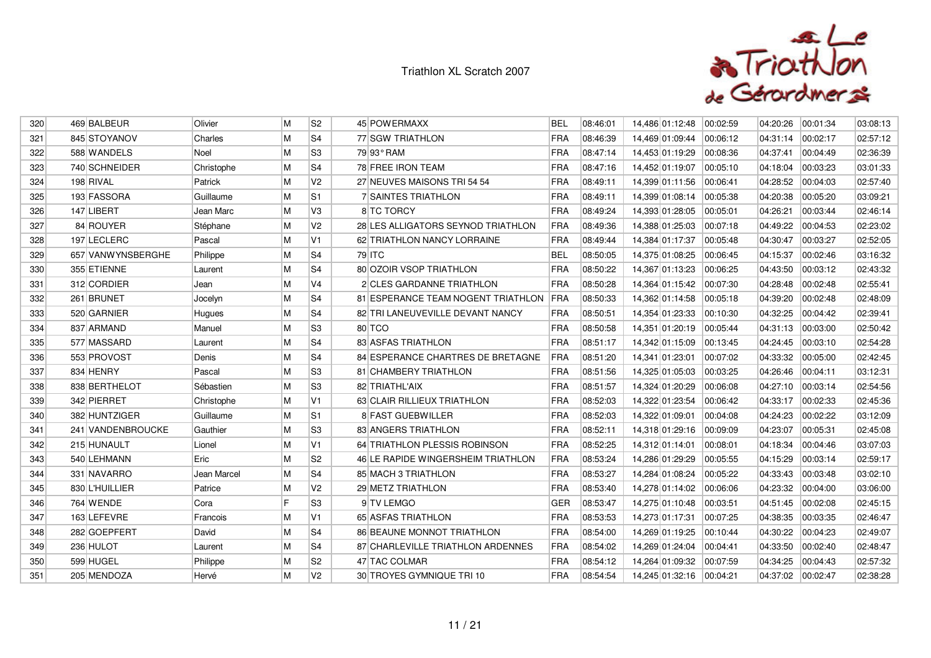

| 320 | 469 BALBEUR       | Olivier     | M | S <sub>2</sub> | 45 POWERMAXX                           | <b>BEL</b> | 08:46:01 | 14,486 01:12:48 | 00:02:59 | 04:20:26 | 00:01:34 | 03:08:13 |
|-----|-------------------|-------------|---|----------------|----------------------------------------|------------|----------|-----------------|----------|----------|----------|----------|
| 321 | 845 STOYANOV      | Charles     | M | S4             | 77 SGW TRIATHLON                       | <b>FRA</b> | 08:46:39 | 14,469 01:09:44 | 00:06:12 | 04:31:14 | 00:02:17 | 02:57:12 |
| 322 | 588 WANDELS       | Noel        | M | S3             | 79 93° RAM                             | <b>FRA</b> | 08:47:14 | 14,453 01:19:29 | 00:08:36 | 04:37:41 | 00:04:49 | 02:36:39 |
| 323 | 740 SCHNEIDER     | Christophe  | M | S4             | 78 FREE IRON TEAM                      | FRA        | 08:47:16 | 14,452 01:19:07 | 00:05:10 | 04:18:04 | 00:03:23 | 03:01:33 |
| 324 | 198 RIVAL         | Patrick     | M | V <sub>2</sub> | 27 NEUVES MAISONS TRI 54 54            | <b>FRA</b> | 08:49:11 | 14,399 01:11:56 | 00:06:41 | 04:28:52 | 00:04:03 | 02:57:40 |
| 325 | 193 FASSORA       | Guillaume   | M | lS1            | <b>7 SAINTES TRIATHLON</b>             | <b>FRA</b> | 08:49:11 | 14,399 01:08:14 | 00:05:38 | 04:20:38 | 00:05:20 | 03:09:21 |
| 326 | 147 LIBERT        | Jean Marc   | M | l V3           | 8 TC TORCY                             | FRA        | 08:49:24 | 14,393 01:28:05 | 00:05:01 | 04:26:21 | 00:03:44 | 02:46:14 |
| 327 | 84 ROUYER         | Stéphane    | M | V <sub>2</sub> | 28 LES ALLIGATORS SEYNOD TRIATHLON     | FRA        | 08:49:36 | 14,388 01:25:03 | 00:07:18 | 04:49:22 | 00:04:53 | 02:23:02 |
| 328 | 197 LECLERC       | Pascal      | M | V <sub>1</sub> | 62 TRIATHLON NANCY LORRAINE            | <b>FRA</b> | 08:49:44 | 14,384 01:17:37 | 00:05:48 | 04:30:47 | 00:03:27 | 02:52:05 |
| 329 | 657 VANWYNSBERGHE | Philippe    | M | S4             | 79 ITC                                 | <b>BEL</b> | 08:50:05 | 14,375 01:08:25 | 00:06:45 | 04:15:37 | 00:02:46 | 03:16:32 |
| 330 | 355 ETIENNE       | Laurent     | M | S4             | 80 OZOIR VSOP TRIATHLON                | FRA        | 08:50:22 | 14,367 01:13:23 | 00:06:25 | 04:43:50 | 00:03:12 | 02:43:32 |
| 331 | 312 CORDIER       | Jean        | M | V <sub>4</sub> | 2 CLES GARDANNE TRIATHLON              | <b>FRA</b> | 08:50:28 | 14,364 01:15:42 | 00:07:30 | 04:28:48 | 00:02:48 | 02:55:41 |
| 332 | 261 BRUNET        | Jocelyn     | M | S4             | 81 ESPERANCE TEAM NOGENT TRIATHLON FRA |            | 08:50:33 | 14,362 01:14:58 | 00:05:18 | 04:39:20 | 00:02:48 | 02:48:09 |
| 333 | 520 GARNIER       | Hugues      | M | S4             | 82 TRI LANEUVEVILLE DEVANT NANCY       | FRA        | 08:50:51 | 14,354 01:23:33 | 00:10:30 | 04:32:25 | 00:04:42 | 02:39:41 |
| 334 | 837 ARMAND        | Manuel      | M | S3             | 80 TCO                                 | FRA        | 08:50:58 | 14,351 01:20:19 | 00:05:44 | 04:31:13 | 00:03:00 | 02:50:42 |
| 335 | 577 MASSARD       | Laurent     | M | S4             | 83 ASFAS TRIATHLON                     | FRA        | 08:51:17 | 14,342 01:15:09 | 00:13:45 | 04:24:45 | 00:03:10 | 02:54:28 |
| 336 | 553 PROVOST       | Denis       | M | S4             | 84 ESPERANCE CHARTRES DE BRETAGNE      | <b>FRA</b> | 08:51:20 | 14,341 01:23:01 | 00:07:02 | 04:33:32 | 00:05:00 | 02:42:45 |
| 337 | 834 HENRY         | Pascal      | M | lS3            | 81 CHAMBERY TRIATHLON                  | <b>FRA</b> | 08:51:56 | 14,325 01:05:03 | 00:03:25 | 04:26:46 | 00:04:11 | 03:12:31 |
| 338 | 838 BERTHELOT     | Sébastien   | M | S3             | 82 TRIATHL'AIX                         | <b>FRA</b> | 08:51:57 | 14,324 01:20:29 | 00:06:08 | 04:27:10 | 00:03:14 | 02:54:56 |
| 339 | 342 PIERRET       | Christophe  | M | V1             | 63 CLAIR RILLIEUX TRIATHLON            | FRA        | 08:52:03 | 14,322 01:23:54 | 00:06:42 | 04:33:17 | 00:02:33 | 02:45:36 |
| 340 | 382 HUNTZIGER     | Guillaume   | M | lS1            | 8 FAST GUEBWILLER                      | FRA        | 08:52:03 | 14,322 01:09:01 | 00:04:08 | 04:24:23 | 00:02:22 | 03:12:09 |
| 341 | 241 VANDENBROUCKE | Gauthier    | M | S3             | 83 ANGERS TRIATHLON                    | <b>FRA</b> | 08:52:11 | 14,318 01:29:16 | 00:09:09 | 04:23:07 | 00:05:31 | 02:45:08 |
| 342 | 215 HUNAULT       | Lionel      | M | V1             | 64 TRIATHLON PLESSIS ROBINSON          | FRA        | 08:52:25 | 14,312 01:14:01 | 00:08:01 | 04:18:34 | 00:04:46 | 03:07:03 |
| 343 | 540 LEHMANN       | Eric        | M | S2             | 46 LE RAPIDE WINGERSHEIM TRIATHLON     | FRA        | 08:53:24 | 14,286 01:29:29 | 00:05:55 | 04:15:29 | 00:03:14 | 02:59:17 |
| 344 | 331 NAVARRO       | Jean Marcel | M | S4             | 85 MACH 3 TRIATHLON                    | <b>FRA</b> | 08:53:27 | 14,284 01:08:24 | 00:05:22 | 04:33:43 | 00:03:48 | 03:02:10 |
| 345 | 830 L'HUILLIER    | Patrice     | M | V <sub>2</sub> | 29 METZ TRIATHLON                      | FRA        | 08:53:40 | 14,278 01:14:02 | 00:06:06 | 04:23:32 | 00:04:00 | 03:06:00 |
| 346 | 764 WENDE         | Cora        | F | S3             | 9 TV LEMGO                             | <b>GER</b> | 08:53:47 | 14,275 01:10:48 | 00:03:51 | 04:51:45 | 00:02:08 | 02:45:15 |
| 347 | 163 LEFEVRE       | Francois    | M | V1             | 65 ASFAS TRIATHLON                     | <b>FRA</b> | 08:53:53 | 14,273 01:17:31 | 00:07:25 | 04:38:35 | 00:03:35 | 02:46:47 |
| 348 | 282 GOEPFERT      | David       | M | S4             | 86 BEAUNE MONNOT TRIATHLON             | <b>FRA</b> | 08:54:00 | 14,269 01:19:25 | 00:10:44 | 04:30:22 | 00:04:23 | 02:49:07 |
| 349 | 236 HULOT         | Laurent     | M | S4             | 87 CHARLEVILLE TRIATHLON ARDENNES      | FRA        | 08:54:02 | 14,269 01:24:04 | 00:04:41 | 04:33:50 | 00:02:40 | 02:48:47 |
| 350 | 599 HUGEL         | Philippe    | M | S <sub>2</sub> | 47 TAC COLMAR                          | <b>FRA</b> | 08:54:12 | 14,264 01:09:32 | 00.07:59 | 04:34:25 | 00:04:43 | 02:57:32 |
| 351 | 205 MENDOZA       | Hervé       | M | V <sub>2</sub> | 30 TROYES GYMNIQUE TRI 10              | <b>FRA</b> | 08:54:54 | 14,245 01:32:16 | 00:04:21 | 04:37:02 | 00:02:47 | 02:38:28 |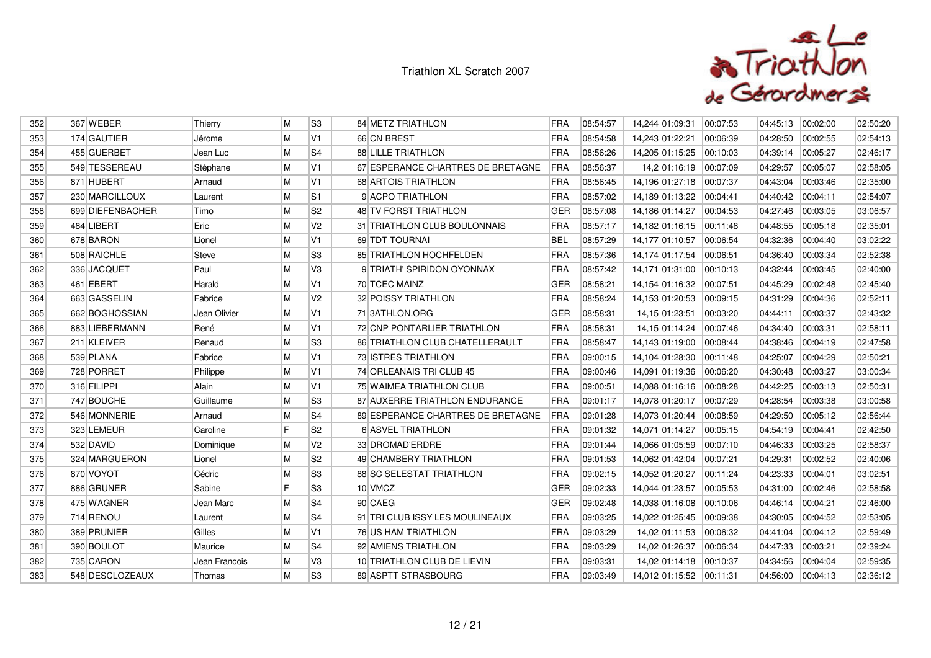

| 352 | 367 WEBER        | Thierry       | M  | S <sub>3</sub> | 84 METZ TRIATHLON                 | <b>FRA</b> | 08:54:57 | 14,244 01:09:31           | 00:07:53 | 04:45:13 | 00:02:00 | 02:50:20 |
|-----|------------------|---------------|----|----------------|-----------------------------------|------------|----------|---------------------------|----------|----------|----------|----------|
| 353 | 174 GAUTIER      | Jérome        | M  | V1             | 66 CN BREST                       | FRA        | 08:54:58 | 14,243 01:22:21           | 00:06:39 | 04:28:50 | 00:02:55 | 02:54:13 |
| 354 | 455 GUERBET      | Jean Luc      | M  | S <sub>4</sub> | <b>88 LILLE TRIATHLON</b>         | <b>FRA</b> | 08:56:26 | 14,205 01:15:25           | 00:10:03 | 04:39:14 | 00:05:27 | 02:46:17 |
| 355 | 549 TESSEREAU    | Stéphane      | M  | V1             | 67 ESPERANCE CHARTRES DE BRETAGNE | <b>FRA</b> | 08:56:37 | 14,2 01:16:19             | 00:07:09 | 04:29:57 | 00:05:07 | 02:58:05 |
| 356 | 871 HUBERT       | Arnaud        | M  | V1             | 68 ARTOIS TRIATHLON               | <b>FRA</b> | 08:56:45 | 14,196 01:27:18           | 00:07:37 | 04:43:04 | 00:03:46 | 02:35:00 |
| 357 | 230 MARCILLOUX   | Laurent       | M  | S1             | 9 ACPO TRIATHLON                  | FRA        | 08:57:02 | 14,189 01:13:22           | 00:04:41 | 04:40:42 | 00:04:11 | 02:54:07 |
| 358 | 699 DIEFENBACHER | Timo          | M  | S <sub>2</sub> | 48 TV FORST TRIATHLON             | <b>GER</b> | 08:57:08 | 14,186 01:14:27           | 00:04:53 | 04:27:46 | 00:03:05 | 03:06:57 |
| 359 | 484 LIBERT       | Eric          | M  | V <sub>2</sub> | 31 TRIATHLON CLUB BOULONNAIS      | FRA        | 08:57:17 | 14,182 01:16:15 00:11:48  |          | 04:48:55 | 00:05:18 | 02:35:01 |
| 360 | 678 BARON        | Lionel        | M  | V <sub>1</sub> | 69 TDT TOURNAL                    | <b>BEL</b> | 08:57:29 | 14,177 01:10:57           | 00:06:54 | 04:32:36 | 00:04:40 | 03:02:22 |
| 361 | 508 RAICHLE      | Steve         | M  | S <sub>3</sub> | 85 TRIATHLON HOCHFELDEN           | <b>FRA</b> | 08:57:36 | 14,174 01:17:54           | 00:06:51 | 04:36:40 | 00:03:34 | 02:52:38 |
| 362 | 336 JACQUET      | Paul          | M  | V3             | 9 TRIATH' SPIRIDON OYONNAX        | <b>FRA</b> | 08:57:42 | 14,171 01:31:00           | 00:10:13 | 04:32:44 | 00:03:45 | 02:40:00 |
| 363 | 461 EBERT        | Harald        | M  | V1             | 70 TCEC MAINZ                     | <b>GER</b> | 08:58:21 | 14,154 01:16:32           | 00:07:51 | 04:45:29 | 00:02:48 | 02:45:40 |
| 364 | 663 GASSELIN     | Fabrice       | M  | V <sub>2</sub> | 32 POISSY TRIATHLON               | <b>FRA</b> | 08:58:24 | 14,153 01:20:53           | 00:09:15 | 04:31:29 | 00:04:36 | 02:52:11 |
| 365 | 662 BOGHOSSIAN   | Jean Olivier  | M  | V1             | 71 3ATHLON.ORG                    | <b>GER</b> | 08:58:31 | 14,15 01:23:51            | 00:03:20 | 04:44:11 | 00:03:37 | 02:43:32 |
| 366 | 883 LIEBERMANN   | René          | M  | V <sub>1</sub> | 72 CNP PONTARLIER TRIATHLON       | FRA        | 08:58:31 | 14,15 01:14:24            | 00:07:46 | 04:34:40 | 00:03:31 | 02:58:11 |
| 367 | 211 KLEIVER      | Renaud        | M  | S <sub>3</sub> | 86 TRIATHLON CLUB CHATELLERAULT   | <b>FRA</b> | 08:58:47 | 14,143 01:19:00           | 00:08:44 | 04:38:46 | 00:04:19 | 02:47:58 |
| 368 | 539 PLANA        | Fabrice       | M  | V1             | 73 ISTRES TRIATHLON               | FRA        | 09:00:15 | 14,104 01:28:30           | 00:11:48 | 04:25:07 | 00:04:29 | 02:50:21 |
| 369 | 728 PORRET       | Philippe      | M  | V1             | 74 ORLEANAIS TRI CLUB 45          | FRA        | 09:00:46 | 14,091 01:19:36           | 00:06:20 | 04:30:48 | 00:03:27 | 03:00:34 |
| 370 | 316 FILIPPI      | Alain         | M  | V <sub>1</sub> | 75 WAIMEA TRIATHLON CLUB          | <b>FRA</b> | 09:00:51 | 14,088 01:16:16           | 00:08:28 | 04:42:25 | 00:03:13 | 02:50:31 |
| 371 | 747 BOUCHE       | Guillaume     | M  | S <sub>3</sub> | 87 AUXERRE TRIATHLON ENDURANCE    | FRA        | 09:01:17 | 14,078 01:20:17           | 00:07:29 | 04:28:54 | 00:03:38 | 03:00:58 |
| 372 | 546 MONNERIE     | Arnaud        | M  | S <sub>4</sub> | 89 ESPERANCE CHARTRES DE BRETAGNE | FRA        | 09:01:28 | 14,073 01:20:44           | 00:08:59 | 04:29:50 | 00:05:12 | 02:56:44 |
| 373 | 323 LEMEUR       | Caroline      | IF | S <sub>2</sub> | <b>6 ASVEL TRIATHLON</b>          | <b>FRA</b> | 09:01:32 | 14,071 01:14:27           | 00:05:15 | 04:54:19 | 00:04:41 | 02:42:50 |
| 374 | 532 DAVID        | Dominique     | M  | V2             | 33 DROMAD'ERDRE                   | <b>FRA</b> | 09:01:44 | 14,066 01:05:59           | 00:07:10 | 04:46:33 | 00:03:25 | 02:58:37 |
| 375 | 324 MARGUERON    | Lionel        | M  | S <sub>2</sub> | 49 CHAMBERY TRIATHLON             | FRA        | 09:01:53 | 14,062 01:42:04           | 00:07:21 | 04:29:31 | 00:02:52 | 02:40:06 |
| 376 | 870 VOYOT        | Cédric        | M  | S <sub>3</sub> | 88 SC SELESTAT TRIATHLON          | <b>FRA</b> | 09:02:15 | 14,052 01:20:27           | 00:11:24 | 04:23:33 | 00:04:01 | 03:02:51 |
| 377 | 886 GRUNER       | Sabine        | F  | S <sub>3</sub> | 10 VMCZ                           | <b>GER</b> | 09:02:33 | 14,044 01:23:57           | 00:05:53 | 04:31:00 | 00:02:46 | 02:58:58 |
| 378 | 475 WAGNER       | Jean Marc     | M  | S <sub>4</sub> | 90 CAEG                           | <b>GER</b> | 09:02:48 | 14,038 01:16:08           | 00:10:06 | 04:46:14 | 00:04:21 | 02:46:00 |
| 379 | 714 RENOU        | Laurent       | M  | S <sub>4</sub> | 91 TRI CLUB ISSY LES MOULINEAUX   | <b>FRA</b> | 09:03:25 | 14,022 01:25:45           | 00:09:38 | 04:30:05 | 00:04:52 | 02:53:05 |
| 380 | 389 PRUNIER      | Gilles        | M  | V1             | 76 US HAM TRIATHLON               | <b>FRA</b> | 09:03:29 | 14,02 01:11:53            | 00:06:32 | 04:41:04 | 00:04:12 | 02:59:49 |
| 381 | 390 BOULOT       | Maurice       | M  | S <sub>4</sub> | 92 AMIENS TRIATHLON               | FRA        | 09:03:29 | 14,02 01:26:37            | 00:06:34 | 04:47:33 | 00:03:21 | 02:39:24 |
| 382 | 735 CARON        | Jean Francois | M  | VЗ             | 10 TRIATHLON CLUB DE LIEVIN       | <b>FRA</b> | 09:03:31 | 14,02 01:14:18            | 00:10:37 | 04:34:56 | 00:04:04 | 02:59:35 |
| 383 | 548 DESCLOZEAUX  | Thomas        | M  | S <sub>3</sub> | 89 ASPTT STRASBOURG               | <b>FRA</b> | 09:03:49 | 14,012 01:15:52  00:11:31 |          | 04:56:00 | 00:04:13 | 02:36:12 |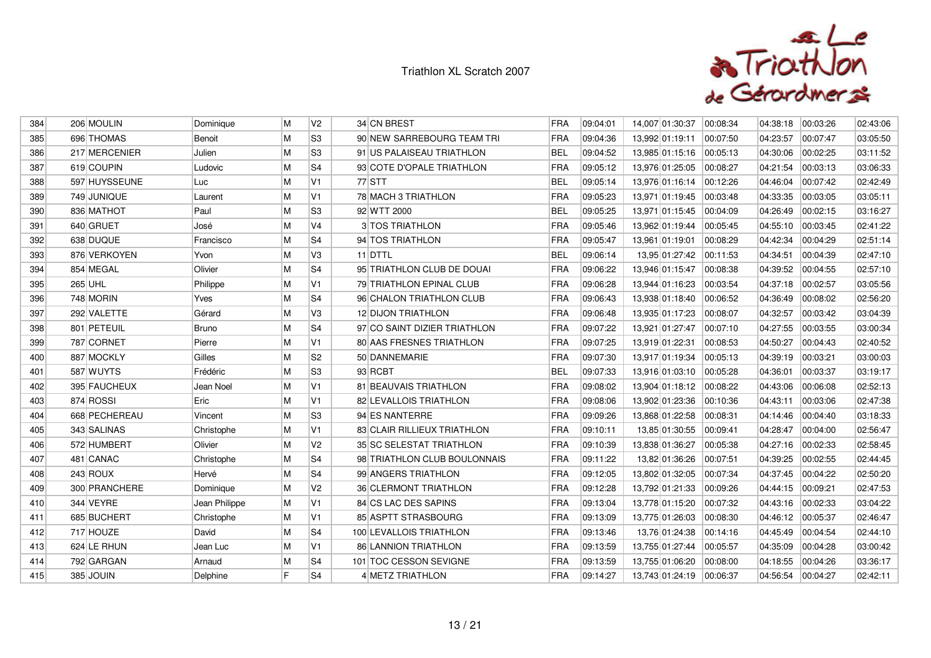

| 384 | 206 MOULIN    | Dominique     | M | V2             | 34 CN BREST                  | <b>FRA</b> | 09:04:01 | 14,007 01:30:37 | 00:08:34 | 04:38:18 | 00:03:26 | 02:43:06 |
|-----|---------------|---------------|---|----------------|------------------------------|------------|----------|-----------------|----------|----------|----------|----------|
| 385 | 696 THOMAS    | Benoit        | M | S3             | 90 NEW SARREBOURG TEAM TRI   | FRA        | 09:04:36 | 13,992 01:19:11 | 00:07:50 | 04:23:57 | 00:07:47 | 03:05:50 |
| 386 | 217 MERCENIER | Julien        | M | S3             | 91 US PALAISEAU TRIATHLON    | <b>BEL</b> | 09:04:52 | 13,985 01:15:16 | 00:05:13 | 04:30:06 | 00:02:25 | 03:11:52 |
| 387 | 619 COUPIN    | Ludovic       | M | S <sub>4</sub> | 93 COTE D'OPALE TRIATHLON    | <b>FRA</b> | 09:05:12 | 13,976 01:25:05 | 00:08:27 | 04:21:54 | 00:03:13 | 03:06:33 |
| 388 | 597 HUYSSEUNE | Luc           | M | V1             | 77 STT                       | <b>BEL</b> | 09:05:14 | 13,976 01:16:14 | 00:12:26 | 04:46:04 | 00:07:42 | 02:42:49 |
| 389 | 749 JUNIQUE   | Laurent       | M | V <sub>1</sub> | 78 MACH 3 TRIATHLON          | <b>FRA</b> | 09:05:23 | 13,971 01:19:45 | 00:03:48 | 04:33:35 | 00:03:05 | 03:05:11 |
| 390 | 836 MATHOT    | Paul          | M | S <sub>3</sub> | 92 WTT 2000                  | <b>BEL</b> | 09:05:25 | 13,971 01:15:45 | 00:04:09 | 04:26:49 | 00:02:15 | 03:16:27 |
| 391 | 640 GRUET     | José          | M | V <sub>4</sub> | 3 TOS TRIATHLON              | FRA        | 09:05:46 | 13,962 01:19:44 | 00:05:45 | 04:55:10 | 00:03:45 | 02:41:22 |
| 392 | 638 DUQUE     | Francisco     | M | S4             | 94 TOS TRIATHLON             | <b>FRA</b> | 09:05:47 | 13,961 01:19:01 | 00:08:29 | 04:42:34 | 00:04:29 | 02:51:14 |
| 393 | 876 VERKOYEN  | Yvon          | M | V3             | 11 DTTL                      | <b>BEL</b> | 09:06:14 | 13,95 01:27:42  | 00:11:53 | 04:34:51 | 00:04:39 | 02:47:10 |
| 394 | 854 MEGAL     | Olivier       | M | S <sub>4</sub> | 95 TRIATHLON CLUB DE DOUAI   | FRA        | 09:06:22 | 13,946 01:15:47 | 00:08:38 | 04:39:52 | 00:04:55 | 02:57:10 |
| 395 | 265 UHL       | Philippe      | M | V <sub>1</sub> | 79 TRIATHLON EPINAL CLUB     | <b>FRA</b> | 09:06:28 | 13,944 01:16:23 | 00:03:54 | 04:37:18 | 00:02:57 | 03:05:56 |
| 396 | 748 MORIN     | Yves          | M | S <sub>4</sub> | 96 CHALON TRIATHLON CLUB     | <b>FRA</b> | 09:06:43 | 13,938 01:18:40 | 00:06:52 | 04:36:49 | 00:08:02 | 02:56:20 |
| 397 | 292 VALETTE   | Gérard        | M | V3             | <b>12 DIJON TRIATHLON</b>    | FRA        | 09:06:48 | 13.935 01:17:23 | 00:08:07 | 04:32:57 | 00:03:42 | 03:04:39 |
| 398 | 801 PETEUIL   | <b>Bruno</b>  | M | S4             | 97 CO SAINT DIZIER TRIATHLON | <b>FRA</b> | 09:07:22 | 13,921 01:27:47 | 00:07:10 | 04:27:55 | 00:03:55 | 03:00:34 |
| 399 | 787 CORNET    | Pierre        | M | V <sub>1</sub> | 80 AAS FRESNES TRIATHLON     | <b>FRA</b> | 09:07:25 | 13,919 01:22:31 | 00:08:53 | 04:50:27 | 00:04:43 | 02:40:52 |
| 400 | 887 MOCKLY    | Gilles        | M | S <sub>2</sub> | 50 DANNEMARIE                | FRA        | 09:07:30 | 13,917 01:19:34 | 00:05:13 | 04:39:19 | 00:03:21 | 03:00:03 |
| 401 | 587 WUYTS     | Frédéric      | M | S3             | 93 RCBT                      | <b>BEL</b> | 09:07:33 | 13,916 01:03:10 | 00:05:28 | 04:36:01 | 00:03:37 | 03:19:17 |
| 402 | 395 FAUCHEUX  | Jean Noel     | M | V <sub>1</sub> | 81 BEAUVAIS TRIATHLON        | <b>FRA</b> | 09:08:02 | 13,904 01:18:12 | 00:08:22 | 04:43:06 | 00:06:08 | 02:52:13 |
| 403 | 874 ROSSI     | Eric          | M | V1             | 82 LEVALLOIS TRIATHLON       | FRA        | 09:08:06 | 13,902 01:23:36 | 00:10:36 | 04:43:11 | 00:03:06 | 02:47:38 |
| 404 | 668 PECHEREAU | Vincent       | M | S3             | 94 ES NANTERRE               | <b>FRA</b> | 09:09:26 | 13,868 01:22:58 | 00:08:31 | 04:14:46 | 00:04:40 | 03:18:33 |
| 405 | 343 SALINAS   | Christophe    | M | V <sub>1</sub> | 83 CLAIR RILLIEUX TRIATHLON  | <b>FRA</b> | 09:10:11 | 13,85 01:30:55  | 00:09:41 | 04:28:47 | 00:04:00 | 02:56:47 |
| 406 | 572 HUMBERT   | Olivier       | M | V <sub>2</sub> | 35 SC SELESTAT TRIATHLON     | FRA        | 09:10:39 | 13,838 01:36:27 | 00:05:38 | 04:27:16 | 00:02:33 | 02:58:45 |
| 407 | 481 CANAC     | Christophe    | M | S4             | 98 TRIATHLON CLUB BOULONNAIS | FRA        | 09:11:22 | 13,82 01:36:26  | 00:07:51 | 04:39:25 | 00:02:55 | 02:44:45 |
| 408 | 243 ROUX      | Hervé         | M | S4             | 99 ANGERS TRIATHLON          | <b>FRA</b> | 09:12:05 | 13,802 01:32:05 | 00:07:34 | 04:37:45 | 00:04:22 | 02:50:20 |
| 409 | 300 PRANCHERE | Dominique     | M | V <sub>2</sub> | 36 CLERMONT TRIATHLON        | FRA        | 09:12:28 | 13,792 01:21:33 | 00:09:26 | 04:44:15 | 00:09:21 | 02:47:53 |
| 410 | 344 VEYRE     | Jean Philippe | M | V <sub>1</sub> | 84 CS LAC DES SAPINS         | <b>FRA</b> | 09:13:04 | 13,778 01:15:20 | 00:07:32 | 04:43:16 | 00:02:33 | 03:04:22 |
| 411 | 685 BUCHERT   | Christophe    | M | V1             | 85 ASPTT STRASBOURG          | <b>FRA</b> | 09:13:09 | 13,775 01:26:03 | 00:08:30 | 04:46:12 | 00:05:37 | 02:46:47 |
| 412 | 717 HOUZE     | David         | M | S4             | 100 LEVALLOIS TRIATHLON      | <b>FRA</b> | 09:13:46 | 13,76 01:24:38  | 00:14:16 | 04:45:49 | 00:04:54 | 02:44:10 |
| 413 | 624 LE RHUN   | Jean Luc      | M | $\mathsf{V}1$  | 86 LANNION TRIATHLON         | FRA        | 09:13:59 | 13,755 01:27:44 | 00:05:57 | 04:35:09 | 00:04:28 | 03:00:42 |
| 414 | 792 GARGAN    | Arnaud        | M | S4             | 101 TOC CESSON SEVIGNE       | <b>FRA</b> | 09:13:59 | 13,755 01:06:20 | 00:08:00 | 04:18:55 | 00:04:26 | 03:36:17 |
| 415 | 385 JOUIN     | Delphine      | E | S <sub>4</sub> | 4 METZ TRIATHLON             | <b>FRA</b> | 09:14:27 | 13,743 01:24:19 | 00:06:37 | 04:56:54 | 00:04:27 | 02:42:11 |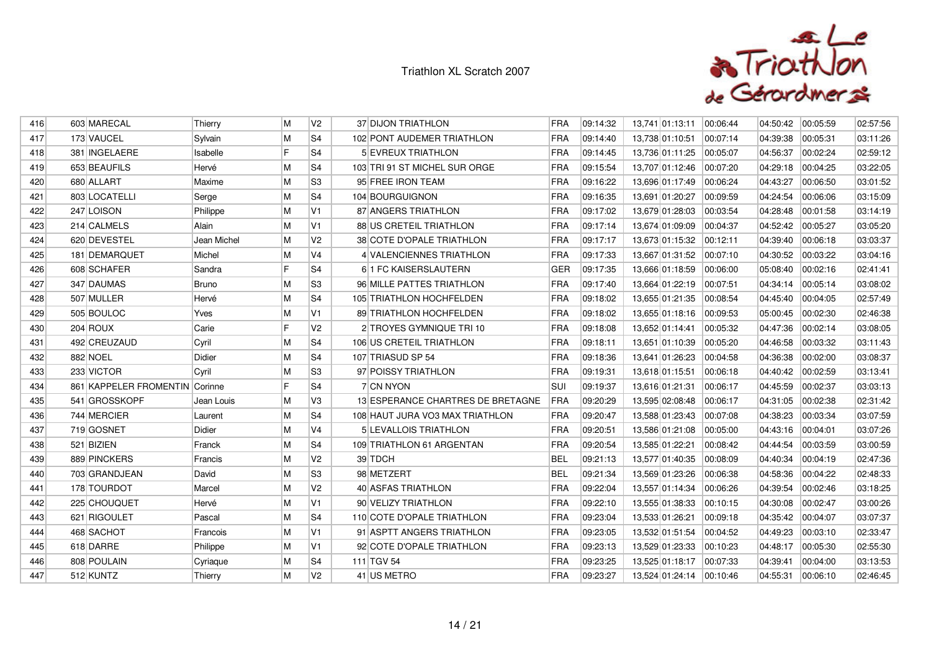

| 416 | 603 MARECAL                    | Thierry      | M  | V <sub>2</sub> | 37 DIJON TRIATHLON                | FRA        | 09:14:32 | 13,741 01:13:11           | 00:06:44 | 04:50:42 | 00:05:59 | 02:57:56 |
|-----|--------------------------------|--------------|----|----------------|-----------------------------------|------------|----------|---------------------------|----------|----------|----------|----------|
| 417 | 173 VAUCEL                     | Sylvain      | M  | S <sub>4</sub> | 102 PONT AUDEMER TRIATHLON        | FRA        | 09:14:40 | 13,738 01:10:51           | 00:07:14 | 04:39:38 | 00:05:31 | 03:11:26 |
| 418 | 381 INGELAERE                  | Isabelle     | F  | S <sub>4</sub> | 5 EVREUX TRIATHLON                | FRA        | 09:14:45 | 13,736 01:11:25           | 00:05:07 | 04:56:37 | 00:02:24 | 02:59:12 |
| 419 | 653 BEAUFILS                   | Hervé        | M  | S <sub>4</sub> | 103 TRI 91 ST MICHEL SUR ORGE     | FRA        | 09:15:54 | 13,707 01:12:46           | 00:07:20 | 04:29:18 | 00:04:25 | 03:22:05 |
| 420 | 680 ALLART                     | Maxime       | M  | S <sub>3</sub> | 95 FREE IRON TEAM                 | FRA        | 09:16:22 | 13,696 01:17:49           | 00:06:24 | 04:43:27 | 00:06:50 | 03:01:52 |
| 421 | 803 LOCATELLI                  | Serge        | M  | S4             | 104 BOURGUIGNON                   | FRA        | 09:16:35 | 13,691 01:20:27           | 00:09:59 | 04:24:54 | 00:06:06 | 03:15:09 |
| 422 | 247 LOISON                     | Philippe     | M  | V1             | 87 ANGERS TRIATHLON               | FRA        | 09:17:02 | 13,679 01:28:03           | 00:03:54 | 04:28:48 | 00:01:58 | 03:14:19 |
| 423 | 214 CALMELS                    | Alain        | M  | V1             | 88 US CRETEIL TRIATHLON           | FRA        | 09:17:14 | 13,674 01:09:09           | 00:04:37 | 04:52:42 | 00:05:27 | 03:05:20 |
| 424 | 620 DEVESTEL                   | Jean Michel  | M  | V <sub>2</sub> | 38 COTE D'OPALE TRIATHLON         | FRA        | 09:17:17 | 13,673 01:15:32           | 00:12:11 | 04:39:40 | 00:06:18 | 03:03:37 |
| 425 | 181 DEMARQUET                  | Michel       | M  | V <sub>4</sub> | 4 VALENCIENNES TRIATHLON          | FRA        | 09:17:33 | 13,667 01:31:52           | 00:07:10 | 04:30:52 | 00:03:22 | 03:04:16 |
| 426 | 608 SCHAFER                    | Sandra       | F  | S <sub>4</sub> | 61 FC KAISERSLAUTERN              | <b>GER</b> | 09:17:35 | 13,666 01:18:59           | 00.06.00 | 05:08:40 | 00:02:16 | 02:41:41 |
| 427 | 347 DAUMAS                     | <b>Bruno</b> | M  | S3             | 96 MILLE PATTES TRIATHLON         | FRA        | 09:17:40 | 13,664 01:22:19           | 00:07:51 | 04:34:14 | 00:05:14 | 03:08:02 |
| 428 | 507 MULLER                     | Hervé        | M  | S <sub>4</sub> | 105 TRIATHLON HOCHFELDEN          | FRA        | 09:18:02 | 13,655 01:21:35           | 00:08:54 | 04:45:40 | 00:04:05 | 02:57:49 |
| 429 | 505 BOULOC                     | Yves         | M  | V1             | 89 TRIATHLON HOCHFELDEN           | <b>FRA</b> | 09:18:02 | 13,655 01:18:16           | 00:09:53 | 05:00:45 | 00:02:30 | 02:46:38 |
| 430 | 204 ROUX                       | Carie        | F  | V <sub>2</sub> | 2 TROYES GYMNIQUE TRI 10          | FRA        | 09:18:08 | 13,652 01:14:41           | 00:05:32 | 04:47:36 | 00:02:14 | 03:08:05 |
| 431 | 492 CREUZAUD                   | Cyril        | M  | S <sub>4</sub> | 106 US CRETEIL TRIATHLON          | FRA        | 09:18:11 | 13,651 01:10:39           | 00:05:20 | 04:46:58 | 00:03:32 | 03:11:43 |
| 432 | 882 NOEL                       | Didier       | M  | S <sub>4</sub> | 107 TRIASUD SP 54                 | FRA        | 09:18:36 | 13,641 01:26:23           | 00:04:58 | 04:36:38 | 00:02:00 | 03:08:37 |
| 433 | 233 VICTOR                     | Cyril        | M  | S3             | 97 POISSY TRIATHLON               | FRA        | 09:19:31 | 13,618 01:15:51           | 00:06:18 | 04:40:42 | 00:02:59 | 03:13:41 |
| 434 | 861 KAPPELER FROMENTIN Corinne |              | F. | S <sub>4</sub> | 7 CN NYON                         | <b>SUI</b> | 09:19:37 | 13,616 01:21:31           | 00:06:17 | 04:45:59 | 00:02:37 | 03:03:13 |
| 435 | 541 GROSSKOPF                  | Jean Louis   | M  | V3             | 13 ESPERANCE CHARTRES DE BRETAGNE | <b>FRA</b> | 09:20:29 | 13,595 02:08:48           | 00:06:17 | 04:31:05 | 00:02:38 | 02:31:42 |
| 436 | 744 MERCIER                    | Laurent      | M  | S <sub>4</sub> | 108 HAUT JURA VO3 MAX TRIATHLON   | FRA        | 09:20:47 | 13,588 01:23:43           | 00:07:08 | 04:38:23 | 00:03:34 | 03:07:59 |
| 437 | 719 GOSNET                     | Didier       | M  | V4             | 5 LEVALLOIS TRIATHLON             | FRA        | 09:20:51 | 13,586 01:21:08           | 00:05:00 | 04:43:16 | 00:04:01 | 03:07:26 |
| 438 | 521 BIZIEN                     | Franck       | M  | S <sub>4</sub> | 109 TRIATHLON 61 ARGENTAN         | FRA        | 09:20:54 | 13,585 01:22:21           | 00:08:42 | 04:44:54 | 00:03:59 | 03:00:59 |
| 439 | 889 PINCKERS                   | Francis      | M  | V <sub>2</sub> | 39 TDCH                           | <b>BEL</b> | 09:21:13 | 13,577 01:40:35           | 00:08:09 | 04:40:34 | 00:04:19 | 02:47:36 |
| 440 | 703 GRANDJEAN                  | David        | M  | S <sub>3</sub> | 98 METZERT                        | <b>BEL</b> | 09:21:34 | 13,569 01:23:26           | 00:06:38 | 04:58:36 | 00:04:22 | 02:48:33 |
| 441 | 178 TOURDOT                    | Marcel       | M  | V <sub>2</sub> | 40 ASFAS TRIATHLON                | <b>FRA</b> | 09:22:04 | 13,557 01:14:34           | 00:06:26 | 04:39:54 | 00:02:46 | 03:18:25 |
| 442 | 225 CHOUQUET                   | Hervé        | M  | V <sub>1</sub> | 90 VELIZY TRIATHLON               | FRA        | 09:22:10 | 13,555 01:38:33           | 00:10:15 | 04:30:08 | 00:02:47 | 03:00:26 |
| 443 | 621 RIGOULET                   | Pascal       | M  | S <sub>4</sub> | 110 COTE D'OPALE TRIATHLON        | FRA        | 09:23:04 | 13,533 01:26:21           | 00:09:18 | 04:35:42 | 00:04:07 | 03:07:37 |
| 444 | 468 SACHOT                     | Francois     | M  | V1             | 91 ASPTT ANGERS TRIATHLON         | <b>FRA</b> | 09:23:05 | 13,532 01:51:54           | 00:04:52 | 04:49:23 | 00:03:10 | 02:33:47 |
| 445 | 618 DARRE                      | Philippe     | M  | V1             | 92 COTE D'OPALE TRIATHLON         | <b>FRA</b> | 09:23:13 | 13,529 01:23:33           | 00:10:23 | 04:48:17 | 00:05:30 | 02:55:30 |
| 446 | 808 POULAIN                    | Cyriaque     | M  | S <sub>4</sub> | 111 TGV 54                        | <b>FRA</b> | 09:23:25 | 13,525 01:18:17  00:07:33 |          | 04:39:41 | 00:04:00 | 03:13:53 |
| 447 | 512 KUNTZ                      | Thierry      | M  | V <sub>2</sub> | 41 US METRO                       | <b>FRA</b> | 09:23:27 | 13,524 01:24:14 00:10:46  |          | 04:55:31 | 00:06:10 | 02:46:45 |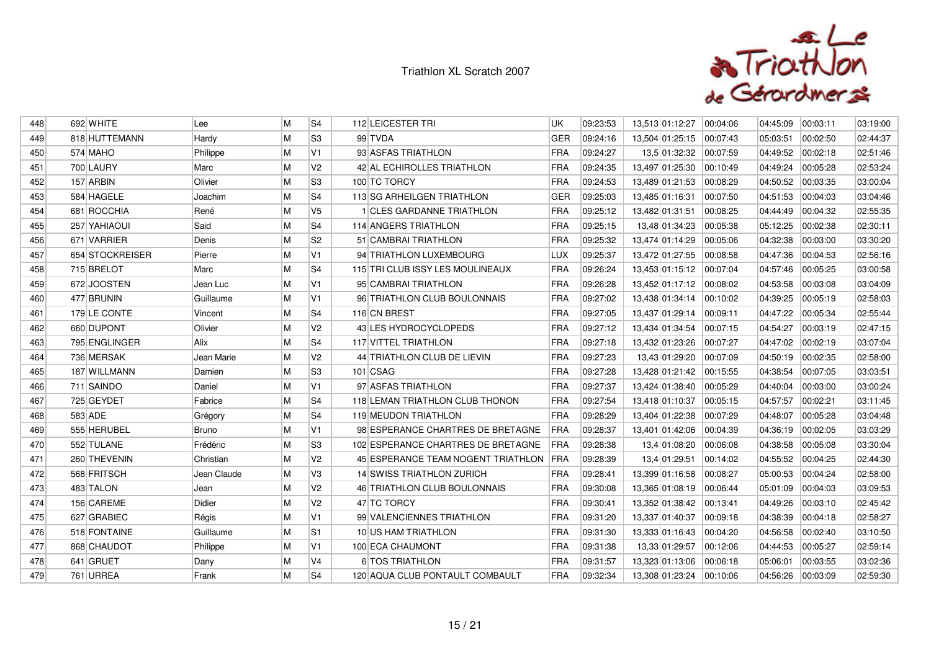

| 448 | 692 WHITE       | Lee          | М | S <sub>4</sub> | 112 LEICESTER TRI                      | UK         | 09:23:53 | 13,513 01:12:27           | 00:04:06 | 04:45:09 | 00:03:11 | 03:19:00 |
|-----|-----------------|--------------|---|----------------|----------------------------------------|------------|----------|---------------------------|----------|----------|----------|----------|
| 449 | 818 HUTTEMANN   | Hardy        | M | S <sub>3</sub> | 99 TVDA                                | <b>GER</b> | 09:24:16 | 13,504 01:25:15           | 00:07:43 | 05:03:51 | 00:02:50 | 02:44:37 |
| 450 | 574 MAHO        | Philippe     | M | V <sub>1</sub> | 93 ASFAS TRIATHLON                     | FRA        | 09:24:27 | 13,5 01:32:32             | 00:07:59 | 04:49:52 | 00:02:18 | 02:51:46 |
| 451 | 700 LAURY       | Marc         | M | V <sub>2</sub> | 42 AL ECHIROLLES TRIATHLON             | FRA        | 09:24:35 | 13,497 01:25:30           | 00:10:49 | 04:49:24 | 00:05:28 | 02:53:24 |
| 452 | 157 ARBIN       | Olivier      | M | S <sub>3</sub> | 100 TC TORCY                           | FRA        | 09:24:53 | 13,489 01:21:53           | 00:08:29 | 04:50:52 | 00:03:35 | 03:00:04 |
| 453 | 584 HAGELE      | Joachim      | M | S4             | 113 SG ARHEILGEN TRIATHLON             | <b>GER</b> | 09:25:03 | 13,485 01:16:31           | 00:07:50 | 04:51:53 | 00:04:03 | 03:04:46 |
| 454 | 681 ROCCHIA     | René         | M | V <sub>5</sub> | 1 CLES GARDANNE TRIATHLON              | FRA        | 09:25:12 | 13,482 01:31:51           | 00:08:25 | 04:44:49 | 00:04:32 | 02:55:35 |
| 455 | 257 YAHIAOUI    | Said         | M | S <sub>4</sub> | 114 ANGERS TRIATHLON                   | FRA        | 09:25:15 | 13,48 01:34:23            | 00:05:38 | 05:12:25 | 00:02:38 | 02:30:11 |
| 456 | 671 VARRIER     | Denis        | M | S <sub>2</sub> | 51 CAMBRAI TRIATHLON                   | <b>FRA</b> | 09:25:32 | 13,474 01:14:29           | 00:05:06 | 04:32:38 | 00:03:00 | 03:30:20 |
| 457 | 654 STOCKREISER | Pierre       | M | V <sub>1</sub> | 94 TRIATHLON LUXEMBOURG                | LUX        | 09:25:37 | 13,472 01:27:55           | 00:08:58 | 04:47:36 | 00:04:53 | 02:56:16 |
| 458 | 715 BRELOT      | Marc         | M | S <sub>4</sub> | 115 TRI CLUB ISSY LES MOULINEAUX       | FRA        | 09:26:24 | 13,453 01:15:12  00:07:04 |          | 04:57:46 | 00:05:25 | 03:00:58 |
| 459 | 672 JOOSTEN     | Jean Luc     | M | V1             | 95 CAMBRAI TRIATHLON                   | FRA        | 09:26:28 | 13,452 01:17:12 00:08:02  |          | 04:53:58 | 00:03:08 | 03:04:09 |
| 460 | 477 BRUNIN      | Guillaume    | M | V1             | 96 TRIATHLON CLUB BOULONNAIS           | FRA        | 09:27:02 | 13,438 01:34:14           | 00:10:02 | 04:39:25 | 00:05:19 | 02:58:03 |
| 461 | 179 LE CONTE    | Vincent      | M | S <sub>4</sub> | 116 CN BREST                           | FRA        | 09:27:05 | 13,437 01:29:14           | 00:09:11 | 04:47:22 | 00:05:34 | 02:55:44 |
| 462 | 660 DUPONT      | Olivier      | M | V <sub>2</sub> | 43 LES HYDROCYCLOPEDS                  | FRA        | 09:27:12 | 13,434 01:34:54           | 00:07:15 | 04:54:27 | 00:03:19 | 02:47:15 |
| 463 | 795 ENGLINGER   | Alix         | M | S <sub>4</sub> | <b>117 VITTEL TRIATHLON</b>            | FRA        | 09:27:18 | 13,432 01:23:26           | 00:07:27 | 04:47:02 | 00:02:19 | 03:07:04 |
| 464 | 736 MERSAK      | Jean Marie   | M | V2             | 44 TRIATHLON CLUB DE LIEVIN            | FRA        | 09:27:23 | 13,43 01:29:20            | 00:07:09 | 04:50:19 | 00:02:35 | 02:58:00 |
| 465 | 187 WILLMANN    | Damien       | M | S3             | 101 CSAG                               | FRA        | 09:27:28 | 13,428 01:21:42 00:15:55  |          | 04:38:54 | 00:07:05 | 03:03:51 |
| 466 | 711 SAINDO      | Daniel       | M | V1             | 97 ASFAS TRIATHLON                     | FRA        | 09:27:37 | 13,424 01:38:40           | 00:05:29 | 04:40:04 | 00:03:00 | 03:00:24 |
| 467 | 725 GEYDET      | Fabrice      | M | S <sub>4</sub> | 118 LEMAN TRIATHLON CLUB THONON        | FRA        | 09:27:54 | 13,418 01:10:37           | 00:05:15 | 04:57:57 | 00:02:21 | 03:11:45 |
| 468 | 583 ADE         | Grégory      | M | S <sub>4</sub> | 119 MEUDON TRIATHLON                   | FRA        | 09:28:29 | 13,404 01:22:38           | 00:07:29 | 04:48:07 | 00:05:28 | 03:04:48 |
| 469 | 555 HERUBEL     | <b>Bruno</b> | M | V <sub>1</sub> | 98 ESPERANCE CHARTRES DE BRETAGNE      | <b>FRA</b> | 09:28:37 | 13,401 01:42:06           | 00:04:39 | 04:36:19 | 00:02:05 | 03:03:29 |
| 470 | 552 TULANE      | Frédéric     | M | S <sub>3</sub> | 102 ESPERANCE CHARTRES DE BRETAGNE     | FRA        | 09:28:38 | 13,4 01:08:20             | 00:06:08 | 04:38:58 | 00:05:08 | 03:30:04 |
| 471 | 260 THEVENIN    | Christian    | M | V <sub>2</sub> | 45 ESPERANCE TEAM NOGENT TRIATHLON FRA |            | 09:28:39 | 13,4 01:29:51             | 00:14:02 | 04:55:52 | 00:04:25 | 02:44:30 |
| 472 | 568 FRITSCH     | Jean Claude  | M | V <sub>3</sub> | 14 SWISS TRIATHLON ZURICH              | FRA        | 09:28:41 | 13,399 01:16:58           | 00:08:27 | 05:00:53 | 00:04:24 | 02:58:00 |
| 473 | 483 TALON       | Jean         | M | V <sub>2</sub> | 46 TRIATHLON CLUB BOULONNAIS           | FRA        | 09:30:08 | 13,365 01:08:19           | 00:06:44 | 05:01:09 | 00:04:03 | 03:09:53 |
| 474 | 156 CAREME      | Didier       | M | V <sub>2</sub> | 47 TC TORCY                            | FRA        | 09:30:41 | 13,352 01:38:42           | 00:13:41 | 04:49:26 | 00:03:10 | 02:45:42 |
| 475 | 627 GRABIEC     | Régis        | M | V1             | 99 VALENCIENNES TRIATHLON              | FRA        | 09:31:20 | 13,337 01:40:37           | 00:09:18 | 04:38:39 | 00:04:18 | 02:58:27 |
| 476 | 518 FONTAINE    | Guillaume    | M | S1             | 10 US HAM TRIATHLON                    | FRA        | 09:31:30 | 13,333 01:16:43           | 00:04:20 | 04:56:58 | 00:02:40 | 03:10:50 |
| 477 | 868 CHAUDOT     | Philippe     | M | V1             | 100 ECA CHAUMONT                       | FRA        | 09:31:38 | 13,33 01:29:57            | 00:12:06 | 04:44:53 | 00:05:27 | 02:59:14 |
| 478 | 641 GRUET       | Dany         | M | V4             | 6 TOS TRIATHLON                        | FRA        | 09:31:57 | 13,323 01:13:06           | 00:06:18 | 05:06:01 | 00:03:55 | 03:02:36 |
| 479 | 761 URREA       | Frank        | M | S <sub>4</sub> | 120 AQUA CLUB PONTAULT COMBAULT        | <b>FRA</b> | 09:32:34 | 13,308 01:23:24           | 00:10:06 | 04:56:26 | 00:03:09 | 02:59:30 |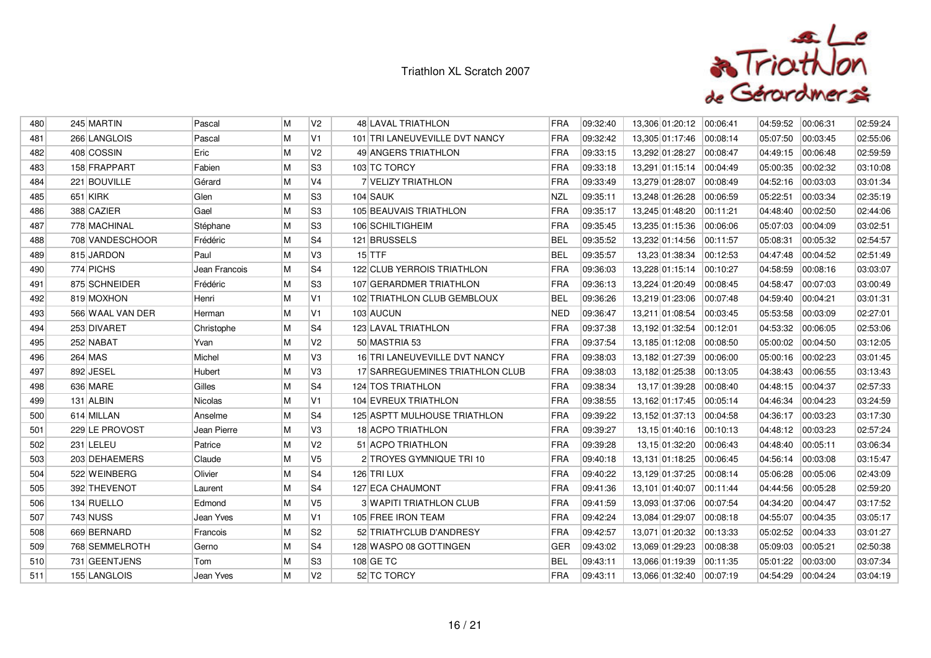

| 480 | 245 MARTIN       | Pascal        | M | V <sub>2</sub> | 48 LAVAL TRIATHLON              | <b>FRA</b> | 09:32:40 | 13,306 01:20:12           | 00:06:41 | 04:59:52 | 00:06:31 | 02:59:24 |
|-----|------------------|---------------|---|----------------|---------------------------------|------------|----------|---------------------------|----------|----------|----------|----------|
| 481 | 266 LANGLOIS     | Pascal        | M | V1             | 101 TRI LANEUVEVILLE DVT NANCY  | FRA        | 09:32:42 | 13,305 01:17:46           | 00:08:14 | 05:07:50 | 00:03:45 | 02:55:06 |
| 482 | 408 COSSIN       | Eric          | M | V <sub>2</sub> | 49 ANGERS TRIATHLON             | <b>FRA</b> | 09:33:15 | 13,292 01:28:27           | 00:08:47 | 04:49:15 | 00:06:48 | 02:59:59 |
| 483 | 158 FRAPPART     | Fabien        | M | S3             | 103 TC TORCY                    | <b>FRA</b> | 09:33:18 | 13,291 01:15:14 00:04:49  |          | 05:00:35 | 00:02:32 | 03:10:08 |
| 484 | 221 BOUVILLE     | Gérard        | M | <b>V4</b>      | <b>7 VELIZY TRIATHLON</b>       | <b>FRA</b> | 09:33:49 | 13,279 01:28:07           | 00:08:49 | 04:52:16 | 00:03:03 | 03:01:34 |
| 485 | 651 KIRK         | Glen          | M | S3             | 104 SAUK                        | <b>NZL</b> | 09:35:11 | 13,248 01:26:28 00:06:59  |          | 05:22:51 | 00:03:34 | 02:35:19 |
| 486 | 388 CAZIER       | Gael          | M | lS3            | 105 BEAUVAIS TRIATHLON          | <b>FRA</b> | 09:35:17 | 13,245 01:48:20           | 00:11:21 | 04:48:40 | 00:02:50 | 02:44:06 |
| 487 | 778 MACHINAL     | Stéphane      | M | S3             | 106 SCHILTIGHEIM                | FRA        | 09:35:45 | 13,235 01:15:36           | 00:06:06 | 05:07:03 | 00:04:09 | 03:02:51 |
| 488 | 708 VANDESCHOOR  | Frédéric      | M | S4             | 121 BRUSSELS                    | <b>BEL</b> | 09:35:52 | 13,232 01:14:56           | 00:11:57 | 05:08:31 | 00:05:32 | 02:54:57 |
| 489 | 815 JARDON       | Paul          | M | V <sub>3</sub> | $15$ TTF                        | <b>BEL</b> | 09:35:57 | 13,23 01:38:34 00:12:53   |          | 04:47:48 | 00:04:52 | 02:51:49 |
| 490 | 774 PICHS        | Jean Francois | M | S4             | 122 CLUB YERROIS TRIATHLON      | <b>FRA</b> | 09:36:03 | 13,228 01:15:14           | 00:10:27 | 04:58:59 | 00:08:16 | 03:03:07 |
| 491 | 875 SCHNEIDER    | Frédéric      | M | S3             | 107 GERARDMER TRIATHLON         | FRA        | 09:36:13 | 13,224 01:20:49           | 00:08:45 | 04:58:47 | 00:07:03 | 03:00:49 |
| 492 | 819 MOXHON       | Henri         | M | V <sub>1</sub> | 102 TRIATHLON CLUB GEMBLOUX     | <b>BEL</b> | 09:36:26 | 13,219 01:23:06  00:07:48 |          | 04:59:40 | 00:04:21 | 03:01:31 |
| 493 | 566 WAAL VAN DER | Herman        | M | V <sub>1</sub> | 103 AUCUN                       | <b>NED</b> | 09:36:47 | 13,211 01:08:54           | 00:03:45 | 05:53:58 | 00:03:09 | 02:27:01 |
| 494 | 253 DIVARET      | Christophe    | M | S4             | 123 LAVAL TRIATHLON             | FRA        | 09:37:38 | 13,192 01:32:54  00:12:01 |          | 04:53:32 | 00:06:05 | 02:53:06 |
| 495 | 252 NABAT        | Yvan          | M | V <sub>2</sub> | 50 MASTRIA 53                   | <b>FRA</b> | 09:37:54 | 13,185 01:12:08           | 00:08:50 | 05:00:02 | 00:04:50 | 03:12:05 |
| 496 | 264 MAS          | Michel        | M | V <sub>3</sub> | 16 TRI LANEUVEVILLE DVT NANCY   | <b>FRA</b> | 09:38:03 | 13,182 01:27:39           | 00:06:00 | 05:00:16 | 00:02:23 | 03:01:45 |
| 497 | 892 JESEL        | Hubert        | M | lV3            | 17 SARREGUEMINES TRIATHLON CLUB | FRA        | 09:38:03 | 13,182 01:25:38           | 00:13:05 | 04:38:43 | 00:06:55 | 03:13:43 |
| 498 | 636 MARE         | Gilles        | M | S <sub>4</sub> | 124 TOS TRIATHLON               | FRA        | 09:38:34 | 13,17 01:39:28            | 00:08:40 | 04:48:15 | 00:04:37 | 02:57:33 |
| 499 | 131 ALBIN        | Nicolas       | M | V <sub>1</sub> | 104 EVREUX TRIATHLON            | <b>FRA</b> | 09:38:55 | 13,162 01:17:45           | 00:05:14 | 04:46:34 | 00:04:23 | 03:24:59 |
| 500 | 614 MILLAN       | Anselme       | M | S4             | 125 ASPTT MULHOUSE TRIATHLON    | <b>FRA</b> | 09:39:22 | 13,152 01:37:13 00:04:58  |          | 04:36:17 | 00:03:23 | 03:17:30 |
| 501 | 229 LE PROVOST   | Jean Pierre   | M | V <sub>3</sub> | 18 ACPO TRIATHLON               | <b>FRA</b> | 09:39:27 | 13,15 01:40:16 00:10:13   |          | 04:48:12 | 00:03:23 | 02:57:24 |
| 502 | 231 LELEU        | Patrice       | M | V2             | 51 ACPO TRIATHLON               | <b>FRA</b> | 09:39:28 | 13,15 01:32:20            | 00:06:43 | 04:48:40 | 00:05:11 | 03:06:34 |
| 503 | 203 DEHAEMERS    | Claude        | M | V <sub>5</sub> | 2 TROYES GYMNIQUE TRI 10        | FRA        | 09:40:18 | 13,131 01:18:25           | 00:06:45 | 04:56:14 | 00:03:08 | 03:15:47 |
| 504 | 522 WEINBERG     | Olivier       | M | S4             | 126 TRI LUX                     | FRA        | 09:40:22 | 13,129 01:37:25           | 00:08:14 | 05:06:28 | 00:05:06 | 02:43:09 |
| 505 | 392 THEVENOT     | Laurent       | M | S4             | 127 ECA CHAUMONT                | <b>FRA</b> | 09:41:36 | 13,101 01:40:07           | 00:11:44 | 04:44:56 | 00:05:28 | 02:59:20 |
| 506 | 134 RUELLO       | Edmond        | M | V <sub>5</sub> | <b>3 WAPITI TRIATHLON CLUB</b>  | FRA        | 09:41:59 | 13,093 01:37:06           | 00:07:54 | 04:34:20 | 00:04:47 | 03:17:52 |
| 507 | 743 NUSS         | Jean Yves     | M | V1             | 105 FREE IRON TEAM              | FRA        | 09:42:24 | 13,084 01:29:07           | 00:08:18 | 04:55:07 | 00:04:35 | 03:05:17 |
| 508 | 669 BERNARD      | Francois      | M | S2             | 52 TRIATH'CLUB D'ANDRESY        | <b>FRA</b> | 09:42:57 | 13,071 01:20:32 00:13:33  |          | 05:02:52 | 00:04:33 | 03:01:27 |
| 509 | 768 SEMMELROTH   | Gerno         | M | S4             | 128 WASPO 08 GOTTINGEN          | GER        | 09:43:02 | 13,069 01:29:23           | 00.08.38 | 05:09:03 | 00:05:21 | 02:50:38 |
| 510 | 731 GEENTJENS    | Tom           | M | S3             | 108 GE TC                       | BEL        | 09:43:11 | 13,066 01:19:39           | 00:11:35 | 05:01:22 | 00:03:00 | 03:07:34 |
| 511 | 155 LANGLOIS     | Jean Yves     | M | V <sub>2</sub> | 52 TC TORCY                     | <b>FRA</b> | 09:43:11 | 13,066 01:32:40 00:07:19  |          | 04:54:29 | 00:04:24 | 03:04:19 |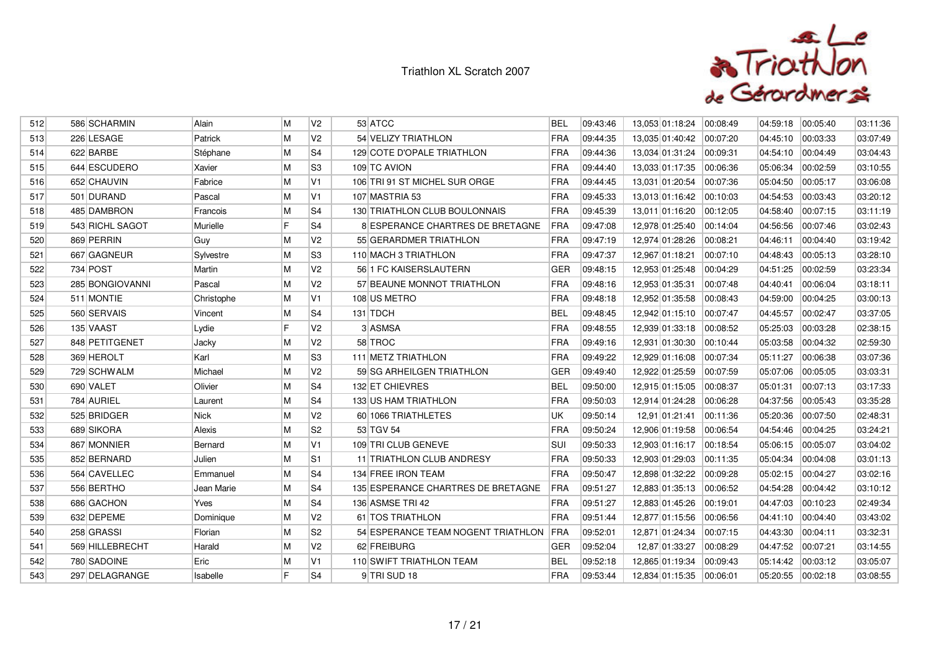

| 512 | 586 SCHARMIN    | Alain       | М | V <sub>2</sub> | 53 ATCC                                | <b>BEL</b> | 09:43:46 | 13,053 01:18:24 | 00:08:49 | 04:59:18 | 00:05:40 | 03:11:36 |
|-----|-----------------|-------------|---|----------------|----------------------------------------|------------|----------|-----------------|----------|----------|----------|----------|
| 513 | 226 LESAGE      | Patrick     | M | V <sub>2</sub> | 54 VELIZY TRIATHLON                    | FRA        | 09:44:35 | 13,035 01:40:42 | 00:07:20 | 04:45:10 | 00:03:33 | 03:07:49 |
| 514 | 622 BARBE       | Stéphane    | M | S <sub>4</sub> | 129 COTE D'OPALE TRIATHLON             | FRA        | 09:44:36 | 13,034 01:31:24 | 00:09:31 | 04:54:10 | 00:04:49 | 03:04:43 |
| 515 | 644 ESCUDERO    | Xavier      | M | S <sub>3</sub> | 109 TC AVION                           | FRA        | 09:44:40 | 13,033 01:17:35 | 00:06:36 | 05:06:34 | 00:02:59 | 03:10:55 |
| 516 | 652 CHAUVIN     | Fabrice     | M | V1             | 106 TRI 91 ST MICHEL SUR ORGE          | FRA        | 09:44:45 | 13,031 01:20:54 | 00:07:36 | 05:04:50 | 00:05:17 | 03:06:08 |
| 517 | 501 DURAND      | Pascal      | M | V1             | 107 MASTRIA 53                         | FRA        | 09:45:33 | 13,013 01:16:42 | 00:10:03 | 04:54:53 | 00:03:43 | 03:20:12 |
| 518 | 485 DAMBRON     | Francois    | M | S4             | 130 TRIATHLON CLUB BOULONNAIS          | FRA        | 09:45:39 | 13,011 01:16:20 | 00:12:05 | 04:58:40 | 00:07:15 | 03:11:19 |
| 519 | 543 RICHL SAGOT | Murielle    | F | S <sub>4</sub> | 8 ESPERANCE CHARTRES DE BRETAGNE       | <b>FRA</b> | 09:47:08 | 12,978 01:25:40 | 00:14:04 | 04:56:56 | 00:07:46 | 03:02:43 |
| 520 | 869 PERRIN      | Guy         | M | V <sub>2</sub> | 55 GERARDMER TRIATHLON                 | FRA        | 09:47:19 | 12,974 01:28:26 | 00:08:21 | 04:46:11 | 00:04:40 | 03:19:42 |
| 521 | 667 GAGNEUR     | Sylvestre   | M | S <sub>3</sub> | 110 MACH 3 TRIATHLON                   | <b>FRA</b> | 09:47:37 | 12,967 01:18:21 | 00:07:10 | 04:48:43 | 00:05:13 | 03:28:10 |
| 522 | 734 POST        | Martin      | M | V <sub>2</sub> | 56 1 FC KAISERSLAUTERN                 | <b>GER</b> | 09:48:15 | 12,953 01:25:48 | 00:04:29 | 04:51:25 | 00:02:59 | 03:23:34 |
| 523 | 285 BONGIOVANNI | Pascal      | M | V <sub>2</sub> | 57 BEAUNE MONNOT TRIATHLON             | FRA        | 09:48:16 | 12,953 01:35:31 | 00:07:48 | 04:40:41 | 00:06:04 | 03:18:11 |
| 524 | 511 MONTIE      | Christophe  | M | V <sub>1</sub> | 108 US METRO                           | <b>FRA</b> | 09:48:18 | 12,952 01:35:58 | 00:08:43 | 04:59:00 | 00:04:25 | 03:00:13 |
| 525 | 560 SERVAIS     | Vincent     | M | S <sub>4</sub> | 131 TDCH                               | <b>BEL</b> | 09:48:45 | 12,942 01:15:10 | 00:07:47 | 04:45:57 | 00:02:47 | 03:37:05 |
| 526 | 135 VAAST       | Lydie       | F | V <sub>2</sub> | 3 ASMSA                                | FRA        | 09:48:55 | 12,939 01:33:18 | 00:08:52 | 05:25:03 | 00:03:28 | 02:38:15 |
| 527 | 848 PETITGENET  | Jacky       | M | V <sub>2</sub> | 58 TROC                                | FRA        | 09:49:16 | 12,931 01:30:30 | 00:10:44 | 05:03:58 | 00:04:32 | 02:59:30 |
| 528 | 369 HEROLT      | Karl        | M | S3             | 111 METZ TRIATHLON                     | FRA        | 09:49:22 | 12,929 01:16:08 | 00:07:34 | 05:11:27 | 00:06:38 | 03:07:36 |
| 529 | 729 SCHWALM     | Michael     | M | V <sub>2</sub> | 59 SG ARHEILGEN TRIATHLON              | <b>GER</b> | 09:49:40 | 12,922 01:25:59 | 00:07:59 | 05:07:06 | 00:05:05 | 03:03:31 |
| 530 | 690 VALET       | Olivier     | M | S <sub>4</sub> | 132 ET CHIEVRES                        | <b>BEL</b> | 09:50:00 | 12,915 01:15:05 | 00:08:37 | 05:01:31 | 00:07:13 | 03:17:33 |
| 531 | 784 AURIEL      | Laurent     | M | S <sub>4</sub> | 133 US HAM TRIATHLON                   | FRA        | 09:50:03 | 12,914 01:24:28 | 00:06:28 | 04:37:56 | 00:05:43 | 03:35:28 |
| 532 | 525 BRIDGER     | <b>Nick</b> | M | V <sub>2</sub> | 60 1066 TRIATHLETES                    | <b>UK</b>  | 09:50:14 | 12,91 01:21:41  | 00:11:36 | 05:20:36 | 00:07:50 | 02:48:31 |
| 533 | 689 SIKORA      | Alexis      | M | S <sub>2</sub> | 53 TGV 54                              | FRA        | 09:50:24 | 12,906 01:19:58 | 00:06:54 | 04:54:46 | 00:04:25 | 03:24:21 |
| 534 | 867 MONNIER     | Bernard     | M | V <sub>1</sub> | 109 TRI CLUB GENEVE                    | <b>SUI</b> | 09:50:33 | 12,903 01:16:17 | 00:18:54 | 05:06:15 | 00:05:07 | 03:04:02 |
| 535 | 852 BERNARD     | Julien      | M | S11            | 11 TRIATHLON CLUB ANDRESY              | FRA        | 09:50:33 | 12,903 01:29:03 | 00:11:35 | 05:04:34 | 00:04:08 | 03:01:13 |
| 536 | 564 CAVELLEC    | Emmanuel    | M | S <sub>4</sub> | 134 FREE IRON TEAM                     | FRA        | 09:50:47 | 12,898 01:32:22 | 00:09:28 | 05:02:15 | 00:04:27 | 03:02:16 |
| 537 | 556 BERTHO      | Jean Marie  | M | S <sub>4</sub> | 135 ESPERANCE CHARTRES DE BRETAGNE     | <b>FRA</b> | 09:51:27 | 12,883 01:35:13 | 00:06:52 | 04:54:28 | 00:04:42 | 03:10:12 |
| 538 | 686 GACHON      | Yves        | M | S <sub>4</sub> | 136 ASMSE TRI 42                       | FRA        | 09:51:27 | 12,883 01:45:26 | 00:19:01 | 04:47:03 | 00:10:23 | 02:49:34 |
| 539 | 632 DEPEME      | Dominique   | M | V <sub>2</sub> | 61 TOS TRIATHLON                       | <b>FRA</b> | 09:51:44 | 12,877 01:15:56 | 00:06:56 | 04:41:10 | 00:04:40 | 03:43:02 |
| 540 | 258 GRASSI      | Florian     | M | S <sub>2</sub> | 54 ESPERANCE TEAM NOGENT TRIATHLON FRA |            | 09:52:01 | 12,871 01:24:34 | 00:07:15 | 04:43:30 | 00:04:11 | 03:32:31 |
| 541 | 569 HILLEBRECHT | Harald      | M | V <sub>2</sub> | 62 FREIBURG                            | GER        | 09:52:04 | 12,87 01:33:27  | 00:08:29 | 04:47:52 | 00:07:21 | 03:14:55 |
| 542 | 780 SADOINE     | Eric        | M | V <sub>1</sub> | 110 SWIFT TRIATHLON TEAM               | <b>BEL</b> | 09:52:18 | 12,865 01:19:34 | 00:09:43 | 05:14:42 | 00:03:12 | 03:05:07 |
| 543 | 297 DELAGRANGE  | Isabelle    | E | S <sub>4</sub> | 9 TRI SUD 18                           | FRA        | 09:53:44 | 12,834 01:15:35 | 00:06:01 | 05:20:55 | 00:02:18 | 03:08:55 |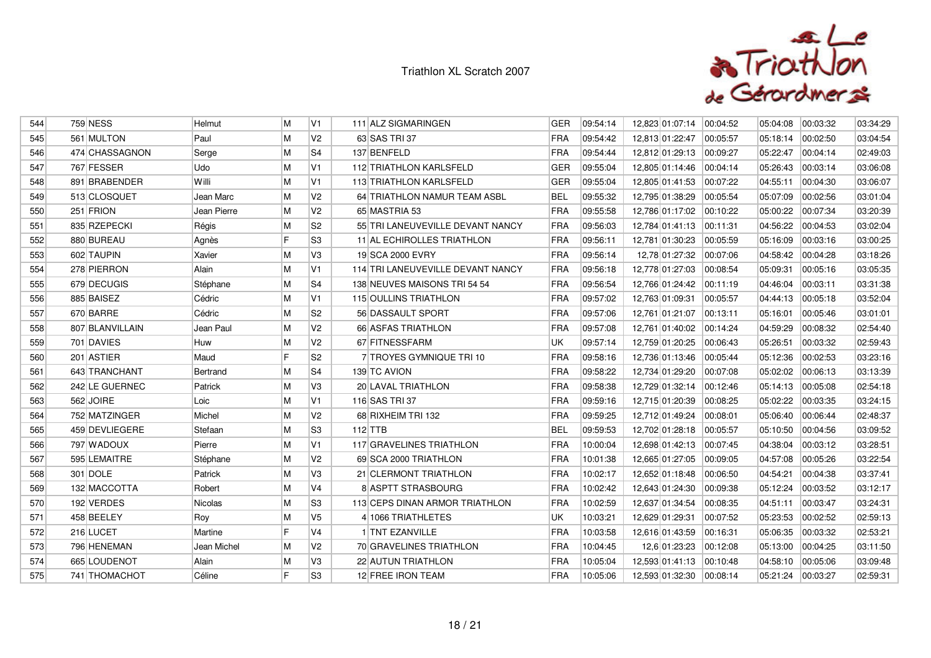

| 544 | <b>759 NESS</b> | Helmut      | M   | V <sub>1</sub> | 111 ALZ SIGMARINGEN               | <b>GER</b> | 09:54:14 | 12,823 01:07:14          | 00:04:52 | 05:04:08 | 00:03:32 | 03:34:29 |
|-----|-----------------|-------------|-----|----------------|-----------------------------------|------------|----------|--------------------------|----------|----------|----------|----------|
| 545 | 561 MULTON      | Paul        | M   | V <sub>2</sub> | 63 SAS TRI 37                     | <b>FRA</b> | 09:54:42 | 12,813 01:22:47          | 00:05:57 | 05:18:14 | 00:02:50 | 03:04:54 |
| 546 | 474 CHASSAGNON  | Serge       | M   | S4             | 137 BENFELD                       | <b>FRA</b> | 09:54:44 | 12,812 01:29:13          | 00:09:27 | 05:22:47 | 00:04:14 | 02:49:03 |
| 547 | 767 FESSER      | Udo         | M   | V1             | 112 TRIATHLON KARLSFELD           | <b>GER</b> | 09:55:04 | 12,805 01:14:46          | 00:04:14 | 05:26:43 | 00:03:14 | 03:06:08 |
| 548 | 891 BRABENDER   | Willi       | M   | V1             | 113 TRIATHLON KARLSFELD           | <b>GER</b> | 09:55:04 | 12,805 01:41:53          | 00.07:22 | 04:55:11 | 00:04:30 | 03:06:07 |
| 549 | 513 CLOSQUET    | Jean Marc   | M   | V <sub>2</sub> | 64 TRIATHLON NAMUR TEAM ASBL      | <b>BEL</b> | 09:55:32 | 12,795 01:38:29          | 00:05:54 | 05:07:09 | 00:02:56 | 03:01:04 |
| 550 | 251 FRION       | Jean Pierre | M   | V <sub>2</sub> | 65 MASTRIA 53                     | FRA        | 09:55:58 | 12,786 01:17:02          | 00:10:22 | 05:00:22 | 00:07:34 | 03:20:39 |
| 551 | 835 RZEPECKI    | Régis       | M   | S <sub>2</sub> | 55 TRI LANEUVEVILLE DEVANT NANCY  | <b>FRA</b> | 09:56:03 | 12,784 01:41:13 00:11:31 |          | 04:56:22 | 00:04:53 | 03:02:04 |
| 552 | 880 BUREAU      | Agnès       | F   | S <sub>3</sub> | 11 AL ECHIROLLES TRIATHLON        | <b>FRA</b> | 09:56:11 | 12,781 01:30:23          | 00:05:59 | 05:16:09 | 00:03:16 | 03:00:25 |
| 553 | 602 TAUPIN      | Xavier      | M   | V3             | 19 SCA 2000 EVRY                  | <b>FRA</b> | 09:56:14 | 12,78 01:27:32           | 00:07:06 | 04:58:42 | 00:04:28 | 03:18:26 |
| 554 | 278 PIERRON     | Alain       | M   | V1             | 114 TRI LANEUVEVILLE DEVANT NANCY | FRA        | 09:56:18 | 12,778 01:27:03          | 00:08:54 | 05:09:31 | 00:05:16 | 03:05:35 |
| 555 | 679 DECUGIS     | Stéphane    | M   | S4             | 138 NEUVES MAISONS TRI 54 54      | <b>FRA</b> | 09:56:54 | 12,766 01:24:42          | 00:11:19 | 04:46:04 | 00:03:11 | 03:31:38 |
| 556 | 885 BAISEZ      | Cédric      | M   | V1             | 115 OULLINS TRIATHLON             | <b>FRA</b> | 09:57:02 | 12,763 01:09:31          | 00:05:57 | 04:44:13 | 00:05:18 | 03:52:04 |
| 557 | 670 BARRE       | Cédric      | M   | S <sub>2</sub> | 56 DASSAULT SPORT                 | <b>FRA</b> | 09:57:06 | 12,761 01:21:07          | 00:13:11 | 05:16:01 | 00:05:46 | 03:01:01 |
| 558 | 807 BLANVILLAIN | Jean Paul   | M   | V <sub>2</sub> | 66 ASFAS TRIATHLON                | <b>FRA</b> | 09:57:08 | 12,761 01:40:02          | 00:14:24 | 04:59:29 | 00:08:32 | 02:54:40 |
| 559 | 701 DAVIES      | Huw         | M   | V <sub>2</sub> | 67 FITNESSFARM                    | UK         | 09:57:14 | 12,759 01:20:25          | 00:06:43 | 05:26:51 | 00:03:32 | 02:59:43 |
| 560 | 201 ASTIER      | Maud        | lF. | S <sub>2</sub> | 7 TROYES GYMNIQUE TRI 10          | <b>FRA</b> | 09:58:16 | 12,736 01:13:46          | 00:05:44 | 05:12:36 | 00:02:53 | 03:23:16 |
| 561 | 643 TRANCHANT   | Bertrand    | M   | S4             | 139 TC AVION                      | FRA        | 09:58:22 | 12,734 01:29:20          | 00:07:08 | 05:02:02 | 00:06:13 | 03:13:39 |
| 562 | 242 LE GUERNEC  | Patrick     | M   | V3             | 20 LAVAL TRIATHLON                | <b>FRA</b> | 09:58:38 | 12,729 01:32:14          | 00:12:46 | 05:14:13 | 00:05:08 | 02:54:18 |
| 563 | 562 JOIRE       | Loic        | M   | V1             | 116 SAS TRI 37                    | FRA        | 09:59:16 | 12,715 01:20:39          | 00:08:25 | 05:02:22 | 00:03:35 | 03:24:15 |
| 564 | 752 MATZINGER   | Michel      | M   | V <sub>2</sub> | 68 RIXHEIM TRI 132                | FRA        | 09:59:25 | 12,712 01:49:24          | 00:08:01 | 05:06:40 | 00:06:44 | 02:48:37 |
| 565 | 459 DEVLIEGERE  | Stefaan     | M   | S3             | $112$ TTB                         | <b>BEL</b> | 09:59:53 | 12,702 01:28:18 00:05:57 |          | 05:10:50 | 00:04:56 | 03:09:52 |
| 566 | 797 WADOUX      | Pierre      | M   | V1             | 117 GRAVELINES TRIATHLON          | FRA        | 10:00:04 | 12,698 01:42:13          | 00.07:45 | 04:38:04 | 00:03:12 | 03:28:51 |
| 567 | 595 LEMAITRE    | Stéphane    | M   | V <sub>2</sub> | 69 SCA 2000 TRIATHLON             | <b>FRA</b> | 10:01:38 | 12,665 01:27:05          | 00:09:05 | 04:57:08 | 00:05:26 | 03:22:54 |
| 568 | 301 DOLE        | Patrick     | M   | V3             | 21 CLERMONT TRIATHLON             | <b>FRA</b> | 10:02:17 | 12,652 01:18:48          | 00:06:50 | 04:54:21 | 00:04:38 | 03:37:41 |
| 569 | 132 MACCOTTA    | Robert      | M   | V4             | 8 ASPTT STRASBOURG                | FRA        | 10:02:42 | 12,643 01:24:30          | 00:09:38 | 05:12:24 | 00:03:52 | 03:12:17 |
| 570 | 192 VERDES      | Nicolas     | M   | S <sub>3</sub> | 113 CEPS DINAN ARMOR TRIATHLON    | <b>FRA</b> | 10:02:59 | 12,637 01:34:54          | 00:08:35 | 04:51:11 | 00:03:47 | 03:24:31 |
| 571 | 458 BEELEY      | Roy         | M   | V <sub>5</sub> | 4 1066 TRIATHLETES                | UK         | 10:03:21 | 12,629 01:29:31          | 00:07:52 | 05:23:53 | 00:02:52 | 02:59:13 |
| 572 | 216 LUCET       | Martine     | F   | V <sub>4</sub> | 1 TNT EZANVILLE                   | FRA        | 10:03:58 | 12,616 01:43:59          | 00:16:31 | 05:06:35 | 00:03:32 | 02:53:21 |
| 573 | 796 HENEMAN     | Jean Michel | M   | V <sub>2</sub> | 70 GRAVELINES TRIATHLON           | <b>FRA</b> | 10:04:45 | 12,6 01:23:23            | 00:12:08 | 05:13:00 | 00:04:25 | 03:11:50 |
| 574 | 665 LOUDENOT    | Alain       | M   | V3             | 22 AUTUN TRIATHLON                | <b>FRA</b> | 10:05:04 | 12,593 01:41:13          | 00.10.48 | 04:58:10 | 00:05:06 | 03:09:48 |
| 575 | 741 THOMACHOT   | Céline      | F   | S3             | 12 FREE IRON TEAM                 | <b>FRA</b> | 10:05:06 | 12,593 01:32:30          | 00:08:14 | 05:21:24 | 00:03:27 | 02:59:31 |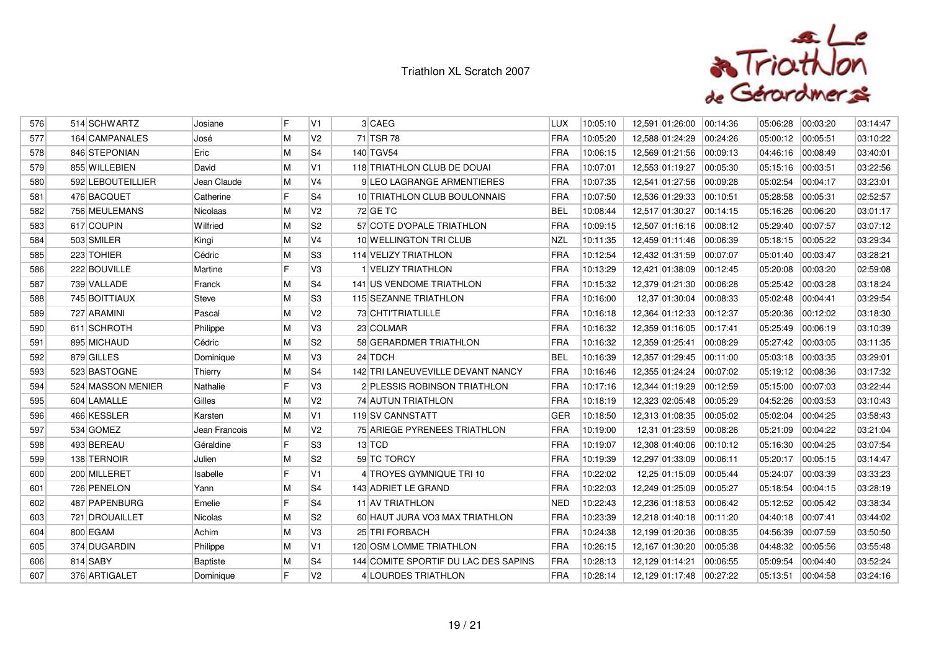

| 576 | 514 SCHWARTZ      | Josiane         | F  | V1             | 3 CAEG                               | <b>LUX</b> | 10:05:10 | 12,591 01:26:00 | 00:14:36 | 05:06:28 | 00:03:20 | 03:14:47 |
|-----|-------------------|-----------------|----|----------------|--------------------------------------|------------|----------|-----------------|----------|----------|----------|----------|
| 577 | 164 CAMPANALES    | José            | M  | V <sub>2</sub> | 71 TSR 78                            | <b>FRA</b> | 10:05:20 | 12,588 01:24:29 | 00:24:26 | 05:00:12 | 00:05:51 | 03:10:22 |
| 578 | 846 STEPONIAN     | Eric            | M  | S <sub>4</sub> | 140 TGV54                            | <b>FRA</b> | 10:06:15 | 12,569 01:21:56 | 00:09:13 | 04:46:16 | 00:08:49 | 03:40:01 |
| 579 | 855 WILLEBIEN     | David           | M  | V <sub>1</sub> | 118 TRIATHLON CLUB DE DOUAI          | FRA        | 10:07:01 | 12,553 01:19:27 | 00:05:30 | 05:15:16 | 00:03:51 | 03:22:56 |
| 580 | 592 LEBOUTEILLIER | Jean Claude     | M  | V <sub>4</sub> | <b>9 LEO LAGRANGE ARMENTIERES</b>    | FRA        | 10:07:35 | 12,541 01:27:56 | 00:09:28 | 05:02:54 | 00:04:17 | 03:23:01 |
| 581 | 476 BACQUET       | Catherine       | F  | S <sub>4</sub> | 10 TRIATHLON CLUB BOULONNAIS         | <b>FRA</b> | 10:07:50 | 12,536 01:29:33 | 00:10:51 | 05:28:58 | 00:05:31 | 02:52:57 |
| 582 | 756 MEULEMANS     | Nicolaas        | M  | V <sub>2</sub> | 72 GE TC                             | <b>BEL</b> | 10:08:44 | 12,517 01:30:27 | 00:14:15 | 05:16:26 | 00:06:20 | 03:01:17 |
| 583 | 617 COUPIN        | Wilfried        | M  | S <sub>2</sub> | 57 COTE D'OPALE TRIATHLON            | FRA        | 10:09:15 | 12,507 01:16:16 | 00:08:12 | 05:29:40 | 00:07:57 | 03:07:12 |
| 584 | 503 SMILER        | Kingi           | M  | V4             | 10 WELLINGTON TRI CLUB               | <b>NZL</b> | 10:11:35 | 12,459 01:11:46 | 00:06:39 | 05:18:15 | 00:05:22 | 03:29:34 |
| 585 | 223 TOHIER        | Cédric          | M  | S <sub>3</sub> | 114 VELIZY TRIATHLON                 | FRA        | 10:12:54 | 12,432 01:31:59 | 00:07:07 | 05:01:40 | 00:03:47 | 03:28:21 |
| 586 | 222 BOUVILLE      | Martine         | F  | V3             | 1 VELIZY TRIATHLON                   | FRA        | 10:13:29 | 12,421 01:38:09 | 00:12:45 | 05:20:08 | 00:03:20 | 02:59:08 |
| 587 | 739 VALLADE       | Franck          | M  | S4             | 141 US VENDOME TRIATHLON             | <b>FRA</b> | 10:15:32 | 12,379 01:21:30 | 00:06:28 | 05:25:42 | 00:03:28 | 03:18:24 |
| 588 | 745 BOITTIAUX     | Steve           | M  | S <sub>3</sub> | <b>115 SEZANNE TRIATHLON</b>         | <b>FRA</b> | 10:16:00 | 12,37 01:30:04  | 00:08:33 | 05:02:48 | 00:04:41 | 03:29:54 |
| 589 | 727 ARAMINI       | Pascal          | M  | V <sub>2</sub> | 73 CHTI'TRIATLILLE                   | FRA        | 10:16:18 | 12,364 01:12:33 | 00:12:37 | 05:20:36 | 00:12:02 | 03:18:30 |
| 590 | 611 SCHROTH       | Philippe        | M  | VЗ             | 23 COLMAR                            | <b>FRA</b> | 10:16:32 | 12,359 01:16:05 | 00:17:41 | 05:25:49 | 00:06:19 | 03:10:39 |
| 591 | 895 MICHAUD       | Cédric          | M  | S <sub>2</sub> | 58 GERARDMER TRIATHLON               | <b>FRA</b> | 10:16:32 | 12,359 01:25:41 | 00:08:29 | 05:27:42 | 00:03:05 | 03:11:35 |
| 592 | 879 GILLES        | Dominique       | M  | VЗ             | 24 TDCH                              | <b>BEL</b> | 10:16:39 | 12,357 01:29:45 | 00:11:00 | 05:03:18 | 00:03:35 | 03:29:01 |
| 593 | 523 BASTOGNE      | Thierry         | M  | S <sub>4</sub> | 142 TRI LANEUVEVILLE DEVANT NANCY    | FRA        | 10:16:46 | 12,355 01:24:24 | 00:07:02 | 05:19:12 | 00:08:36 | 03:17:32 |
| 594 | 524 MASSON MENIER | Nathalie        | IF | V3             | 2 PLESSIS ROBINSON TRIATHLON         | <b>FRA</b> | 10:17:16 | 12,344 01:19:29 | 00:12:59 | 05:15:00 | 00:07:03 | 03:22:44 |
| 595 | 604 LAMALLE       | Gilles          | M  | V2             | 74 AUTUN TRIATHLON                   | FRA        | 10:18:19 | 12,323 02:05:48 | 00:05:29 | 04:52:26 | 00:03:53 | 03:10:43 |
| 596 | 466 KESSLER       | Karsten         | M  | V <sub>1</sub> | <b>119 SV CANNSTATT</b>              | <b>GER</b> | 10:18:50 | 12,313 01:08:35 | 00:05:02 | 05:02:04 | 00:04:25 | 03:58:43 |
| 597 | 534 GOMEZ         | Jean Francois   | M  | V2             | 75 ARIEGE PYRENEES TRIATHLON         | <b>FRA</b> | 10:19:00 | 12,31 01:23:59  | 00:08:26 | 05:21:09 | 00:04:22 | 03:21:04 |
| 598 | 493 BEREAU        | Géraldine       | F  | S <sub>3</sub> | $13$ TCD                             | FRA        | 10:19:07 | 12,308 01:40:06 | 00:10:12 | 05:16:30 | 00:04:25 | 03:07:54 |
| 599 | 138 TERNOIR       | Julien          | M  | S <sub>2</sub> | 59 TC TORCY                          | FRA        | 10:19:39 | 12,297 01:33:09 | 00:06:11 | 05:20:17 | 00:05:15 | 03:14:47 |
| 600 | 200 MILLERET      | Isabelle        | IF | V <sub>1</sub> | 4 TROYES GYMNIQUE TRI 10             | <b>FRA</b> | 10:22:02 | 12,25 01:15:09  | 00:05:44 | 05:24:07 | 00:03:39 | 03:33:23 |
| 601 | 726 PENELON       | Yann            | M  | S4             | 143 ADRIET LE GRAND                  | FRA        | 10:22:03 | 12,249 01:25:09 | 00:05:27 | 05:18:54 | 00:04:15 | 03:28:19 |
| 602 | 487 PAPENBURG     | Emelie          | IF | S4             | 11 AV TRIATHLON                      | <b>NED</b> | 10:22:43 | 12,236 01:18:53 | 00:06:42 | 05:12:52 | 00:05:42 | 03:38:34 |
| 603 | 721 DROUAILLET    | Nicolas         | M  | S <sub>2</sub> | 60 HAUT JURA VO3 MAX TRIATHLON       | <b>FRA</b> | 10:23:39 | 12,218 01:40:18 | 00:11:20 | 04:40:18 | 00:07:41 | 03:44:02 |
| 604 | 800 EGAM          | Achim           | M  | V3             | 25 TRI FORBACH                       | <b>FRA</b> | 10:24:38 | 12,199 01:20:36 | 00:08:35 | 04:56:39 | 00:07:59 | 03:50:50 |
| 605 | 374 DUGARDIN      | Philippe        | M  | IV1            | 120 OSM LOMME TRIATHLON              | FRA        | 10:26:15 | 12,167 01:30:20 | 00:05:38 | 04:48:32 | 00:05:56 | 03:55:48 |
| 606 | 814 SABY          | <b>Baptiste</b> | M  | S <sub>4</sub> | 144 COMITE SPORTIF DU LAC DES SAPINS | <b>FRA</b> | 10:28:13 | 12.129 01:14:21 | 00:06:55 | 05:09:54 | 00:04:40 | 03:52:24 |
| 607 | 376 ARTIGALET     | Dominique       | E  | V2             | 4 LOURDES TRIATHLON                  | FRA        | 10:28:14 | 12,129 01:17:48 | 00:27:22 | 05:13:51 | 00:04:58 | 03:24:16 |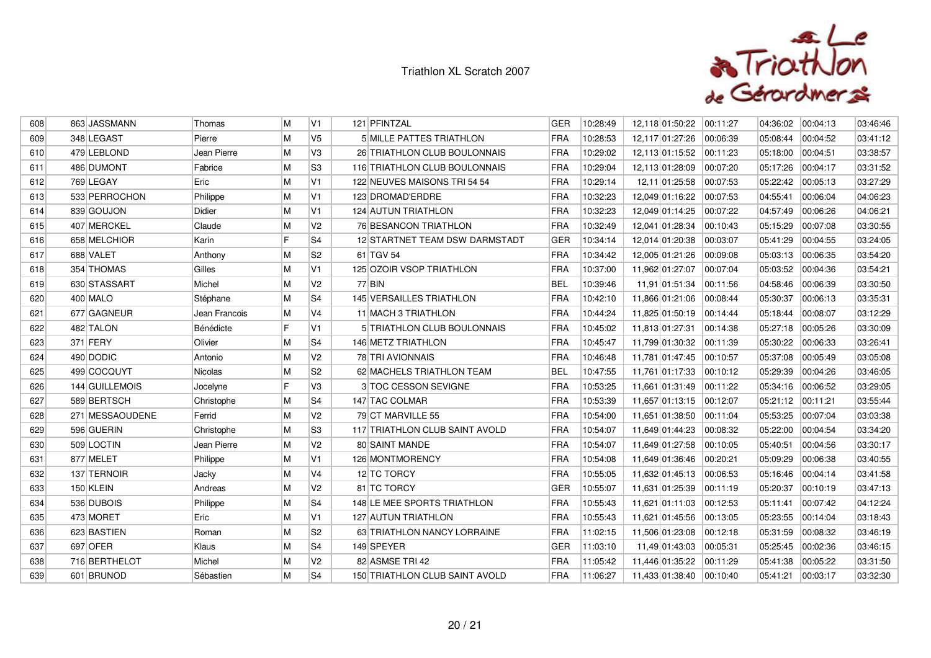

| 608 | 863 JASSMANN    | Thomas         | M | V1             | 121 PFINTZAL                          | GER        | 10:28:49 | 12,118 01:50:22           | 00:11:27 | 04:36:02 | 00:04:13 | 03:46:46 |
|-----|-----------------|----------------|---|----------------|---------------------------------------|------------|----------|---------------------------|----------|----------|----------|----------|
| 609 | 348 LEGAST      | Pierre         | M | V <sub>5</sub> | <b>5 MILLE PATTES TRIATHLON</b>       | <b>FRA</b> | 10:28:53 | 12,117 01:27:26           | 00:06:39 | 05:08:44 | 00:04:52 | 03:41:12 |
| 610 | 479 LEBLOND     | Jean Pierre    | M | V3             | 26 TRIATHLON CLUB BOULONNAIS          | <b>FRA</b> | 10:29:02 | 12,113 01:15:52           | 00:11:23 | 05:18:00 | 00:04:51 | 03:38:57 |
| 611 | 486 DUMONT      | Fabrice        | M | S <sub>3</sub> | 116 TRIATHLON CLUB BOULONNAIS         | FRA        | 10:29:04 | 12,113 01:28:09           | 00:07:20 | 05:17:26 | 00:04:17 | 03:31:52 |
| 612 | 769 LEGAY       | Eric           | M | V1             | 122 NEUVES MAISONS TRI 54 54          | <b>FRA</b> | 10:29:14 | 12,11 01:25:58            | 00:07:53 | 05:22:42 | 00:05:13 | 03:27:29 |
| 613 | 533 PERROCHON   | Philippe       | M | V1             | 123 DROMAD'ERDRE                      | <b>FRA</b> | 10:32:23 | 12,049 01:16:22           | 00:07:53 | 04:55:41 | 00:06:04 | 04:06:23 |
| 614 | 839 GOUJON      | Didier         | M | IV1            | <b>124 AUTUN TRIATHLON</b>            | FRA        | 10:32:23 | 12,049 01:14:25           | 00:07:22 | 04:57:49 | 00:06:26 | 04:06:21 |
| 615 | 407 MERCKEL     | Claude         | M | V2             | 76 BESANCON TRIATHLON                 | FRA        | 10:32:49 | 12,041 01:28:34           | 00:10:43 | 05:15:29 | 00:07:08 | 03:30:55 |
| 616 | 658 MELCHIOR    | Karin          | F | S <sub>4</sub> | 12 STARTNET TEAM DSW DARMSTADT        | <b>GER</b> | 10:34:14 | 12,014 01:20:38           | 00:03:07 | 05:41:29 | 00:04:55 | 03:24:05 |
| 617 | 688 VALET       | Anthony        | M | S <sub>2</sub> | 61 TGV 54                             | FRA        | 10:34:42 | 12,005 01:21:26           | 00:09:08 | 05:03:13 | 00:06:35 | 03:54:20 |
| 618 | 354 THOMAS      | Gilles         | M | V1             | 125 OZOIR VSOP TRIATHLON              | FRA        | 10:37:00 | 11,962 01:27:07           | 00:07:04 | 05:03:52 | 00:04:36 | 03:54:21 |
| 619 | 630 STASSART    | Michel         | M | V <sub>2</sub> | 77 BIN                                | <b>BEL</b> | 10:39:46 | 11,91 01:51:34 00:11:56   |          | 04:58:46 | 00:06:39 | 03:30:50 |
| 620 | 400 MALO        | Stéphane       | M | S4             | <b>145 VERSAILLES TRIATHLON</b>       | FRA        | 10:42:10 | 11,866 01:21:06           | 00:08:44 | 05:30:37 | 00:06:13 | 03:35:31 |
| 621 | 677 GAGNEUR     | Jean Francois  | M | V <sub>4</sub> | 11 MACH 3 TRIATHLON                   | FRA        | 10:44:24 | 11,825 01:50:19           | 00:14:44 | 05:18:44 | 00:08:07 | 03:12:29 |
| 622 | 482 TALON       | Bénédicte      | F | V1             | 5 TRIATHLON CLUB BOULONNAIS           | <b>FRA</b> | 10:45:02 | 11,813 01:27:31           | 00:14:38 | 05:27:18 | 00:05:26 | 03:30:09 |
| 623 | 371 FERY        | Olivier        | M | S4             | 146 METZ TRIATHLON                    | <b>FRA</b> | 10:45:47 | 11,799 01:30:32           | 00:11:39 | 05:30:22 | 00:06:33 | 03:26:41 |
| 624 | 490 DODIC       | Antonio        | M | V <sub>2</sub> | 78 TRI AVIONNAIS                      | FRA        | 10:46:48 | 11,781 01:47:45 00:10:57  |          | 05:37:08 | 00:05:49 | 03:05:08 |
| 625 | 499 COCQUYT     | <b>Nicolas</b> | M | S <sub>2</sub> | 62 MACHELS TRIATHLON TEAM             | <b>BEL</b> | 10:47:55 | 11,761 01:17:33  00:10:12 |          | 05:29:39 | 00:04:26 | 03:46:05 |
| 626 | 144 GUILLEMOIS  | Jocelyne       | E | V3             | 3 TOC CESSON SEVIGNE                  | FRA        | 10:53:25 | 11,661 01:31:49           | 00:11:22 | 05:34:16 | 00:06:52 | 03:29:05 |
| 627 | 589 BERTSCH     | Christophe     | M | S4             | 147 TAC COLMAR                        | FRA        | 10:53:39 | 11,657 01:13:15 00:12:07  |          | 05:21:12 | 00:11:21 | 03:55:44 |
| 628 | 271 MESSAOUDENE | Ferrid         | M | V <sub>2</sub> | 79 CT MARVILLE 55                     | <b>FRA</b> | 10:54:00 | 11,651 01:38:50           | 00:11:04 | 05:53:25 | 00:07:04 | 03:03:38 |
| 629 | 596 GUERIN      | Christophe     | M | S <sub>3</sub> | <b>117 TRIATHLON CLUB SAINT AVOLD</b> | <b>FRA</b> | 10:54:07 | 11,649 01:44:23           | 00:08:32 | 05:22:00 | 00:04:54 | 03:34:20 |
| 630 | 509 LOCTIN      | Jean Pierre    | M | V <sub>2</sub> | 80 SAINT MANDE                        | FRA        | 10:54:07 | 11,649 01:27:58           | 00:10:05 | 05:40:51 | 00:04:56 | 03:30:17 |
| 631 | 877 MELET       | Philippe       | M | V1             | 126 MONTMORENCY                       | <b>FRA</b> | 10:54:08 | 11,649 01:36:46           | 00:20:21 | 05:09:29 | 00:06:38 | 03:40:55 |
| 632 | 137 TERNOIR     | Jacky          | M | V <sub>4</sub> | 12 TC TORCY                           | <b>FRA</b> | 10:55:05 | 11,632 01:45:13           | 00:06:53 | 05:16:46 | 00:04:14 | 03:41:58 |
| 633 | 150 KLEIN       | Andreas        | M | V <sub>2</sub> | 81 TC TORCY                           | GER        | 10:55:07 | 11,631 01:25:39           | 00:11:19 | 05:20:37 | 00:10:19 | 03:47:13 |
| 634 | 536 DUBOIS      | Philippe       | M | S <sub>4</sub> | <b>148 LE MEE SPORTS TRIATHLON</b>    | <b>FRA</b> | 10:55:43 | 11,621 01:11:03           | 00:12:53 | 05:11:41 | 00:07:42 | 04:12:24 |
| 635 | 473 MORET       | Eric           | M | V <sub>1</sub> | 127 AUTUN TRIATHLON                   | <b>FRA</b> | 10:55:43 | 11,621 01:45:56           | 00:13:05 | 05:23:55 | 00:14:04 | 03:18:43 |
| 636 | 623 BASTIEN     | Roman          | M | S <sub>2</sub> | 63 TRIATHLON NANCY LORRAINE           | FRA        | 11:02:15 | 11,506 01:23:08           | 00:12:18 | 05:31:59 | 00:08:32 | 03:46:19 |
| 637 | 697 OFER        | Klaus          | M | S <sub>4</sub> | 149 SPEYER                            | <b>GER</b> | 11:03:10 | 11,49 01:43:03            | 00:05:31 | 05:25:45 | 00:02:36 | 03:46:15 |
| 638 | 716 BERTHELOT   | Michel         | M | V <sub>2</sub> | 82 ASMSE TRI 42                       | <b>FRA</b> | 11:05:42 | 11,446 01:35:22           | 00:11:29 | 05:41:38 | 00:05:22 | 03:31:50 |
| 639 | 601 BRUNOD      | Sébastien      | M | S <sub>4</sub> | 150 TRIATHLON CLUB SAINT AVOLD        | FRA        | 11:06:27 | 11,433 01:38:40 00:10:40  |          | 05:41:21 | 00:03:17 | 03:32:30 |